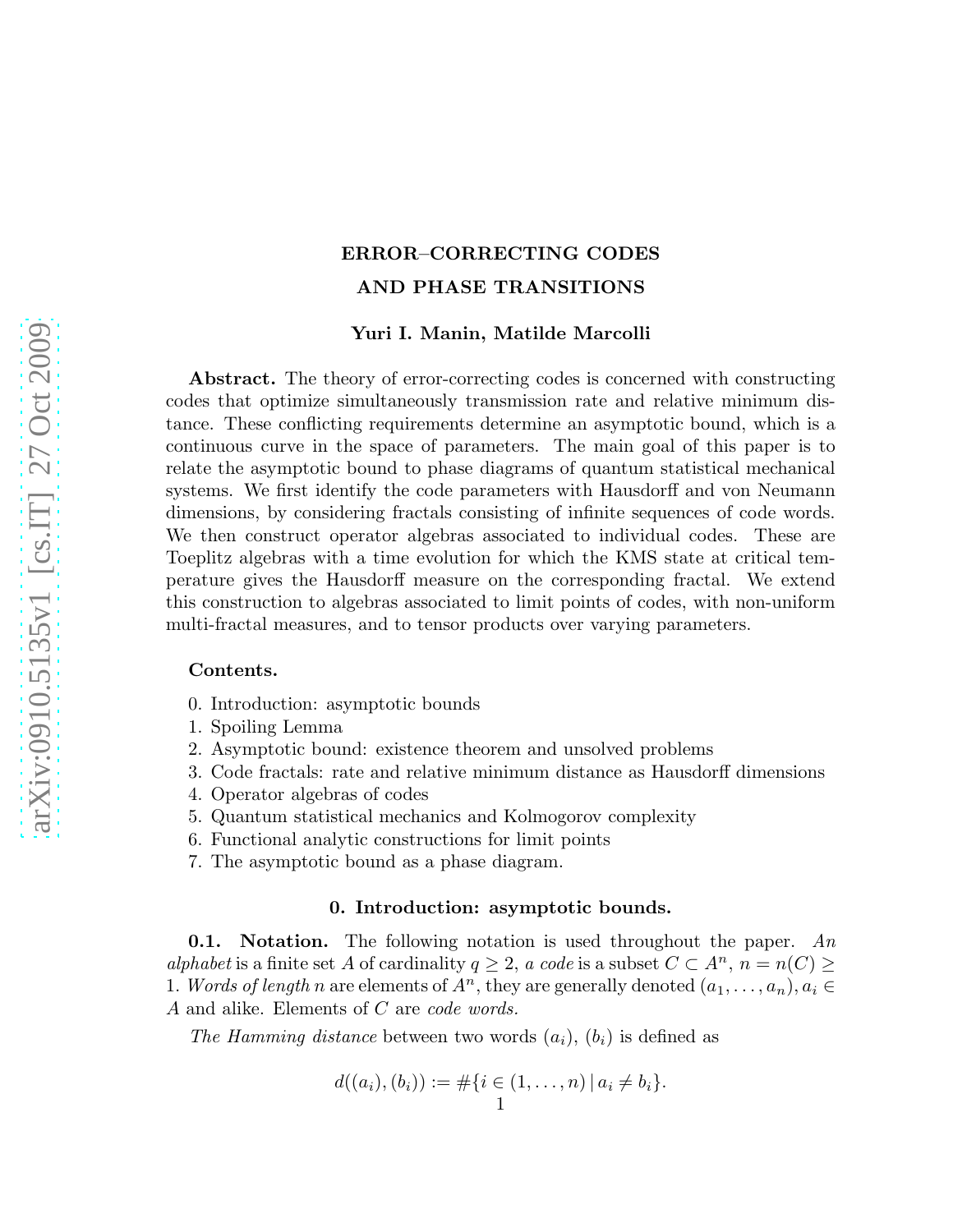# ERROR–CORRECTING CODES AND PHASE TRANSITIONS

### Yuri I. Manin, Matilde Marcolli

Abstract. The theory of error-correcting codes is concerned with constructing codes that optimize simultaneously transmission rate and relative minimum distance. These conflicting requirements determine an asymptotic bound, which is a continuous curve in the space of parameters. The main goal of this paper is to relate the asymptotic bound to phase diagrams of quantum statistical mechanical systems. We first identify the code parameters with Hausdorff and von Neumann dimensions, by considering fractals consisting of infinite sequences of code words. We then construct operator algebras associated to individual codes. These are Toeplitz algebras with a time evolution for which the KMS state at critical temperature gives the Hausdorff measure on the corresponding fractal. We extend this construction to algebras associated to limit points of codes, with non-uniform multi-fractal measures, and to tensor products over varying parameters.

### Contents.

- 0. Introduction: asymptotic bounds
- 1. Spoiling Lemma
- 2. Asymptotic bound: existence theorem and unsolved problems
- 3. Code fractals: rate and relative minimum distance as Hausdorff dimensions
- 4. Operator algebras of codes
- 5. Quantum statistical mechanics and Kolmogorov complexity
- 6. Functional analytic constructions for limit points
- 7. The asymptotic bound as a phase diagram.

### 0. Introduction: asymptotic bounds.

**0.1.** Notation. The following notation is used throughout the paper. An alphabet is a finite set A of cardinality  $q \geq 2$ , a code is a subset  $C \subset A^n$ ,  $n = n(C) \geq$ 1. Words of length n are elements of  $A^n$ , they are generally denoted  $(a_1, \ldots, a_n), a_i \in$ A and alike. Elements of C are code words.

The Hamming distance between two words  $(a_i)$ ,  $(b_i)$  is defined as

$$
d((a_i), (b_i)) := \#\{i \in (1, \ldots, n) \,|\, a_i \neq b_i\}.
$$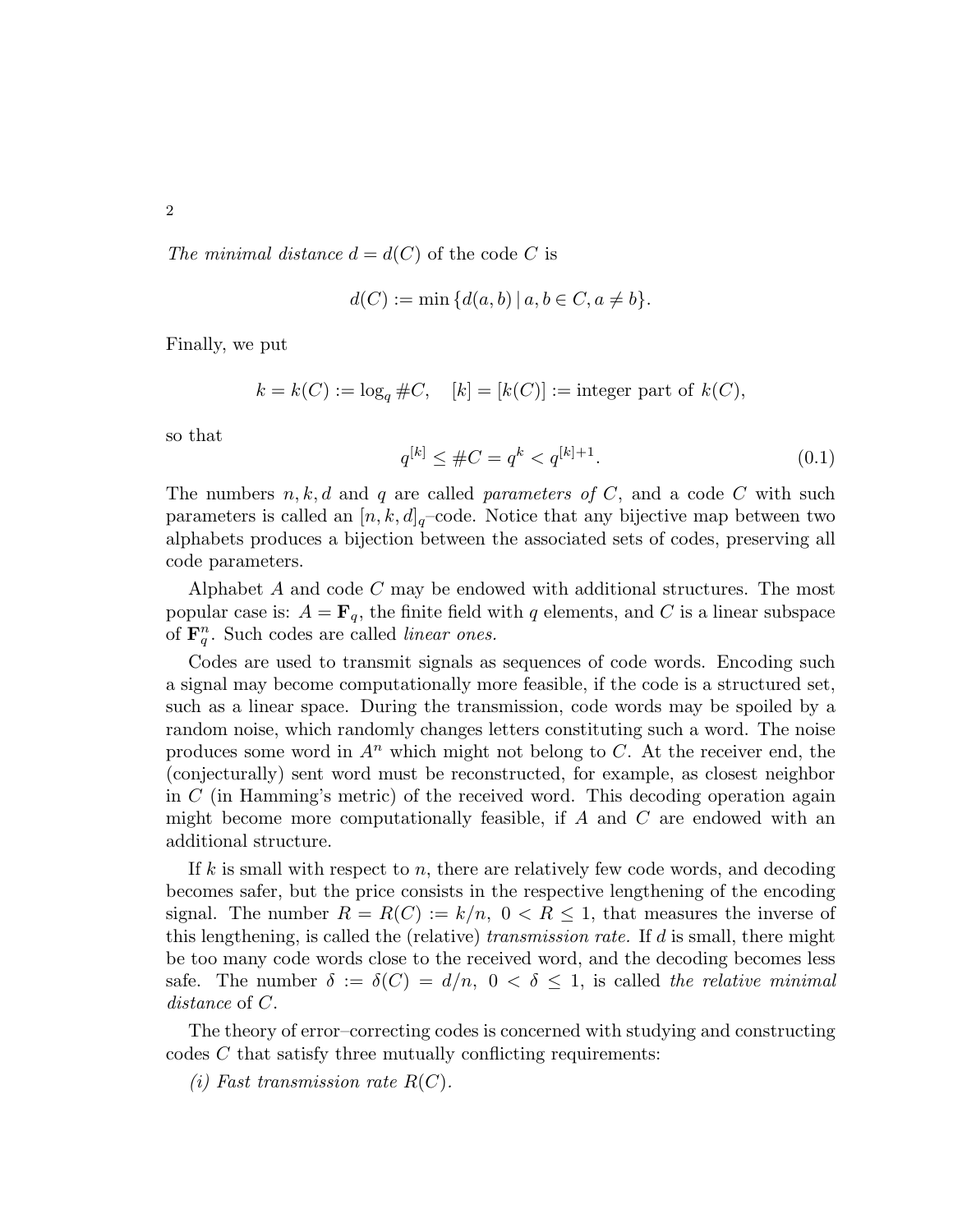2

The minimal distance  $d = d(C)$  of the code C is

$$
d(C) := \min \{ d(a, b) \mid a, b \in C, a \neq b \}.
$$

Finally, we put

 $k = k(C) := \log_a \#C$ ,  $[k] = [k(C)] :=$  integer part of  $k(C)$ ,

so that

$$
q^{[k]} \leq #C = q^k < q^{[k]+1}.\tag{0.1}
$$

The numbers  $n, k, d$  and q are called parameters of C, and a code C with such parameters is called an  $[n, k, d]_q$ –code. Notice that any bijective map between two alphabets produces a bijection between the associated sets of codes, preserving all code parameters.

Alphabet A and code C may be endowed with additional structures. The most popular case is:  $A = \mathbf{F}_q$ , the finite field with q elements, and C is a linear subspace of  $\mathbf{F}_q^n$ . Such codes are called *linear ones.* 

Codes are used to transmit signals as sequences of code words. Encoding such a signal may become computationally more feasible, if the code is a structured set, such as a linear space. During the transmission, code words may be spoiled by a random noise, which randomly changes letters constituting such a word. The noise produces some word in  $A^n$  which might not belong to C. At the receiver end, the (conjecturally) sent word must be reconstructed, for example, as closest neighbor in C (in Hamming's metric) of the received word. This decoding operation again might become more computationally feasible, if  $A$  and  $C$  are endowed with an additional structure.

If k is small with respect to n, there are relatively few code words, and decoding becomes safer, but the price consists in the respective lengthening of the encoding signal. The number  $R = R(C) := k/n$ ,  $0 < R \le 1$ , that measures the inverse of this lengthening, is called the (relative) transmission rate. If  $d$  is small, there might be too many code words close to the received word, and the decoding becomes less safe. The number  $\delta := \delta(C) = d/n$ ,  $0 < \delta \leq 1$ , is called the relative minimal distance of C.

The theory of error–correcting codes is concerned with studying and constructing codes C that satisfy three mutually conflicting requirements:

(i) Fast transmission rate  $R(C)$ .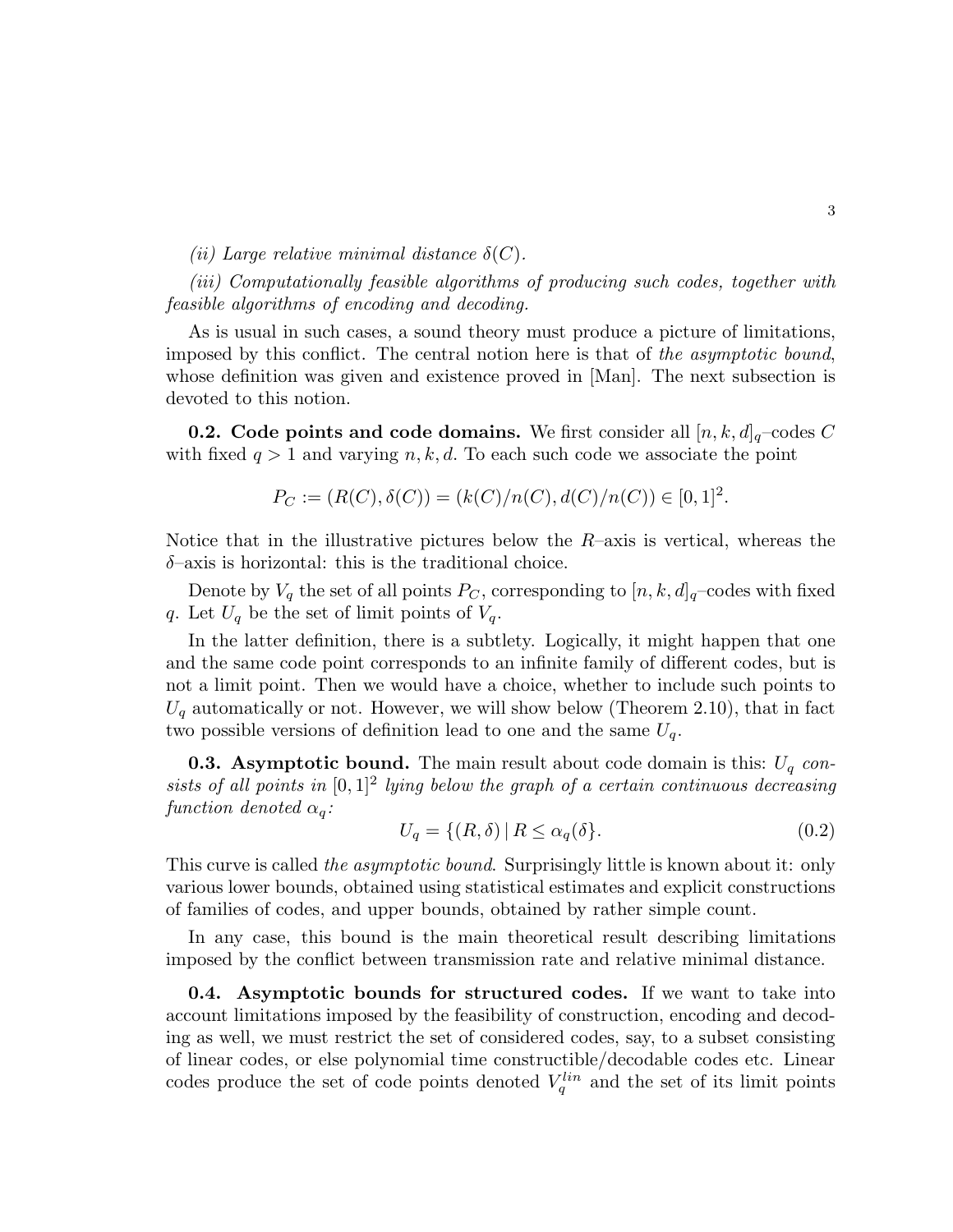(ii) Large relative minimal distance  $\delta(C)$ .

(iii) Computationally feasible algorithms of producing such codes, together with feasible algorithms of encoding and decoding.

As is usual in such cases, a sound theory must produce a picture of limitations, imposed by this conflict. The central notion here is that of the asymptotic bound, whose definition was given and existence proved in [Man]. The next subsection is devoted to this notion.

**0.2.** Code points and code domains. We first consider all  $[n, k, d]_q$ -codes C with fixed  $q > 1$  and varying n, k, d. To each such code we associate the point

$$
P_C := (R(C), \delta(C)) = (k(C)/n(C), d(C)/n(C)) \in [0, 1]^2.
$$

Notice that in the illustrative pictures below the  $R$ -axis is vertical, whereas the  $\delta$ -axis is horizontal: this is the traditional choice.

Denote by  $V_q$  the set of all points  $P_C$ , corresponding to  $[n, k, d]_q$ –codes with fixed  $q.$  Let  ${\cal U}_q$  be the set of limit points of  ${\cal V}_q.$ 

In the latter definition, there is a subtlety. Logically, it might happen that one and the same code point corresponds to an infinite family of different codes, but is not a limit point. Then we would have a choice, whether to include such points to  $U_q$  automatically or not. However, we will show below (Theorem 2.10), that in fact two possible versions of definition lead to one and the same  $U_q$ .

**0.3. Asymptotic bound.** The main result about code domain is this:  $U_q$  consists of all points in  $[0,1]^2$  lying below the graph of a certain continuous decreasing function denoted  $\alpha_q$ :

$$
U_q = \{(R, \delta) \mid R \le \alpha_q(\delta\}. \tag{0.2}
$$

This curve is called *the asymptotic bound*. Surprisingly little is known about it: only various lower bounds, obtained using statistical estimates and explicit constructions of families of codes, and upper bounds, obtained by rather simple count.

In any case, this bound is the main theoretical result describing limitations imposed by the conflict between transmission rate and relative minimal distance.

0.4. Asymptotic bounds for structured codes. If we want to take into account limitations imposed by the feasibility of construction, encoding and decoding as well, we must restrict the set of considered codes, say, to a subset consisting of linear codes, or else polynomial time constructible/decodable codes etc. Linear codes produce the set of code points denoted  $V_q^{lin}$  and the set of its limit points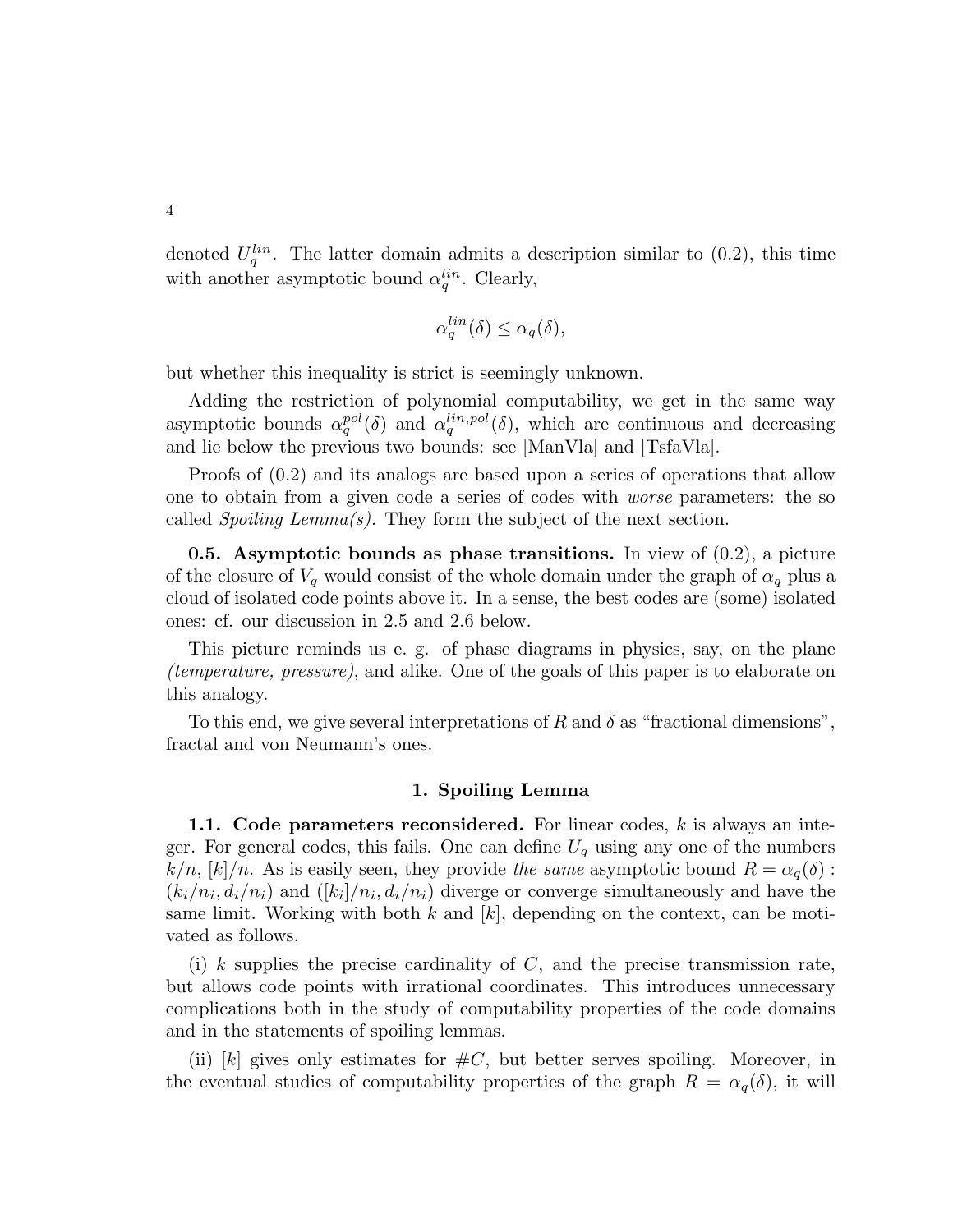4

denoted  $U_q^{lin}$ . The latter domain admits a description similar to (0.2), this time with another asymptotic bound  $\alpha_q^{lin}$ . Clearly,

$$
\alpha_q^{lin}(\delta) \le \alpha_q(\delta),
$$

but whether this inequality is strict is seemingly unknown.

Adding the restriction of polynomial computability, we get in the same way asymptotic bounds  $\alpha_q^{pol}(\delta)$  and  $\alpha_q^{lin,pol}(\delta)$ , which are continuous and decreasing and lie below the previous two bounds: see [ManVla] and [TsfaVla].

Proofs of (0.2) and its analogs are based upon a series of operations that allow one to obtain from a given code a series of codes with worse parameters: the so called *Spoiling Lemma(s)*. They form the subject of the next section.

**0.5.** Asymptotic bounds as phase transitions. In view of  $(0.2)$ , a picture of the closure of  $V_q$  would consist of the whole domain under the graph of  $\alpha_q$  plus a cloud of isolated code points above it. In a sense, the best codes are (some) isolated ones: cf. our discussion in 2.5 and 2.6 below.

This picture reminds us e. g. of phase diagrams in physics, say, on the plane (temperature, pressure), and alike. One of the goals of this paper is to elaborate on this analogy.

To this end, we give several interpretations of R and  $\delta$  as "fractional dimensions", fractal and von Neumann's ones.

### 1. Spoiling Lemma

1.1. Code parameters reconsidered. For linear codes,  $k$  is always an integer. For general codes, this fails. One can define  $U_q$  using any one of the numbers  $k/n$ ,  $[k]/n$ . As is easily seen, they provide the same asymptotic bound  $R = \alpha_q(\delta)$ :  $(k_i/n_i, d_i/n_i)$  and  $([k_i]/n_i, d_i/n_i)$  diverge or converge simultaneously and have the same limit. Working with both k and  $[k]$ , depending on the context, can be motivated as follows.

(i) k supplies the precise cardinality of  $C$ , and the precise transmission rate, but allows code points with irrational coordinates. This introduces unnecessary complications both in the study of computability properties of the code domains and in the statements of spoiling lemmas.

(ii) [k] gives only estimates for  $\#C$ , but better serves spoiling. Moreover, in the eventual studies of computability properties of the graph  $R = \alpha_q(\delta)$ , it will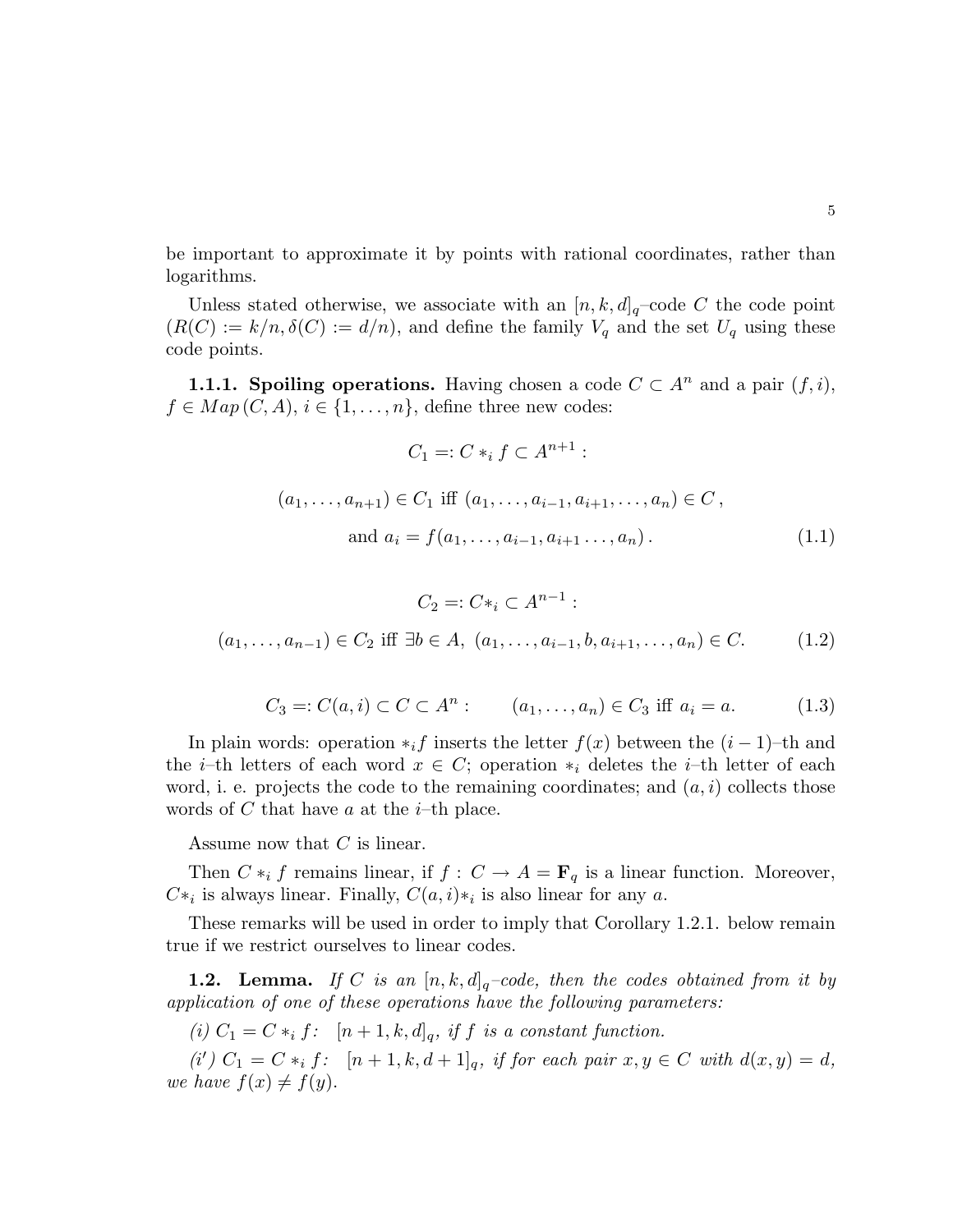be important to approximate it by points with rational coordinates, rather than logarithms.

Unless stated otherwise, we associate with an  $[n, k, d]_q$ -code C the code point  $(R(C) := k/n, \delta(C) := d/n)$ , and define the family  $V_q$  and the set  $U_q$  using these code points.

**1.1.1. Spoiling operations.** Having chosen a code  $C \subset A^n$  and a pair  $(f, i)$ ,  $f \in Map(C, A), i \in \{1, \ldots, n\},$  define three new codes:

$$
C_1 =: C *_i f \subset A^{n+1} :
$$
  
\n
$$
(a_1, ..., a_{n+1}) \in C_1 \text{ iff } (a_1, ..., a_{i-1}, a_{i+1}, ..., a_n) \in C,
$$
  
\nand  $a_i = f(a_1, ..., a_{i-1}, a_{i+1}, ..., a_n).$  (1.1)

$$
C_2 =: C*_i \subset A^{n-1}:
$$
  
(a<sub>1</sub>,...,a<sub>n-1</sub>)  $\in C_2$  iff  $\exists b \in A$ , (a<sub>1</sub>,...,a<sub>i-1</sub>,b,a<sub>i+1</sub>,...,a<sub>n</sub>)  $\in C$ . (1.2)

$$
C_3 =: C(a, i) \subset C \subset A^n : (a_1, \dots, a_n) \in C_3 \text{ iff } a_i = a. \tag{1.3}
$$

In plain words: operation  $*_if$  inserts the letter  $f(x)$  between the  $(i-1)$ –th and the *i*–th letters of each word  $x \in C$ ; operation  $*_i$  deletes the *i*–th letter of each word, i. e. projects the code to the remaining coordinates; and  $(a, i)$  collects those words of  $C$  that have  $a$  at the  $i$ -th place.

Assume now that C is linear.

Then  $C *_{i} f$  remains linear, if  $f : C \to A = \mathbf{F}_{q}$  is a linear function. Moreover,  $C^*$ <sub>i</sub> is always linear. Finally,  $C(a, i)*_i$  is also linear for any a.

These remarks will be used in order to imply that Corollary 1.2.1. below remain true if we restrict ourselves to linear codes.

**1.2. Lemma.** If C is an  $[n, k, d]_q$ -code, then the codes obtained from it by application of one of these operations have the following parameters:

(i)  $C_1 = C *_i f$ :  $[n+1, k, d]_q$ , if f is a constant function.

(i')  $C_1 = C *_{i} f$ :  $[n+1, k, d+1]_q$ , if for each pair  $x, y \in C$  with  $d(x, y) = d$ , we have  $f(x) \neq f(y)$ .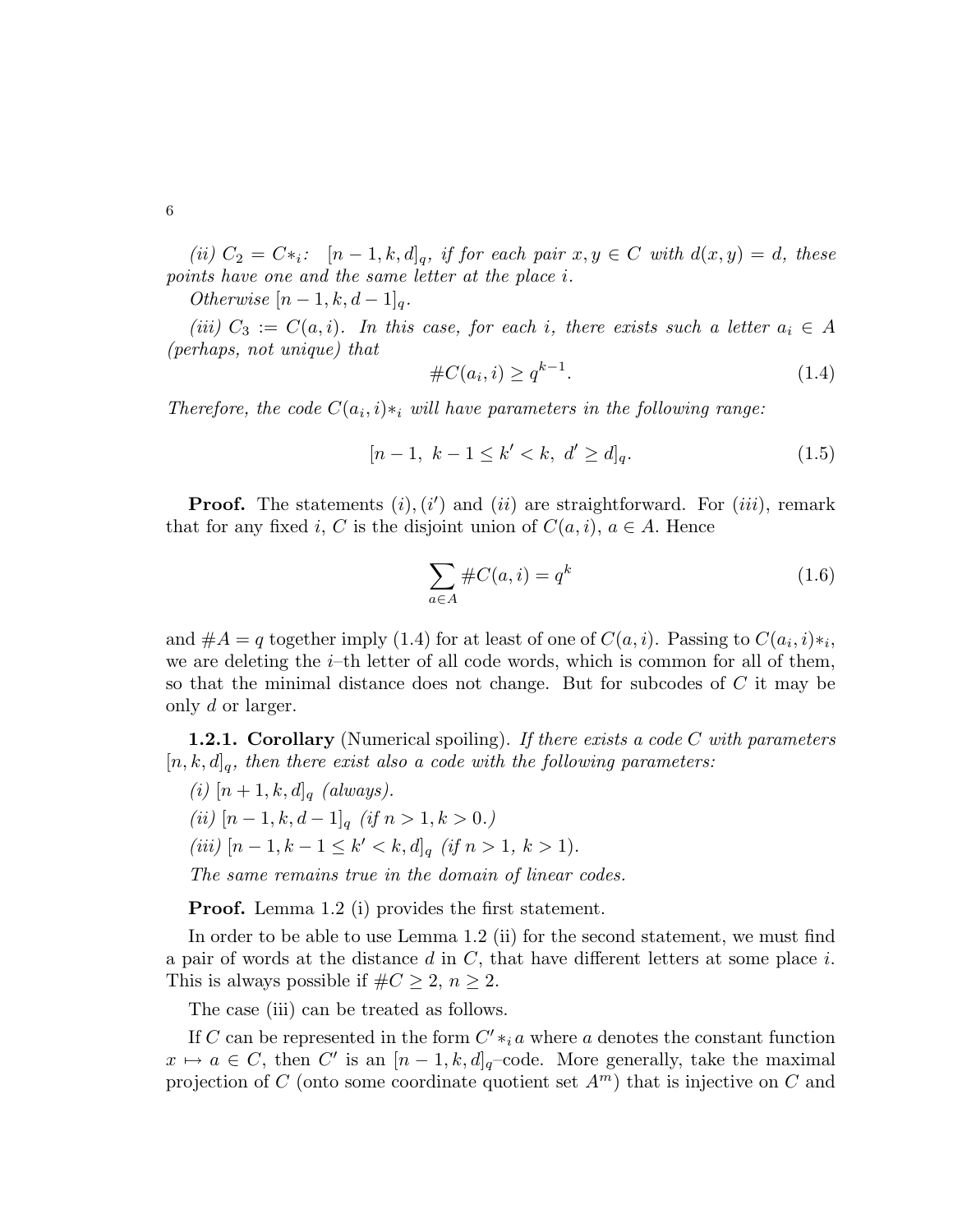(ii)  $C_2 = C*_i$ :  $[n-1, k, d]_q$ , if for each pair  $x, y \in C$  with  $d(x, y) = d$ , these points have one and the same letter at the place i.

Otherwise  $[n-1, k, d-1]_q$ .

(iii)  $C_3 := C(a, i)$ . In this case, for each i, there exists such a letter  $a_i \in A$ (perhaps, not unique) that

#C(a<sup>i</sup> , i) ≥ q k−1 . (1.4)

Therefore, the code  $C(a_i, i) *_{i}$  will have parameters in the following range:

$$
[n-1, k-1 \le k' < k, d' \ge d]_q. \tag{1.5}
$$

**Proof.** The statements  $(i)$ ,  $(i')$  and  $(ii)$  are straightforward. For  $(iii)$ , remark that for any fixed i, C is the disjoint union of  $C(a, i)$ ,  $a \in A$ . Hence

$$
\sum_{a \in A} \#C(a, i) = q^k \tag{1.6}
$$

and  $#A = q$  together imply (1.4) for at least of one of  $C(a, i)$ . Passing to  $C(a_i, i) *_{i}$ , we are deleting the  $i$ –th letter of all code words, which is common for all of them, so that the minimal distance does not change. But for subcodes of C it may be only d or larger.

**1.2.1. Corollary** (Numerical spoiling). If there exists a code C with parameters  $[n, k, d]_q$ , then there exist also a code with the following parameters:

(i)  $[n+1, k, d]_q$  (always). (ii)  $[n-1, k, d-1]_q$  (if  $n > 1, k > 0$ .) (iii)  $[n-1, k-1 \le k' < k, d]_q$  (if  $n > 1, k > 1$ ). The same remains true in the domain of linear codes.

**Proof.** Lemma 1.2 (i) provides the first statement.

In order to be able to use Lemma 1.2 (ii) for the second statement, we must find a pair of words at the distance  $d$  in  $C$ , that have different letters at some place  $i$ . This is always possible if  $\#C \geq 2$ ,  $n \geq 2$ .

The case (iii) can be treated as follows.

If C can be represented in the form  $C' *_{i} a$  where a denotes the constant function  $x \mapsto a \in C$ , then C' is an  $[n-1, k, d]_q$ -code. More generally, take the maximal projection of C (onto some coordinate quotient set  $A<sup>m</sup>$ ) that is injective on C and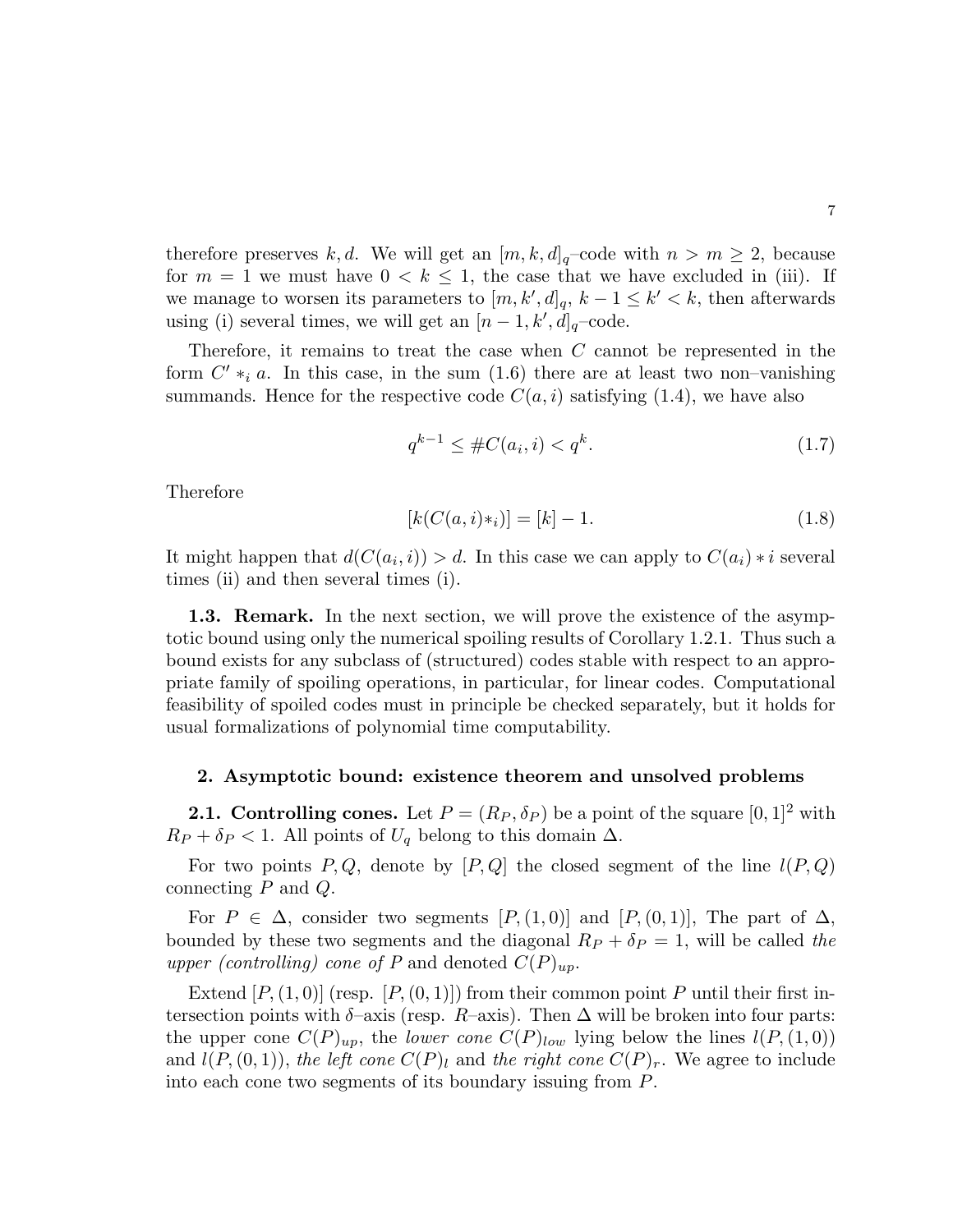therefore preserves k, d. We will get an  $[m, k, d]_q$ -code with  $n > m \geq 2$ , because for  $m = 1$  we must have  $0 < k \leq 1$ , the case that we have excluded in (iii). If we manage to worsen its parameters to  $[m, k', d]_q$ ,  $k - 1 \leq k' < k$ , then afterwards using (i) several times, we will get an  $[n-1, k', d]_q$ -code.

Therefore, it remains to treat the case when  $C$  cannot be represented in the form  $C' *_{i} a$ . In this case, in the sum  $(1.6)$  there are at least two non-vanishing summands. Hence for the respective code  $C(a, i)$  satisfying (1.4), we have also

$$
q^{k-1} \le \#C(a_i, i) < q^k. \tag{1.7}
$$

Therefore

$$
[k(C(a,i)*_i)] = [k] - 1.
$$
\n(1.8)

It might happen that  $d(C(a_i, i)) > d$ . In this case we can apply to  $C(a_i) * i$  several times (ii) and then several times (i).

1.3. Remark. In the next section, we will prove the existence of the asymptotic bound using only the numerical spoiling results of Corollary 1.2.1. Thus such a bound exists for any subclass of (structured) codes stable with respect to an appropriate family of spoiling operations, in particular, for linear codes. Computational feasibility of spoiled codes must in principle be checked separately, but it holds for usual formalizations of polynomial time computability.

### 2. Asymptotic bound: existence theorem and unsolved problems

**2.1. Controlling cones.** Let  $P = (R_P, \delta_P)$  be a point of the square  $[0, 1]^2$  with  $R_P + \delta_P < 1$ . All points of  $U_q$  belong to this domain  $\Delta$ .

For two points P, Q, denote by  $[P,Q]$  the closed segment of the line  $l(P,Q)$ connecting  $P$  and  $Q$ .

For  $P \in \Delta$ , consider two segments  $[P,(1,0)]$  and  $[P,(0,1)]$ , The part of  $\Delta$ , bounded by these two segments and the diagonal  $R_P + \delta_P = 1$ , will be called the upper (controlling) cone of P and denoted  $C(P)_{up}$ .

Extend  $[P,(1,0)]$  (resp.  $[P,(0,1)]$ ) from their common point P until their first intersection points with  $\delta$ –axis (resp. R–axis). Then  $\Delta$  will be broken into four parts: the upper cone  $C(P)_{up}$ , the *lower cone*  $C(P)_{low}$  lying below the lines  $l(P,(1,0))$ and  $l(P,(0, 1))$ , the left cone  $C(P)_l$  and the right cone  $C(P)_r$ . We agree to include into each cone two segments of its boundary issuing from P.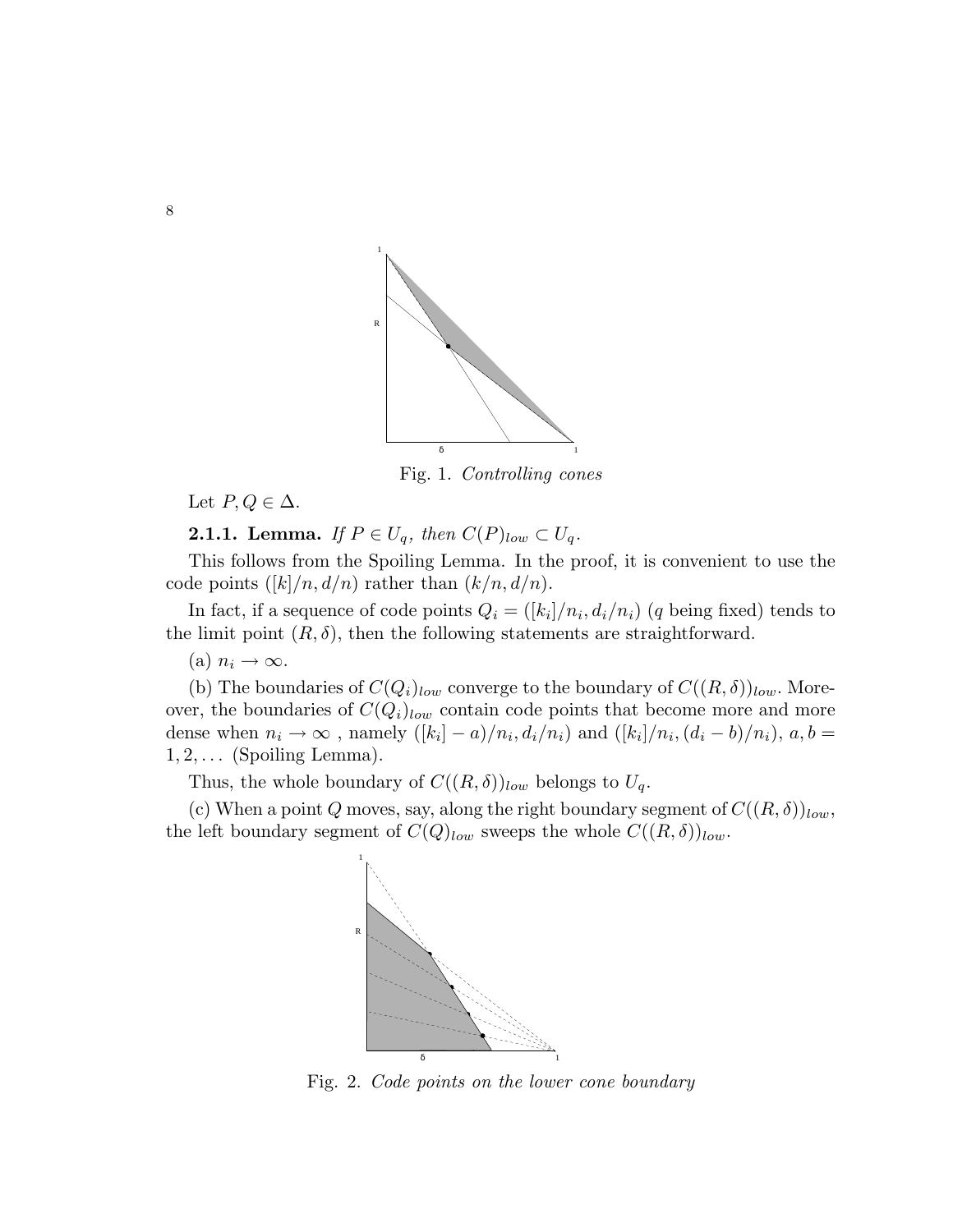

Fig. 1. Controlling cones

Let  $P, Q \in \Delta$ .

**2.1.1. Lemma.** If  $P \in U_q$ , then  $C(P)_{low} \subset U_q$ .

This follows from the Spoiling Lemma. In the proof, it is convenient to use the code points  $([k]/n, d/n)$  rather than  $(k/n, d/n)$ .

In fact, if a sequence of code points  $Q_i = ([k_i]/n_i, d_i/n_i)$  (q being fixed) tends to the limit point  $(R, \delta)$ , then the following statements are straightforward.

(a)  $n_i \rightarrow \infty$ .

(b) The boundaries of  $C(Q_i)_{low}$  converge to the boundary of  $C((R,\delta))_{low}$ . Moreover, the boundaries of  $C(Q_i)_{low}$  contain code points that become more and more dense when  $n_i \to \infty$ , namely  $([k_i] - a)/n_i$ ,  $d_i/n_i$ ) and  $([k_i] / n_i$ ,  $(d_i - b)/n_i)$ ,  $a, b =$  $1, 2, \ldots$  (Spoiling Lemma).

Thus, the whole boundary of  $C((R,\delta))_{low}$  belongs to  $U_q$ .

(c) When a point Q moves, say, along the right boundary segment of  $C((R,\delta))_{low}$ , the left boundary segment of  $C(Q)_{low}$  sweeps the whole  $C((R,\delta))_{low}$ .



Fig. 2. Code points on the lower cone boundary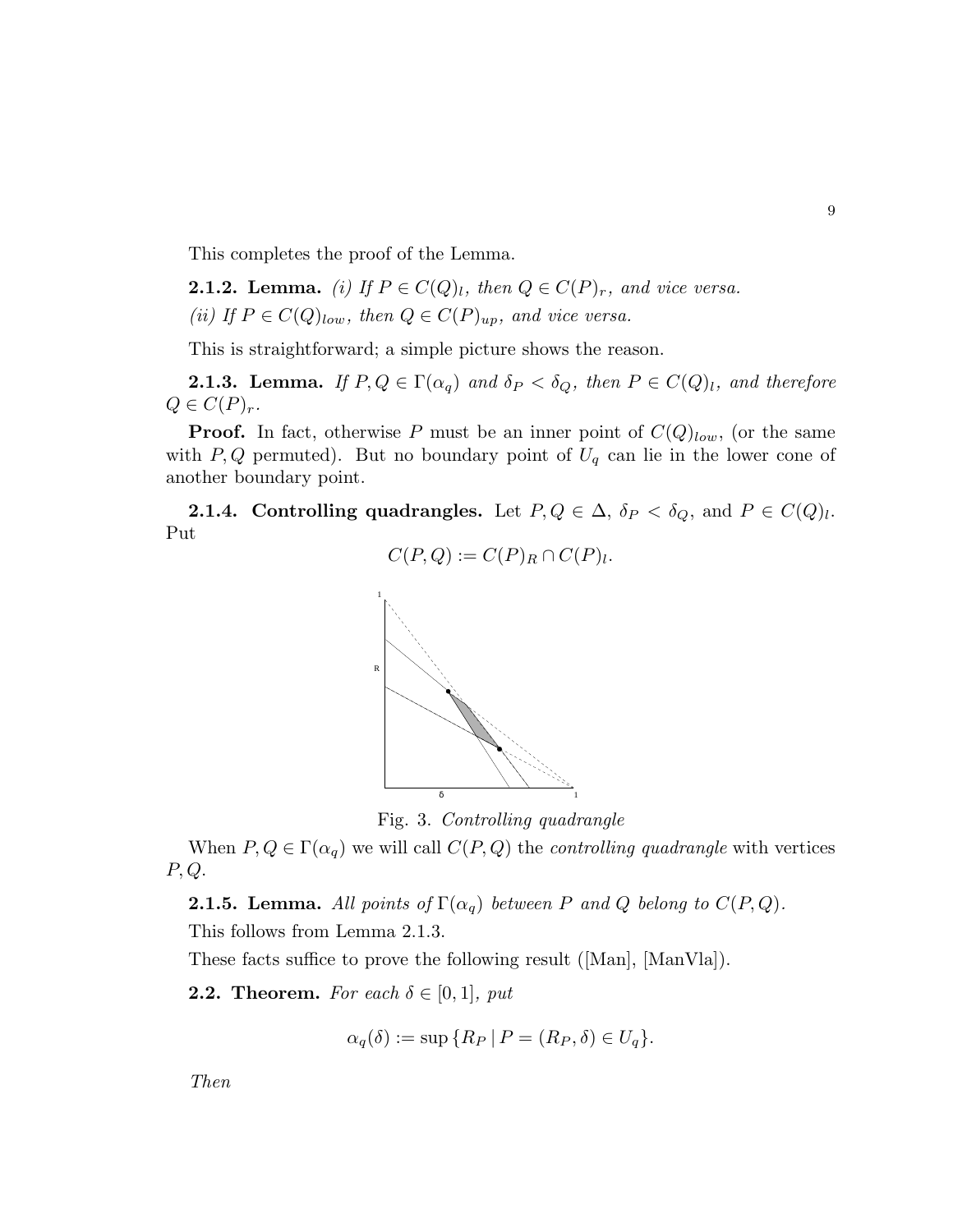This completes the proof of the Lemma.

**2.1.2. Lemma.** (i) If  $P \in C(Q)_l$ , then  $Q \in C(P)_r$ , and vice versa. (ii) If  $P \in C(Q)_{low}$ , then  $Q \in C(P)_{up}$ , and vice versa.

This is straightforward; a simple picture shows the reason.

**2.1.3. Lemma.** If  $P, Q \in \Gamma(\alpha_q)$  and  $\delta_P < \delta_Q$ , then  $P \in C(Q)_l$ , and therefore  $Q \in C(P)_r$ .

**Proof.** In fact, otherwise P must be an inner point of  $C(Q)_{low}$ , (or the same with P, Q permuted). But no boundary point of  $U_q$  can lie in the lower cone of another boundary point.

**2.1.4.** Controlling quadrangles. Let  $P, Q \in \Delta$ ,  $\delta_P < \delta_Q$ , and  $P \in C(Q)_l$ . Put

$$
C(P,Q) := C(P)_R \cap C(P)_l.
$$



Fig. 3. Controlling quadrangle

When  $P, Q \in \Gamma(\alpha_q)$  we will call  $C(P, Q)$  the *controlling quadrangle* with vertices P, Q.

**2.1.5. Lemma.** All points of  $\Gamma(\alpha_q)$  between P and Q belong to  $C(P,Q)$ .

This follows from Lemma 2.1.3.

These facts suffice to prove the following result ([Man], [ManVla]).

**2.2. Theorem.** For each  $\delta \in [0,1]$ , put

$$
\alpha_q(\delta) := \sup \{ R_P \mid P = (R_P, \delta) \in U_q \}.
$$

Then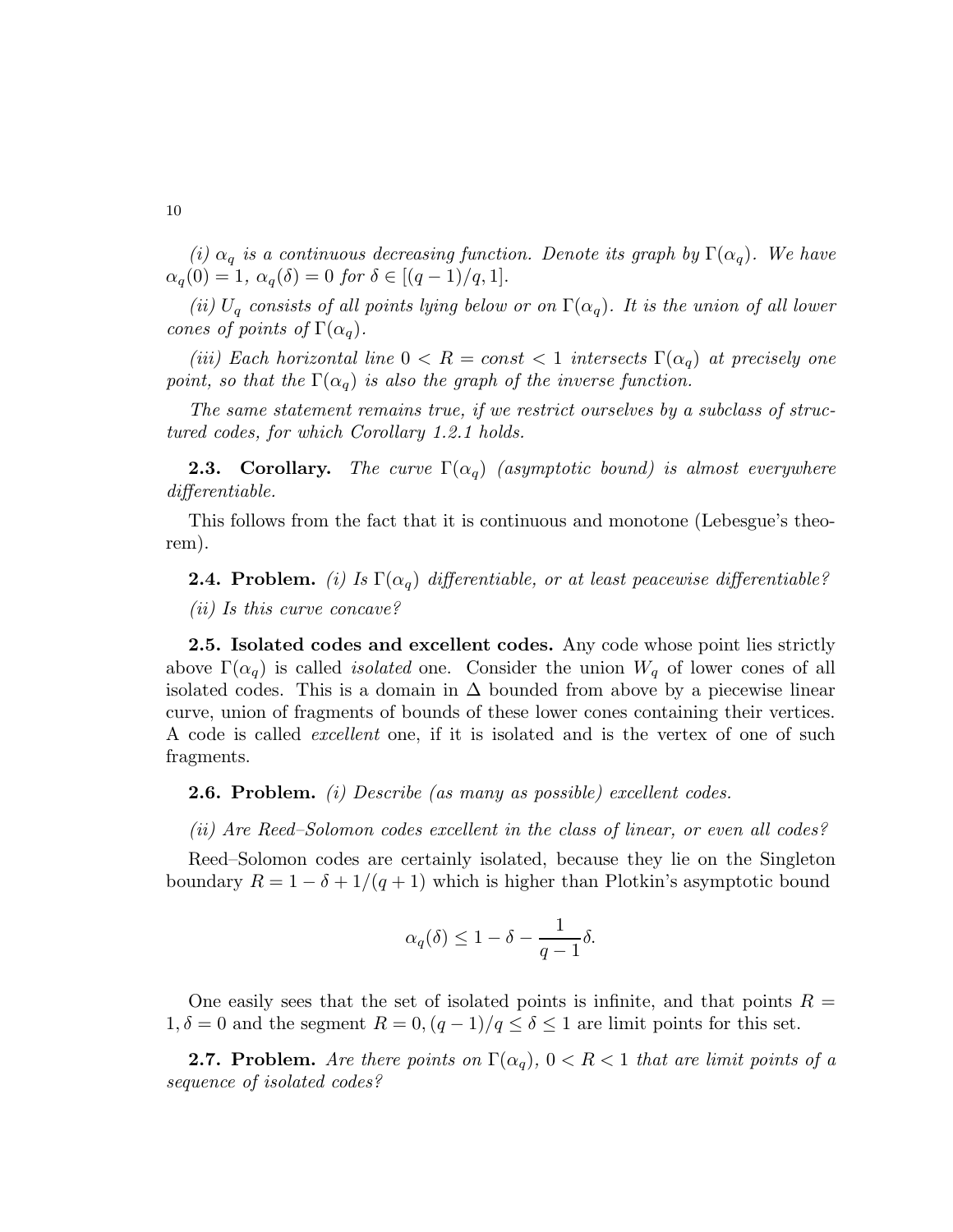(i)  $\alpha_q$  is a continuous decreasing function. Denote its graph by  $\Gamma(\alpha_q)$ . We have  $\alpha_q(0) = 1, \ \alpha_q(\delta) = 0 \ \text{for } \delta \in [(q-1)/q, 1].$ 

(ii)  $U_q$  consists of all points lying below or on  $\Gamma(\alpha_q)$ . It is the union of all lower cones of points of  $\Gamma(\alpha_q)$ .

(iii) Each horizontal line  $0 < R = const < 1$  intersects  $\Gamma(\alpha_q)$  at precisely one point, so that the  $\Gamma(\alpha_q)$  is also the graph of the inverse function.

The same statement remains true, if we restrict ourselves by a subclass of structured codes, for which Corollary 1.2.1 holds.

**2.3. Corollary.** The curve  $\Gamma(\alpha_q)$  (asymptotic bound) is almost everywhere differentiable.

This follows from the fact that it is continuous and monotone (Lebesgue's theorem).

**2.4. Problem.** (i) Is  $\Gamma(\alpha_q)$  differentiable, or at least peacewise differentiable? (ii) Is this curve concave?

2.5. Isolated codes and excellent codes. Any code whose point lies strictly above  $\Gamma(\alpha_q)$  is called *isolated* one. Consider the union  $W_q$  of lower cones of all isolated codes. This is a domain in  $\Delta$  bounded from above by a piecewise linear curve, union of fragments of bounds of these lower cones containing their vertices. A code is called excellent one, if it is isolated and is the vertex of one of such fragments.

2.6. Problem. (i) Describe (as many as possible) excellent codes.

(ii) Are Reed–Solomon codes excellent in the class of linear, or even all codes?

Reed–Solomon codes are certainly isolated, because they lie on the Singleton boundary  $R = 1 - \delta + 1/(q + 1)$  which is higher than Plotkin's asymptotic bound

$$
\alpha_q(\delta) \le 1 - \delta - \frac{1}{q-1}\delta.
$$

One easily sees that the set of isolated points is infinite, and that points  $R =$  $1, \delta = 0$  and the segment  $R = 0$ ,  $(q - 1)/q \leq \delta \leq 1$  are limit points for this set.

**2.7. Problem.** Are there points on  $\Gamma(\alpha_q)$ ,  $0 < R < 1$  that are limit points of a sequence of isolated codes?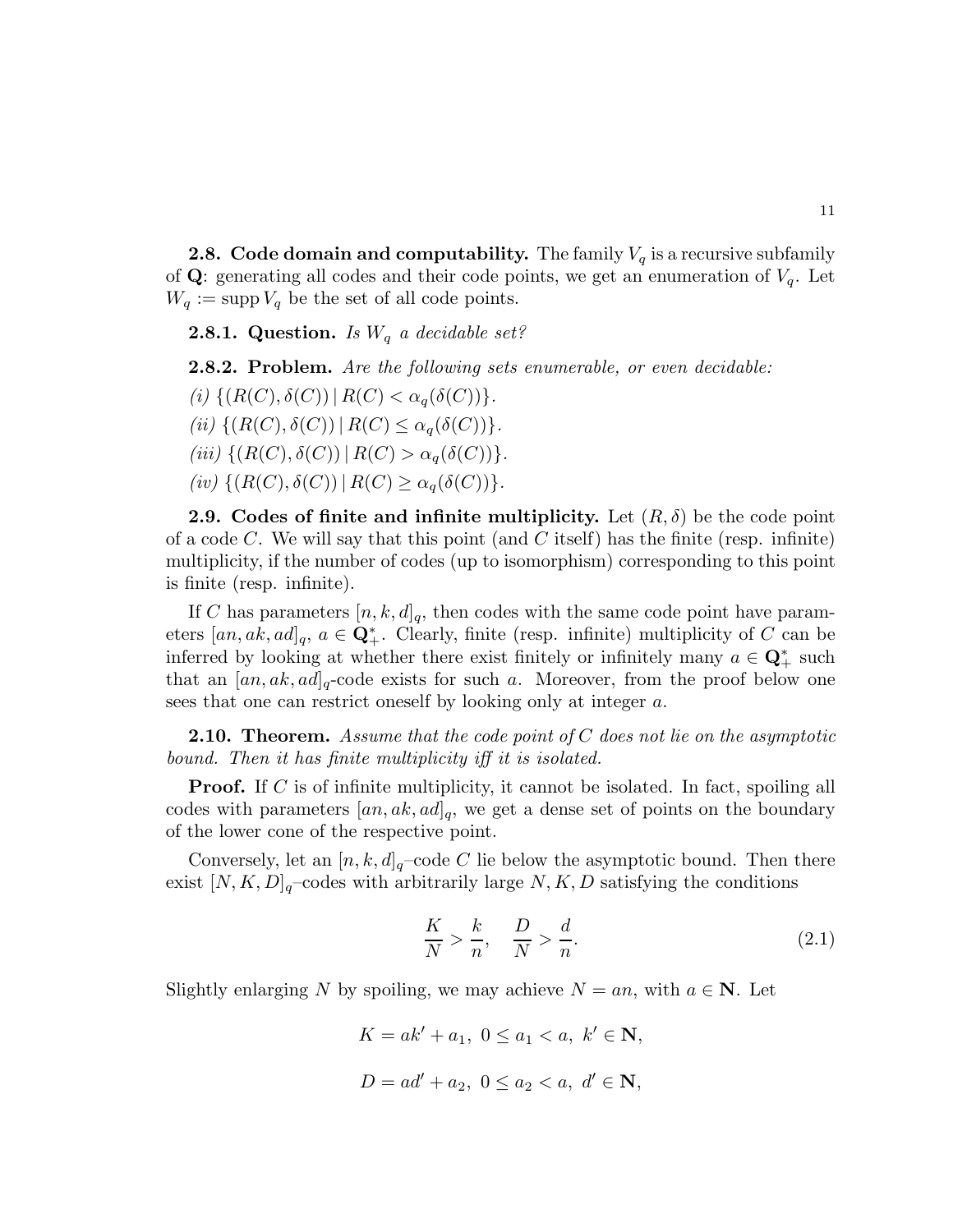**2.8. Code domain and computability.** The family  $V_q$  is a recursive subfamily of **Q**: generating all codes and their code points, we get an enumeration of  $V_q$ . Let  $W_q := \text{supp } V_q$  be the set of all code points.

**2.8.1. Question.** Is  $W_q$  a decidable set?

2.8.2. Problem. Are the following sets enumerable, or even decidable:

(i)  $\{(R(C), \delta(C)) | R(C) < \alpha_q(\delta(C))\}.$ 

(ii)  $\{(R(C), \delta(C)) | R(C) \leq \alpha_{\alpha}(\delta(C))\}.$ 

(iii)  $\{(R(C), \delta(C)) | R(C) > \alpha_a(\delta(C))\}.$ 

(iv)  $\{(R(C), \delta(C)) | R(C) > \alpha_a(\delta(C))\}.$ 

**2.9.** Codes of finite and infinite multiplicity. Let  $(R, \delta)$  be the code point of a code C. We will say that this point (and C itself) has the finite (resp. infinite) multiplicity, if the number of codes (up to isomorphism) corresponding to this point is finite (resp. infinite).

If C has parameters  $[n, k, d]_q$ , then codes with the same code point have parameters  $[a_n, ak, ad]_q$ ,  $a \in \mathbf{Q}_+^*$ . Clearly, finite (resp. infinite) multiplicity of C can be inferred by looking at whether there exist finitely or infinitely many  $a \in \mathbb{Q}_+^*$  such that an  $[a_n, ak, ad]_q$ -code exists for such a. Moreover, from the proof below one sees that one can restrict oneself by looking only at integer a.

**2.10. Theorem.** Assume that the code point of  $C$  does not lie on the asymptotic bound. Then it has finite multiplicity iff it is isolated.

**Proof.** If C is of infinite multiplicity, it cannot be isolated. In fact, spoiling all codes with parameters  $[a_n, ak, ad]_q$ , we get a dense set of points on the boundary of the lower cone of the respective point.

Conversely, let an  $[n, k, d]_q$ -code C lie below the asymptotic bound. Then there exist  $[N, K, D]_q$ -codes with arbitrarily large N, K, D satisfying the conditions

$$
\frac{K}{N} > \frac{k}{n}, \quad \frac{D}{N} > \frac{d}{n}.\tag{2.1}
$$

Slightly enlarging N by spoiling, we may achieve  $N = an$ , with  $a \in \mathbb{N}$ . Let

 $K = ak' + a_1, 0 \le a_1 \le a, k' \in \mathbb{N},$  $D = ad' + a_2, 0 \le a_2 \le a, d' \in \mathbb{N}$ ,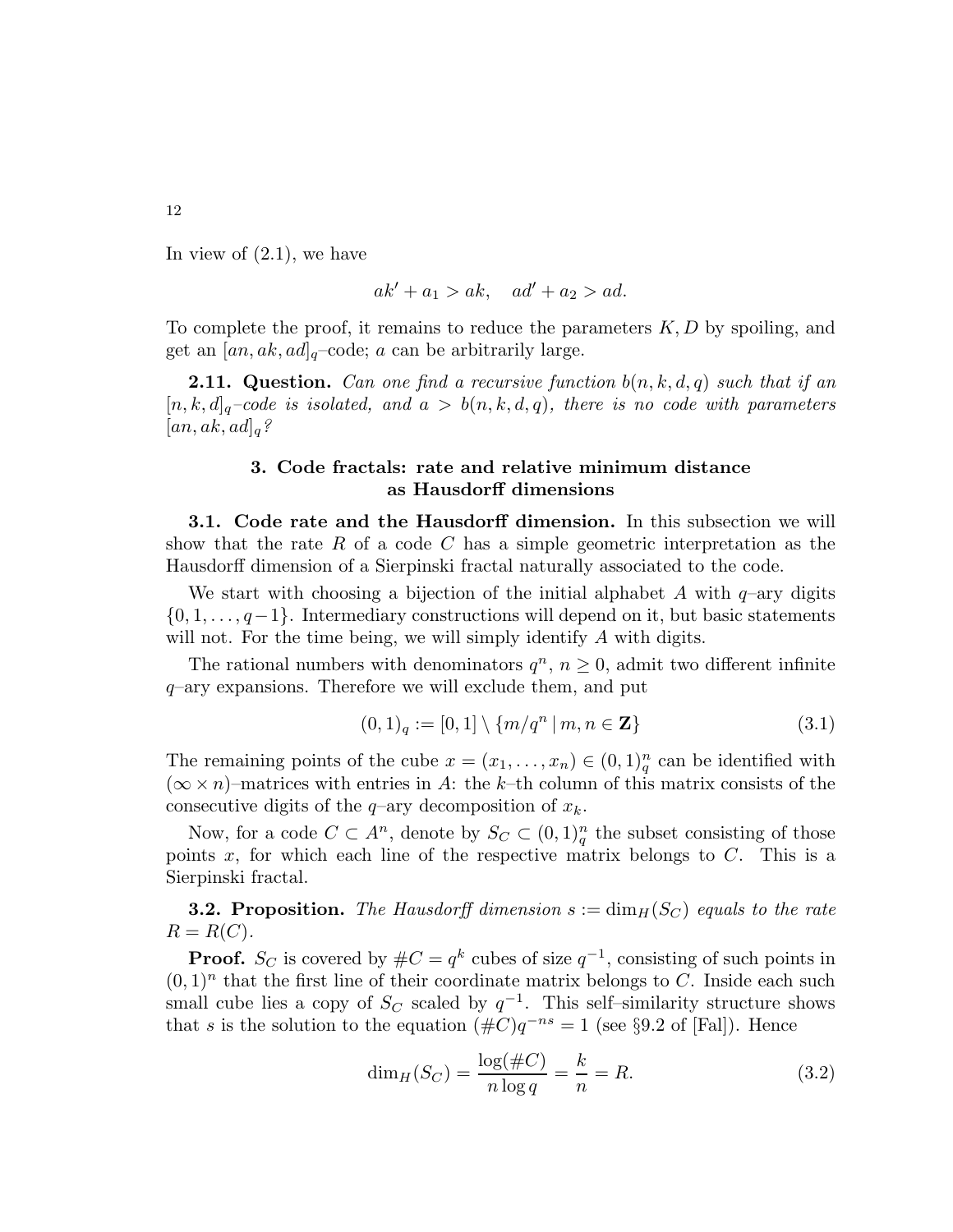In view of  $(2.1)$ , we have

$$
ak' + a_1 > ak, \quad ad' + a_2 > ad.
$$

To complete the proof, it remains to reduce the parameters  $K, D$  by spoiling, and get an  $[a_n, ak, ad]_q$ -code; a can be arbitrarily large.

**2.11. Question.** Can one find a recursive function  $b(n, k, d, q)$  such that if an  $[n, k, d]_q$ -code is isolated, and  $a > b(n, k, d, q)$ , there is no code with parameters  $[a_n, ak, ad]_q?$ 

## 3. Code fractals: rate and relative minimum distance as Hausdorff dimensions

3.1. Code rate and the Hausdorff dimension. In this subsection we will show that the rate R of a code C has a simple geometric interpretation as the Hausdorff dimension of a Sierpinski fractal naturally associated to the code.

We start with choosing a bijection of the initial alphabet A with  $q$ –ary digits  $\{0, 1, \ldots, q-1\}$ . Intermediary constructions will depend on it, but basic statements will not. For the time being, we will simply identify A with digits.

The rational numbers with denominators  $q^n$ ,  $n \geq 0$ , admit two different infinite  $q$ -ary expansions. Therefore we will exclude them, and put

$$
(0,1)q := [0,1] \setminus \{m/q^n \mid m, n \in \mathbf{Z}\}
$$
\n(3.1)

The remaining points of the cube  $x = (x_1, \ldots, x_n) \in (0, 1)_q^n$  can be identified with  $(\infty \times n)$ –matrices with entries in A: the k–th column of this matrix consists of the consecutive digits of the  $q$ –ary decomposition of  $x_k$ .

Now, for a code  $C \subset A^n$ , denote by  $S_C \subset (0,1)_q^n$  the subset consisting of those points  $x$ , for which each line of the respective matrix belongs to  $C$ . This is a Sierpinski fractal.

**3.2. Proposition.** The Hausdorff dimension  $s := \dim_H(S_C)$  equals to the rate  $R = R(C)$ .

**Proof.**  $S_C$  is covered by  $\#C = q^k$  cubes of size  $q^{-1}$ , consisting of such points in  $(0, 1)^n$  that the first line of their coordinate matrix belongs to C. Inside each such small cube lies a copy of  $S_C$  scaled by  $q^{-1}$ . This self-similarity structure shows that s is the solution to the equation  $(\#C)q^{-ns} = 1$  (see §9.2 of [Fal]). Hence

$$
\dim_H(S_C) = \frac{\log(\#C)}{n \log q} = \frac{k}{n} = R.
$$
\n(3.2)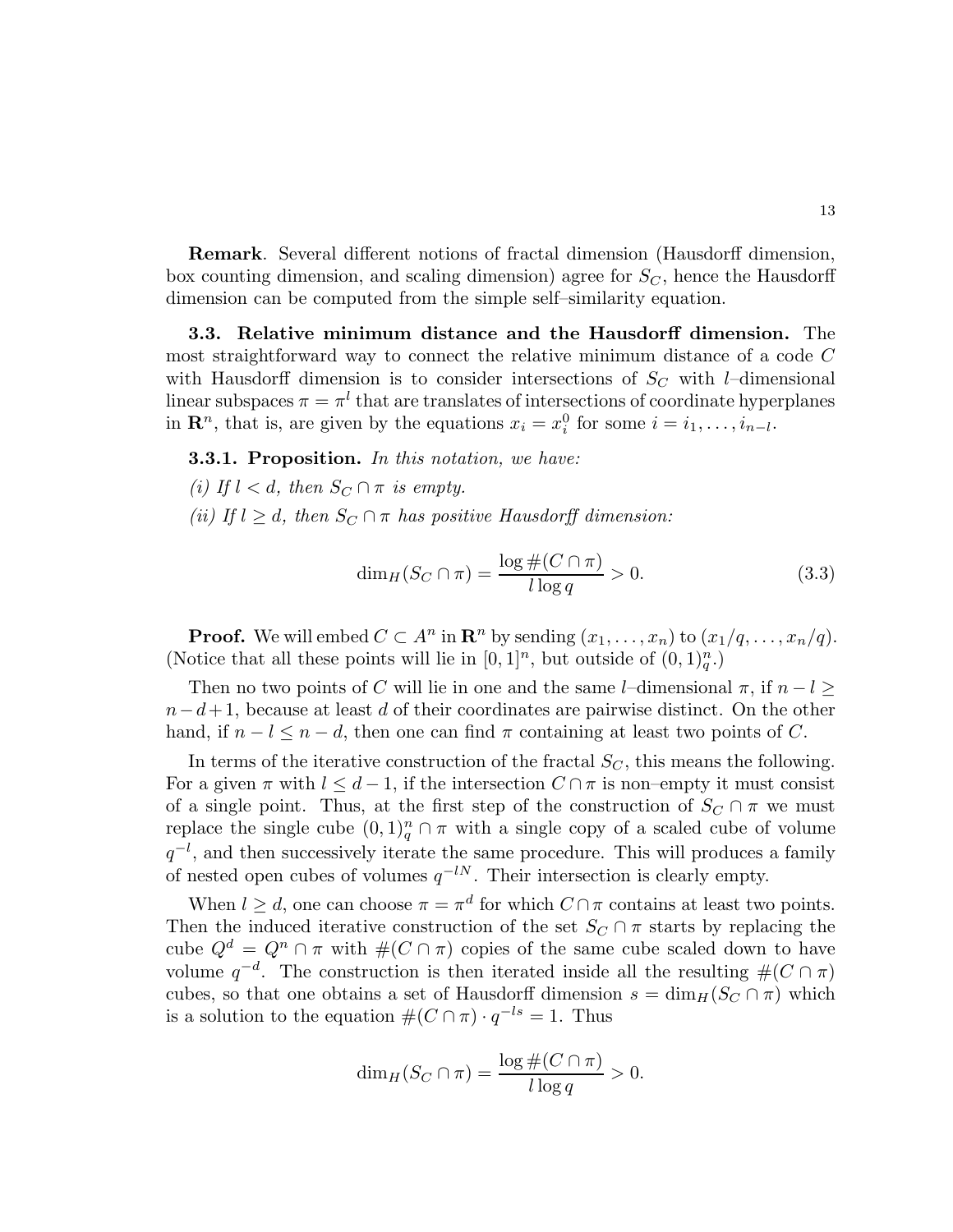Remark. Several different notions of fractal dimension (Hausdorff dimension, box counting dimension, and scaling dimension) agree for  $S_C$ , hence the Hausdorff dimension can be computed from the simple self–similarity equation.

3.3. Relative minimum distance and the Hausdorff dimension. The most straightforward way to connect the relative minimum distance of a code C with Hausdorff dimension is to consider intersections of  $S_C$  with *l*–dimensional linear subspaces  $\pi = \pi^l$  that are translates of intersections of coordinate hyperplanes in  $\mathbf{R}^n$ , that is, are given by the equations  $x_i = x_i^0$  for some  $i = i_1, \ldots, i_{n-l}$ .

**3.3.1. Proposition.** In this notation, we have:

- (i) If  $l < d$ , then  $S_C \cap \pi$  is empty.
- (ii) If  $l \geq d$ , then  $S_C \cap \pi$  has positive Hausdorff dimension:

$$
\dim_H(S_C \cap \pi) = \frac{\log \#(C \cap \pi)}{l \log q} > 0. \tag{3.3}
$$

**Proof.** We will embed  $C \subset A^n$  in  $\mathbb{R}^n$  by sending  $(x_1, \ldots, x_n)$  to  $(x_1/q, \ldots, x_n/q)$ . (Notice that all these points will lie in  $[0,1]^n$ , but outside of  $(0,1)_q^n$ .)

Then no two points of C will lie in one and the same l–dimensional  $\pi$ , if  $n-l \geq$  $n-d+1$ , because at least d of their coordinates are pairwise distinct. On the other hand, if  $n - l \leq n - d$ , then one can find  $\pi$  containing at least two points of C.

In terms of the iterative construction of the fractal  $S_C$ , this means the following. For a given  $\pi$  with  $l \leq d-1$ , if the intersection  $C \cap \pi$  is non–empty it must consist of a single point. Thus, at the first step of the construction of  $S_C \cap \pi$  we must replace the single cube  $(0,1)_q^n \cap \pi$  with a single copy of a scaled cube of volume  $q^{-l}$ , and then successively iterate the same procedure. This will produces a family of nested open cubes of volumes  $q^{-lN}$ . Their intersection is clearly empty.

When  $l \geq d$ , one can choose  $\pi = \pi^d$  for which  $C \cap \pi$  contains at least two points. Then the induced iterative construction of the set  $S_C \cap \pi$  starts by replacing the cube  $Q^d = Q^n \cap \pi$  with  $\#(C \cap \pi)$  copies of the same cube scaled down to have volume  $q^{-d}$ . The construction is then iterated inside all the resulting  $\#(C \cap \pi)$ cubes, so that one obtains a set of Hausdorff dimension  $s = \dim_H(S_C \cap \pi)$  which is a solution to the equation  $\#(C \cap \pi) \cdot q^{-ls} = 1$ . Thus

$$
\dim_H(S_C \cap \pi) = \frac{\log \#(C \cap \pi)}{l \log q} > 0.
$$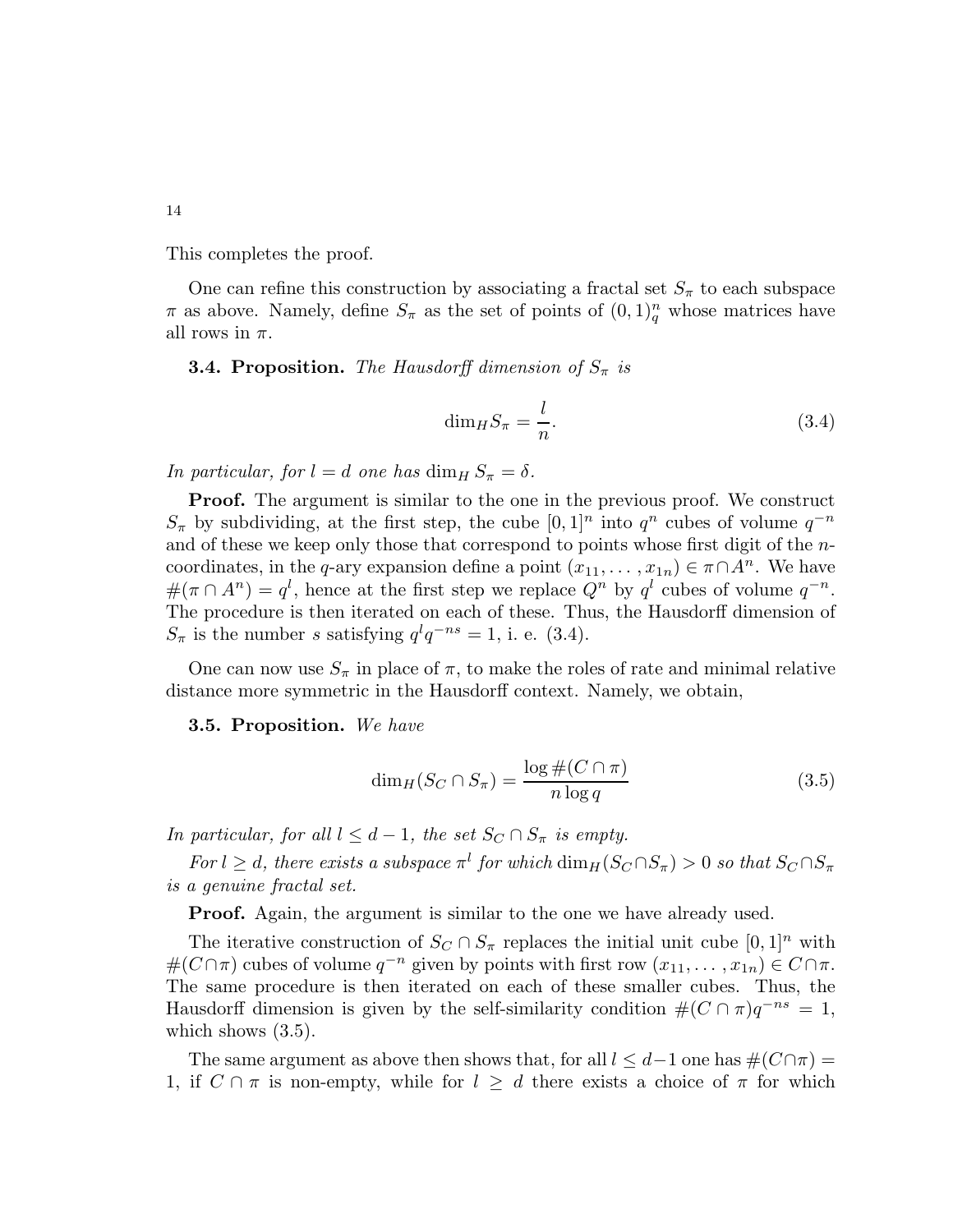This completes the proof.

One can refine this construction by associating a fractal set  $S_{\pi}$  to each subspace  $\pi$  as above. Namely, define  $S_{\pi}$  as the set of points of  $(0,1)_q^n$  whose matrices have all rows in  $\pi$ .

**3.4. Proposition.** The Hausdorff dimension of  $S_{\pi}$  is

$$
\dim_H S_\pi = \frac{l}{n}.\tag{3.4}
$$

In particular, for  $l = d$  one has  $\dim_H S_\pi = \delta$ .

Proof. The argument is similar to the one in the previous proof. We construct  $S_{\pi}$  by subdividing, at the first step, the cube  $[0,1]$ <sup>n</sup> into  $q^n$  cubes of volume  $q^{-n}$ and of these we keep only those that correspond to points whose first digit of the ncoordinates, in the q-ary expansion define a point  $(x_{11}, \ldots, x_{1n}) \in \pi \cap A^n$ . We have  $\#(\pi \cap A^n) = q^l$ , hence at the first step we replace  $Q^n$  by  $q^l$  cubes of volume  $q^{-n}$ . The procedure is then iterated on each of these. Thus, the Hausdorff dimension of  $S_{\pi}$  is the number s satisfying  $q^{l}q^{-ns} = 1$ , i. e. (3.4).

One can now use  $S_{\pi}$  in place of  $\pi$ , to make the roles of rate and minimal relative distance more symmetric in the Hausdorff context. Namely, we obtain,

3.5. Proposition. We have

$$
\dim_H(S_C \cap S_\pi) = \frac{\log \#(C \cap \pi)}{n \log q} \tag{3.5}
$$

In particular, for all  $l \leq d-1$ , the set  $S_C \cap S_{\pi}$  is empty.

For  $l \geq d$ , there exists a subspace  $\pi^l$  for which  $\dim_H(S_C \cap S_{\pi}) > 0$  so that  $S_C \cap S_{\pi}$ is a genuine fractal set.

Proof. Again, the argument is similar to the one we have already used.

The iterative construction of  $S_C \cap S_{\pi}$  replaces the initial unit cube  $[0,1]^n$  with  $#(C \cap \pi)$  cubes of volume  $q^{-n}$  given by points with first row  $(x_{11}, \ldots, x_{1n}) \in C \cap \pi$ . The same procedure is then iterated on each of these smaller cubes. Thus, the Hausdorff dimension is given by the self-similarity condition  $\#(C \cap \pi)q^{-ns} = 1$ , which shows  $(3.5)$ .

The same argument as above then shows that, for all  $l \leq d-1$  one has  $\#(C \cap \pi) =$ 1, if  $C \cap \pi$  is non-empty, while for  $l \geq d$  there exists a choice of  $\pi$  for which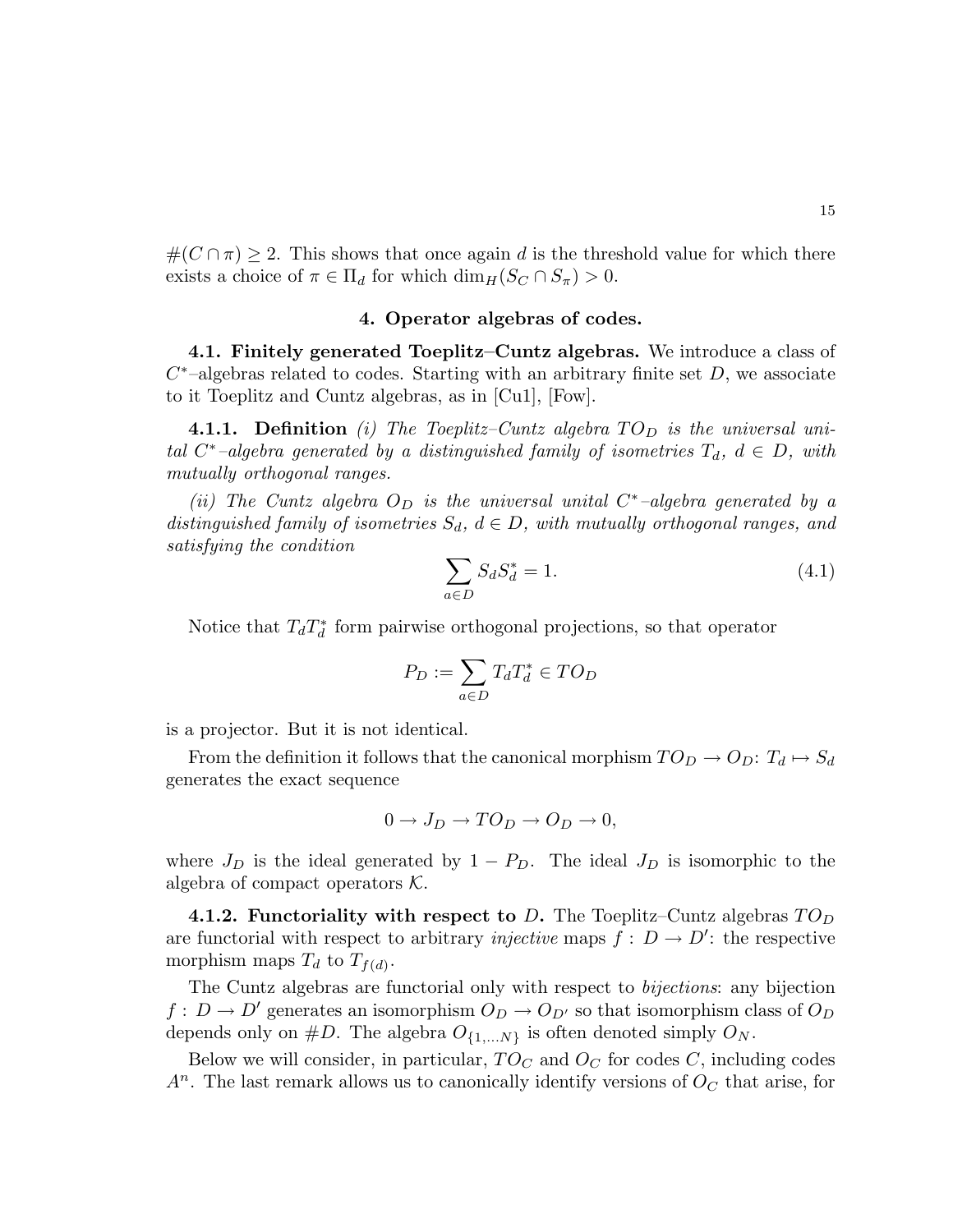15

 $\#(C \cap \pi) \geq 2$ . This shows that once again d is the threshold value for which there exists a choice of  $\pi \in \Pi_d$  for which  $\dim_H(S_C \cap S_{\pi}) > 0$ .

# 4. Operator algebras of codes.

4.1. Finitely generated Toeplitz–Cuntz algebras. We introduce a class of  $C^*$ -algebras related to codes. Starting with an arbitrary finite set  $D$ , we associate to it Toeplitz and Cuntz algebras, as in [Cu1], [Fow].

**4.1.1.** Definition (i) The Toeplitz–Cuntz algebra  $TO_D$  is the universal unital  $C^*$ -algebra generated by a distinguished family of isometries  $T_d$ ,  $d \in D$ , with mutually orthogonal ranges.

(ii) The Cuntz algebra  $O_D$  is the universal unital  $C^*$ -algebra generated by a distinguished family of isometries  $S_d$ ,  $d \in D$ , with mutually orthogonal ranges, and satisfying the condition

$$
\sum_{a \in D} S_d S_d^* = 1. \tag{4.1}
$$

Notice that  $T_d T_d^*$  form pairwise orthogonal projections, so that operator

$$
P_D := \sum_{a \in D} T_d T_d^* \in TO_D
$$

is a projector. But it is not identical.

From the definition it follows that the canonical morphism  $TO_D \rightarrow O_D$ :  $T_d \mapsto S_d$ generates the exact sequence

$$
0 \to J_D \to T O_D \to O_D \to 0,
$$

where  $J_D$  is the ideal generated by  $1 - P_D$ . The ideal  $J_D$  is isomorphic to the algebra of compact operators  $K$ .

4.1.2. Functoriality with respect to D. The Toeplitz–Cuntz algebras  $TO_D$ are functorial with respect to arbitrary *injective* maps  $f: D \to D'$ : the respective morphism maps  $T_d$  to  $T_{f(d)}$ .

The Cuntz algebras are functorial only with respect to bijections: any bijection  $f: D \to D'$  generates an isomorphism  $O_D \to O_{D'}$  so that isomorphism class of  $O_D$ depends only on  $\#D$ . The algebra  $O_{\{1,...N\}}$  is often denoted simply  $O_N$ .

Below we will consider, in particular,  $TO_C$  and  $O_C$  for codes C, including codes  $A<sup>n</sup>$ . The last remark allows us to canonically identify versions of  $O<sub>C</sub>$  that arise, for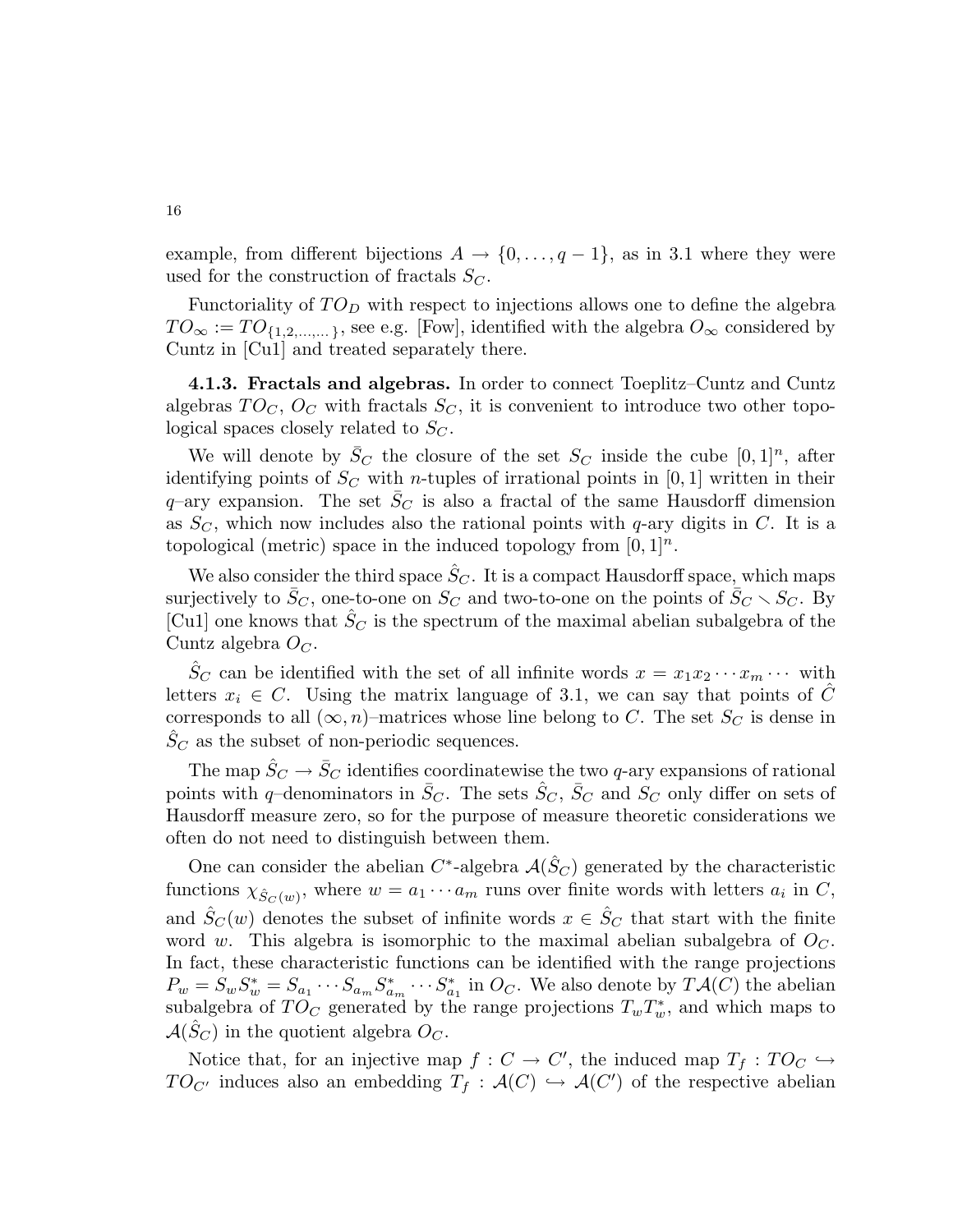example, from different bijections  $A \to \{0, \ldots, q-1\}$ , as in 3.1 where they were used for the construction of fractals  $S_C$ .

Functoriality of  $TO<sub>D</sub>$  with respect to injections allows one to define the algebra  $TO_{\infty} := TO_{\{1,2,\dots,\dots\}}$ , see e.g. [Fow], identified with the algebra  $O_{\infty}$  considered by Cuntz in [Cu1] and treated separately there.

4.1.3. Fractals and algebras. In order to connect Toeplitz–Cuntz and Cuntz algebras  $TO<sub>C</sub>$ ,  $O<sub>C</sub>$  with fractals  $S<sub>C</sub>$ , it is convenient to introduce two other topological spaces closely related to  $S_C$ .

We will denote by  $\bar{S}_C$  the closure of the set  $S_C$  inside the cube  $[0,1]^n$ , after identifying points of  $S_C$  with *n*-tuples of irrational points in [0, 1] written in their  $q$ -ary expansion. The set  $S<sub>C</sub>$  is also a fractal of the same Hausdorff dimension as  $S_C$ , which now includes also the rational points with q-ary digits in C. It is a topological (metric) space in the induced topology from  $[0, 1]^n$ .

We also consider the third space  $S_C$ . It is a compact Hausdorff space, which maps surjectively to  $\bar{S}_C$ , one-to-one on  $S_C$  and two-to-one on the points of  $\bar{S}_C \setminus S_C$ . By [Cu1] one knows that  $\hat{S}_C$  is the spectrum of the maximal abelian subalgebra of the Cuntz algebra  $O<sub>C</sub>$ .

 $S_C$  can be identified with the set of all infinite words  $x = x_1 x_2 \cdots x_m \cdots$  with letters  $x_i \in C$ . Using the matrix language of 3.1, we can say that points of C corresponds to all  $(\infty, n)$ –matrices whose line belong to C. The set  $S_C$  is dense in  $S_C$  as the subset of non-periodic sequences.

The map  $\hat{S}_C \rightarrow \bar{S}_C$  identifies coordinatewise the two q-ary expansions of rational points with q–denominators in  $\bar{S}_C$ . The sets  $\bar{S}_C$ ,  $\bar{S}_C$  and  $S_C$  only differ on sets of Hausdorff measure zero, so for the purpose of measure theoretic considerations we often do not need to distinguish between them.

One can consider the abelian  $C^*$ -algebra  $\mathcal{A}(\hat{S}_C)$  generated by the characteristic functions  $\chi_{\hat{S}_C(w)}$ , where  $w = a_1 \cdots a_m$  runs over finite words with letters  $a_i$  in C, and  $\hat{S}_C(w)$  denotes the subset of infinite words  $x \in \hat{S}_C$  that start with the finite word w. This algebra is isomorphic to the maximal abelian subalgebra of  $O<sub>C</sub>$ . In fact, these characteristic functions can be identified with the range projections  $P_w = S_w S_w^* = S_{a_1} \cdots S_{a_m} S_{a_m}^* \cdots S_{a_1}^*$  in  $O_C$ . We also denote by  $T\mathcal{A}(C)$  the abelian subalgebra of  $TO_C$  generated by the range projections  $T_wT_w^*$ , and which maps to  $\mathcal{A}(S_C)$  in the quotient algebra  $O_C$ .

Notice that, for an injective map  $f: C \to C'$ , the induced map  $T_f: TO_C \hookrightarrow$  $TO_{C'}$  induces also an embedding  $T_f : \mathcal{A}(C) \hookrightarrow \mathcal{A}(C')$  of the respective abelian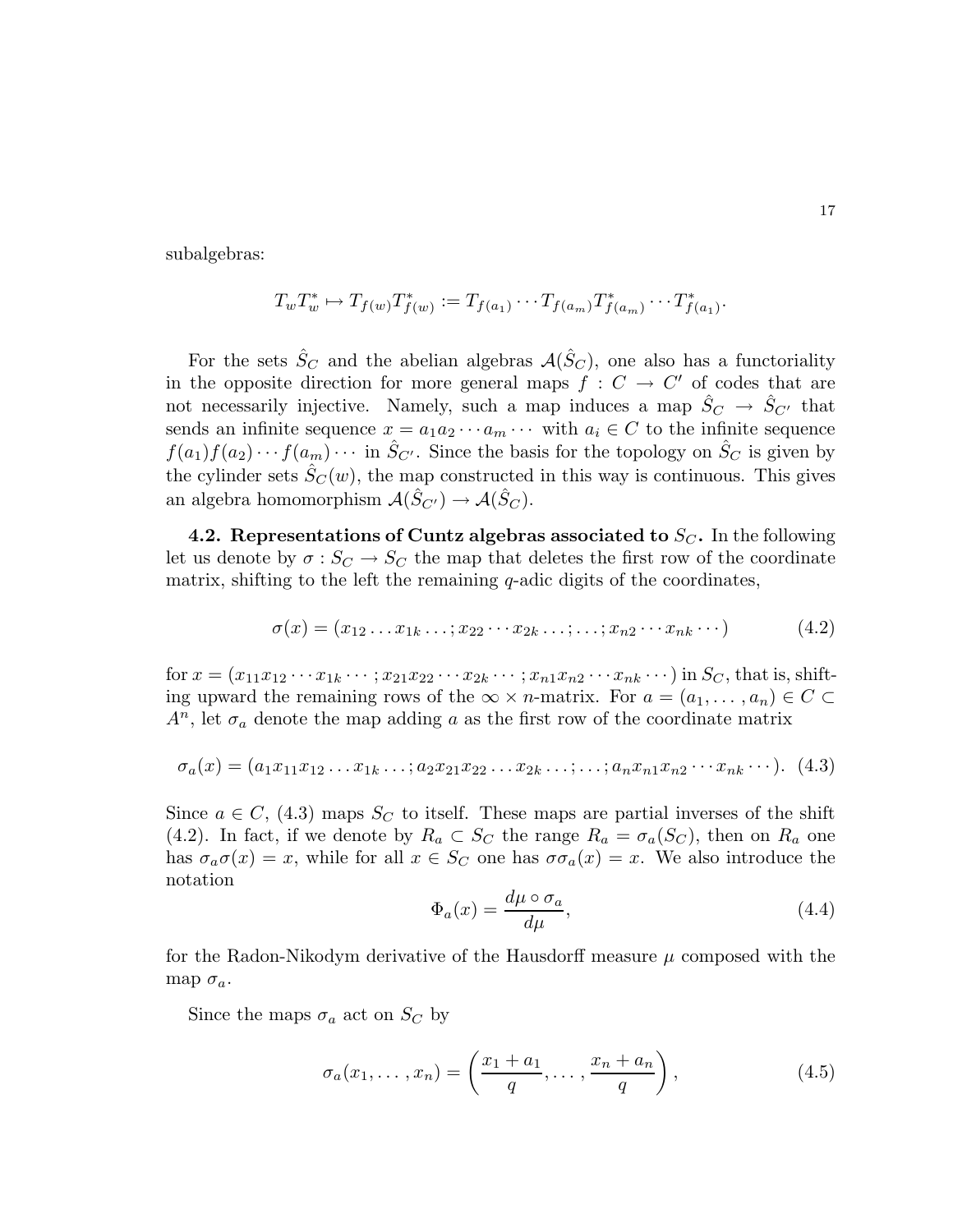subalgebras:

$$
T_w T_w^* \mapsto T_{f(w)} T_{f(w)}^* := T_{f(a_1)} \cdots T_{f(a_m)} T_{f(a_m)}^* \cdots T_{f(a_1)}^*.
$$

For the sets  $\hat{S}_C$  and the abelian algebras  $\mathcal{A}(\hat{S}_C)$ , one also has a functoriality in the opposite direction for more general maps  $f : C \to C'$  of codes that are not necessarily injective. Namely, such a map induces a map  $\hat{S}_C \rightarrow \hat{S}_{C'}$  that sends an infinite sequence  $x = a_1 a_2 \cdots a_m \cdots$  with  $a_i \in C$  to the infinite sequence  $f(a_1)f(a_2)\cdots f(a_m)\cdots$  in  $\hat{S}_{C'}$ . Since the basis for the topology on  $\hat{S}_C$  is given by the cylinder sets  $S_C(w)$ , the map constructed in this way is continuous. This gives an algebra homomorphism  $\mathcal{A}(\hat{S}_{C'}) \to \mathcal{A}(\hat{S}_C)$ .

4.2. Representations of Cuntz algebras associated to  $S_C$ . In the following let us denote by  $\sigma: S_C \to S_C$  the map that deletes the first row of the coordinate matrix, shifting to the left the remaining  $q$ -adic digits of the coordinates,

$$
\sigma(x) = (x_{12} \dots x_{1k} \dots; x_{22} \dots x_{2k} \dots; \dots; x_{n2} \dots x_{nk} \dots)
$$
\n
$$
(4.2)
$$

for  $x = (x_{11}x_{12} \cdots x_{1k} \cdots ; x_{21}x_{22} \cdots x_{2k} \cdots ; x_{n1}x_{n2} \cdots x_{nk} \cdots)$  in  $S_C$ , that is, shifting upward the remaining rows of the  $\infty \times n$ -matrix. For  $a = (a_1, \ldots, a_n) \in C \subset$  $A^n$ , let  $\sigma_a$  denote the map adding a as the first row of the coordinate matrix

$$
\sigma_a(x) = (a_1x_{11}x_{12}...x_{1k}...; a_2x_{21}x_{22}...x_{2k}...;...; a_nx_{n1}x_{n2}...x_{nk}...).
$$
 (4.3)

Since  $a \in C$ , (4.3) maps  $S_C$  to itself. These maps are partial inverses of the shift (4.2). In fact, if we denote by  $R_a \subset S_C$  the range  $R_a = \sigma_a(S_C)$ , then on  $R_a$  one has  $\sigma_a \sigma(x) = x$ , while for all  $x \in S_C$  one has  $\sigma_a(x) = x$ . We also introduce the notation

$$
\Phi_a(x) = \frac{d\mu \circ \sigma_a}{d\mu},\tag{4.4}
$$

for the Radon-Nikodym derivative of the Hausdorff measure  $\mu$  composed with the map  $\sigma_a$ .

Since the maps  $\sigma_a$  act on  $S_C$  by

$$
\sigma_a(x_1,\ldots,x_n) = \left(\frac{x_1 + a_1}{q},\ldots,\frac{x_n + a_n}{q}\right),\tag{4.5}
$$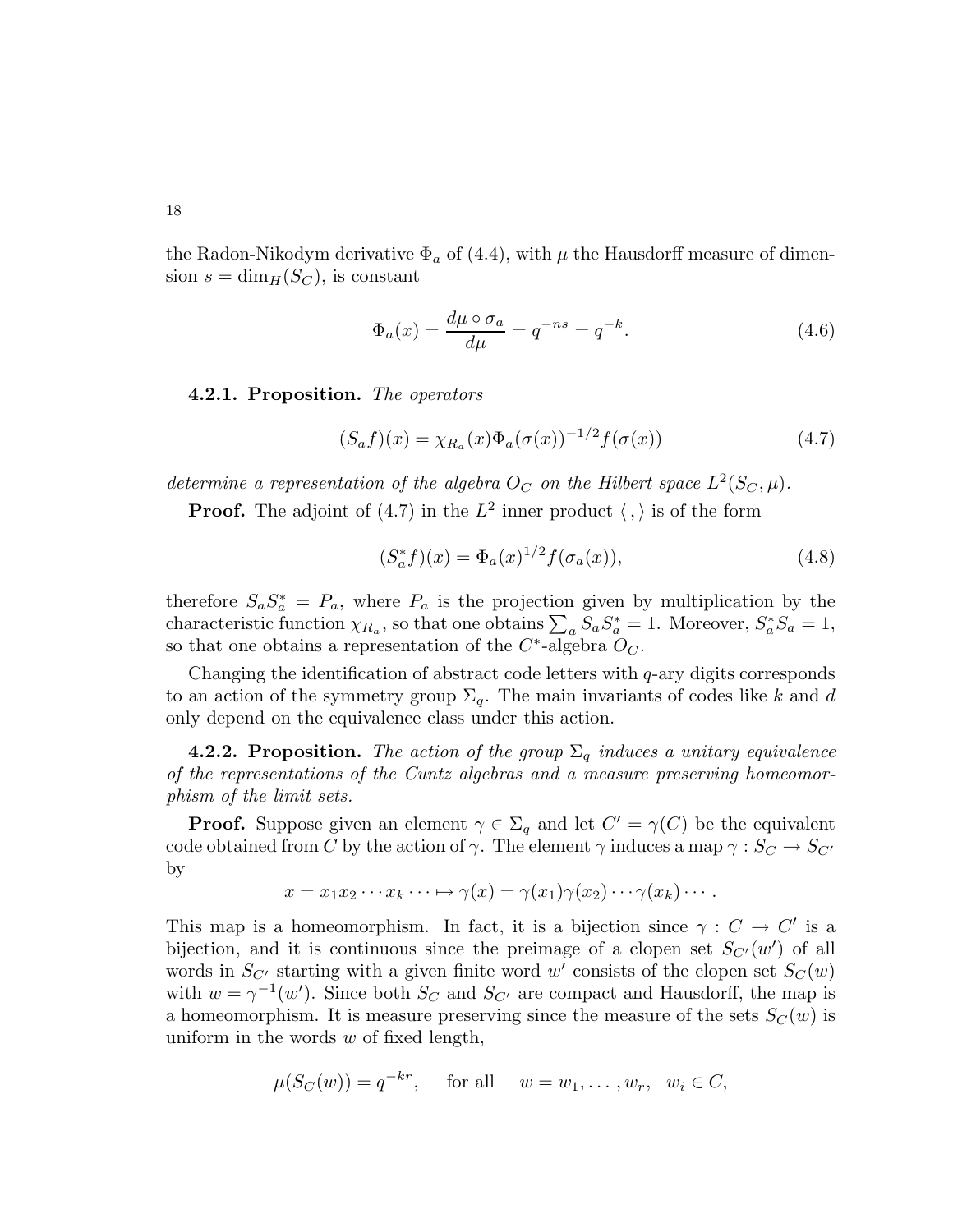the Radon-Nikodym derivative  $\Phi_a$  of (4.4), with  $\mu$  the Hausdorff measure of dimension  $s = \dim_H(S_C)$ , is constant

$$
\Phi_a(x) = \frac{d\mu \circ \sigma_a}{d\mu} = q^{-ns} = q^{-k}.\tag{4.6}
$$

4.2.1. Proposition. The operators

$$
(S_a f)(x) = \chi_{R_a}(x) \Phi_a(\sigma(x))^{-1/2} f(\sigma(x))
$$
\n(4.7)

determine a representation of the algebra  $O_C$  on the Hilbert space  $L^2(S_C, \mu)$ .

**Proof.** The adjoint of (4.7) in the  $L^2$  inner product  $\langle , \rangle$  is of the form

$$
(S_a^* f)(x) = \Phi_a(x)^{1/2} f(\sigma_a(x)), \tag{4.8}
$$

therefore  $S_a S_a^* = P_a$ , where  $P_a$  is the projection given by multiplication by the characteristic function  $\chi_{R_a}$ , so that one obtains  $\sum_a S_a S_a^* = 1$ . Moreover,  $S_a^* S_a = 1$ , so that one obtains a representation of the  $C^*$ -algebra  $O_C$ .

Changing the identification of abstract code letters with  $q$ -ary digits corresponds to an action of the symmetry group  $\Sigma_q$ . The main invariants of codes like k and d only depend on the equivalence class under this action.

**4.2.2. Proposition.** The action of the group  $\Sigma_q$  induces a unitary equivalence of the representations of the Cuntz algebras and a measure preserving homeomorphism of the limit sets.

**Proof.** Suppose given an element  $\gamma \in \Sigma_q$  and let  $C' = \gamma(C)$  be the equivalent code obtained from C by the action of  $\gamma$ . The element  $\gamma$  induces a map  $\gamma : S_C \to S_{C'}$ by

$$
x = x_1 x_2 \cdots x_k \cdots \mapsto \gamma(x) = \gamma(x_1) \gamma(x_2) \cdots \gamma(x_k) \cdots.
$$

This map is a homeomorphism. In fact, it is a bijection since  $\gamma : C \to C'$  is a bijection, and it is continuous since the preimage of a clopen set  $S_{C'}(w')$  of all words in  $S_{C'}$  starting with a given finite word w' consists of the clopen set  $S_C(w)$ with  $w = \gamma^{-1}(w')$ . Since both  $S_C$  and  $S_{C'}$  are compact and Hausdorff, the map is a homeomorphism. It is measure preserving since the measure of the sets  $S_C(w)$  is uniform in the words  $w$  of fixed length,

$$
\mu(S_C(w)) = q^{-kr}
$$
, for all  $w = w_1, ..., w_r, w_i \in C$ ,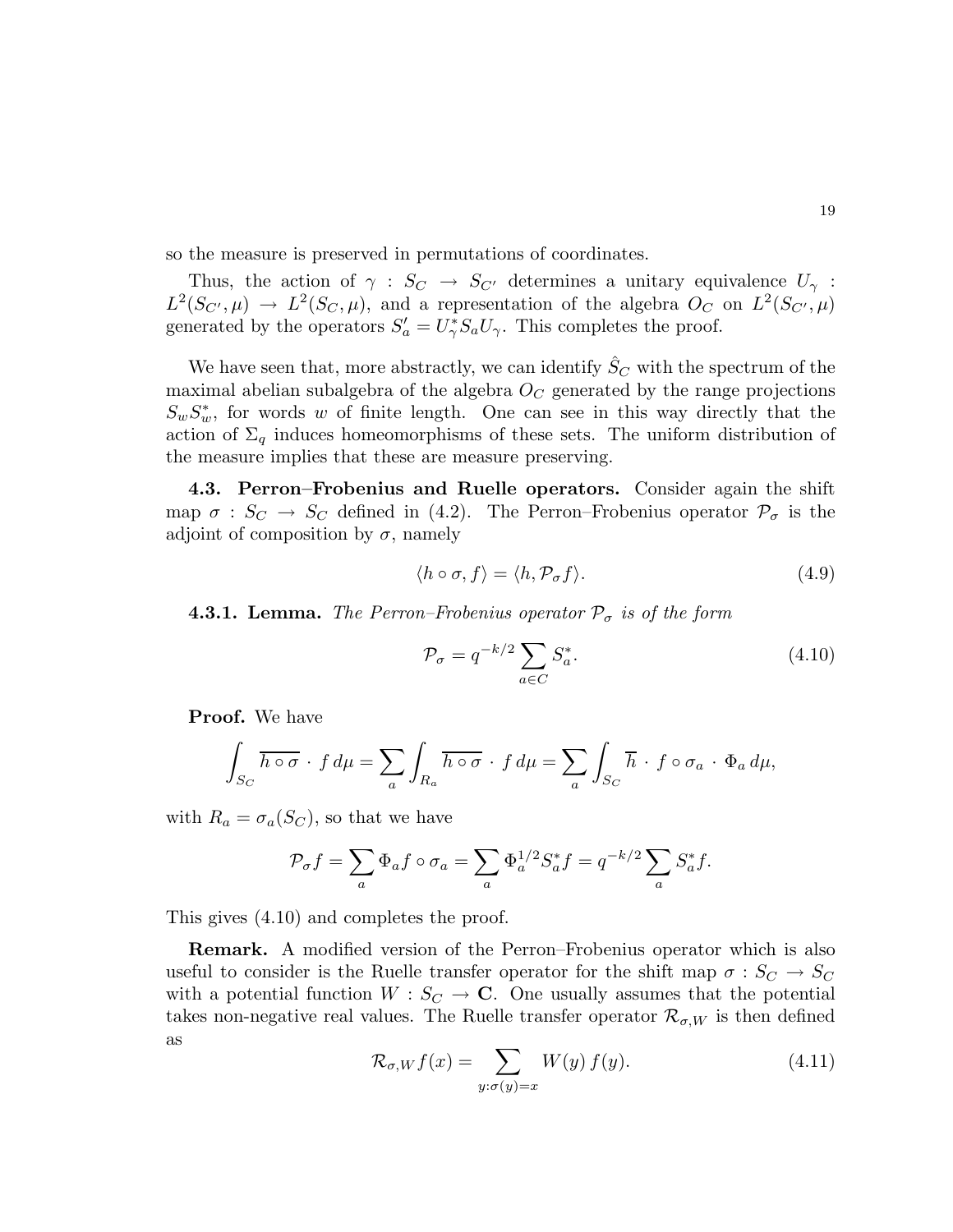so the measure is preserved in permutations of coordinates.

Thus, the action of  $\gamma : S_C \to S_{C'}$  determines a unitary equivalence  $U_{\gamma}$ :  $L^2(S_{C'}, \mu) \to L^2(S_C, \mu)$ , and a representation of the algebra  $O_C$  on  $L^2(S_{C'}, \mu)$ generated by the operators  $S'_a = U^*_{\gamma} S_a U_{\gamma}$ . This completes the proof.

We have seen that, more abstractly, we can identify  $\hat{S}_C$  with the spectrum of the maximal abelian subalgebra of the algebra  $O<sub>C</sub>$  generated by the range projections  $S_w S_w^*$ , for words w of finite length. One can see in this way directly that the action of  $\Sigma_q$  induces homeomorphisms of these sets. The uniform distribution of the measure implies that these are measure preserving.

4.3. Perron–Frobenius and Ruelle operators. Consider again the shift map  $\sigma : S_C \to S_C$  defined in (4.2). The Perron–Frobenius operator  $\mathcal{P}_{\sigma}$  is the adjoint of composition by  $\sigma$ , namely

$$
\langle h \circ \sigma, f \rangle = \langle h, \mathcal{P}_{\sigma} f \rangle. \tag{4.9}
$$

**4.3.1. Lemma.** The Perron–Frobenius operator  $P_{\sigma}$  is of the form

$$
\mathcal{P}_{\sigma} = q^{-k/2} \sum_{a \in C} S_a^*.
$$
\n(4.10)

Proof. We have

$$
\int_{S_C} \overline{h \circ \sigma} \cdot f \, d\mu = \sum_a \int_{R_a} \overline{h \circ \sigma} \cdot f \, d\mu = \sum_a \int_{S_C} \overline{h} \cdot f \circ \sigma_a \cdot \Phi_a \, d\mu,
$$

with  $R_a = \sigma_a(S_C)$ , so that we have

$$
\mathcal{P}_{\sigma}f = \sum_{a} \Phi_{a}f \circ \sigma_{a} = \sum_{a} \Phi_{a}^{1/2} S_{a}^{*}f = q^{-k/2} \sum_{a} S_{a}^{*}f.
$$

This gives (4.10) and completes the proof.

Remark. A modified version of the Perron–Frobenius operator which is also useful to consider is the Ruelle transfer operator for the shift map  $\sigma : S_C \to S_C$ with a potential function  $W : S_C \to \mathbb{C}$ . One usually assumes that the potential takes non-negative real values. The Ruelle transfer operator  $\mathcal{R}_{\sigma,W}$  is then defined as

$$
\mathcal{R}_{\sigma,W}f(x) = \sum_{y:\sigma(y)=x} W(y) f(y).
$$
\n(4.11)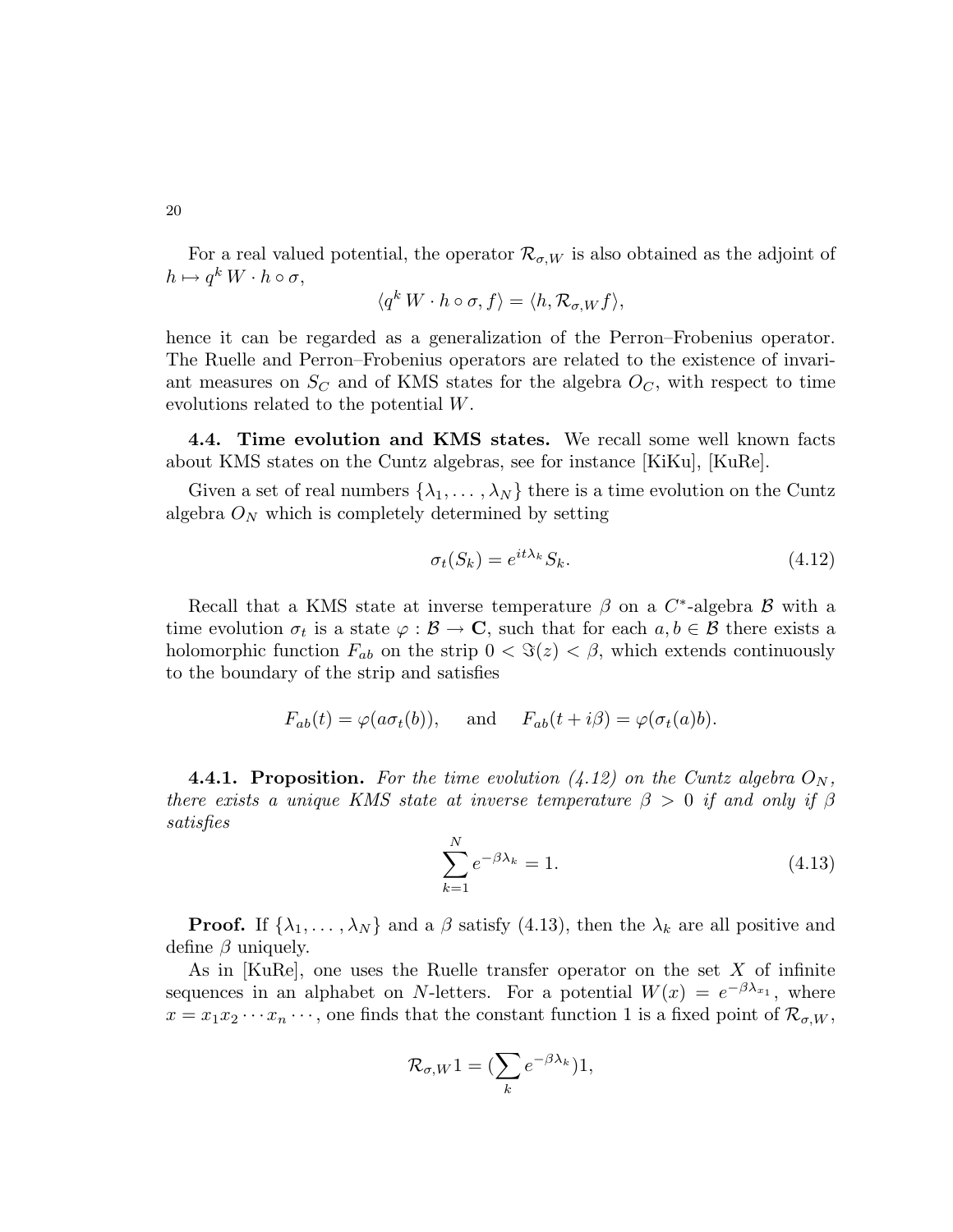20

For a real valued potential, the operator  $\mathcal{R}_{\sigma,W}$  is also obtained as the adjoint of  $h \mapsto q^k W \cdot h \circ \sigma,$ 

$$
\langle q^k W \cdot h \circ \sigma, f \rangle = \langle h, \mathcal{R}_{\sigma, W} f \rangle,
$$

hence it can be regarded as a generalization of the Perron–Frobenius operator. The Ruelle and Perron–Frobenius operators are related to the existence of invariant measures on  $S_C$  and of KMS states for the algebra  $O_C$ , with respect to time evolutions related to the potential W.

4.4. Time evolution and KMS states. We recall some well known facts about KMS states on the Cuntz algebras, see for instance [KiKu], [KuRe].

Given a set of real numbers  $\{\lambda_1, \ldots, \lambda_N\}$  there is a time evolution on the Cuntz algebra  $O<sub>N</sub>$  which is completely determined by setting

$$
\sigma_t(S_k) = e^{it\lambda_k} S_k. \tag{4.12}
$$

Recall that a KMS state at inverse temperature  $\beta$  on a  $C^*$ -algebra  $\beta$  with a time evolution  $\sigma_t$  is a state  $\varphi : \mathcal{B} \to \mathbf{C}$ , such that for each  $a, b \in \mathcal{B}$  there exists a holomorphic function  $F_{ab}$  on the strip  $0 < \Im(z) < \beta$ , which extends continuously to the boundary of the strip and satisfies

$$
F_{ab}(t) = \varphi(a\sigma_t(b)),
$$
 and  $F_{ab}(t + i\beta) = \varphi(\sigma_t(a)b).$ 

**4.4.1. Proposition.** For the time evolution (4.12) on the Cuntz algebra  $O_N$ , there exists a unique KMS state at inverse temperature  $\beta > 0$  if and only if  $\beta$ satisfies

$$
\sum_{k=1}^{N} e^{-\beta \lambda_k} = 1.
$$
\n(4.13)

**Proof.** If  $\{\lambda_1, \ldots, \lambda_N\}$  and a  $\beta$  satisfy (4.13), then the  $\lambda_k$  are all positive and define  $\beta$  uniquely.

As in [KuRe], one uses the Ruelle transfer operator on the set X of infinite sequences in an alphabet on N-letters. For a potential  $W(x) = e^{-\beta \lambda_{x_1}}$ , where  $x = x_1x_2\cdots x_n\cdots$ , one finds that the constant function 1 is a fixed point of  $\mathcal{R}_{\sigma,W}$ ,

$$
\mathcal{R}_{\sigma,W}1 = (\sum_{k} e^{-\beta \lambda_k})1,
$$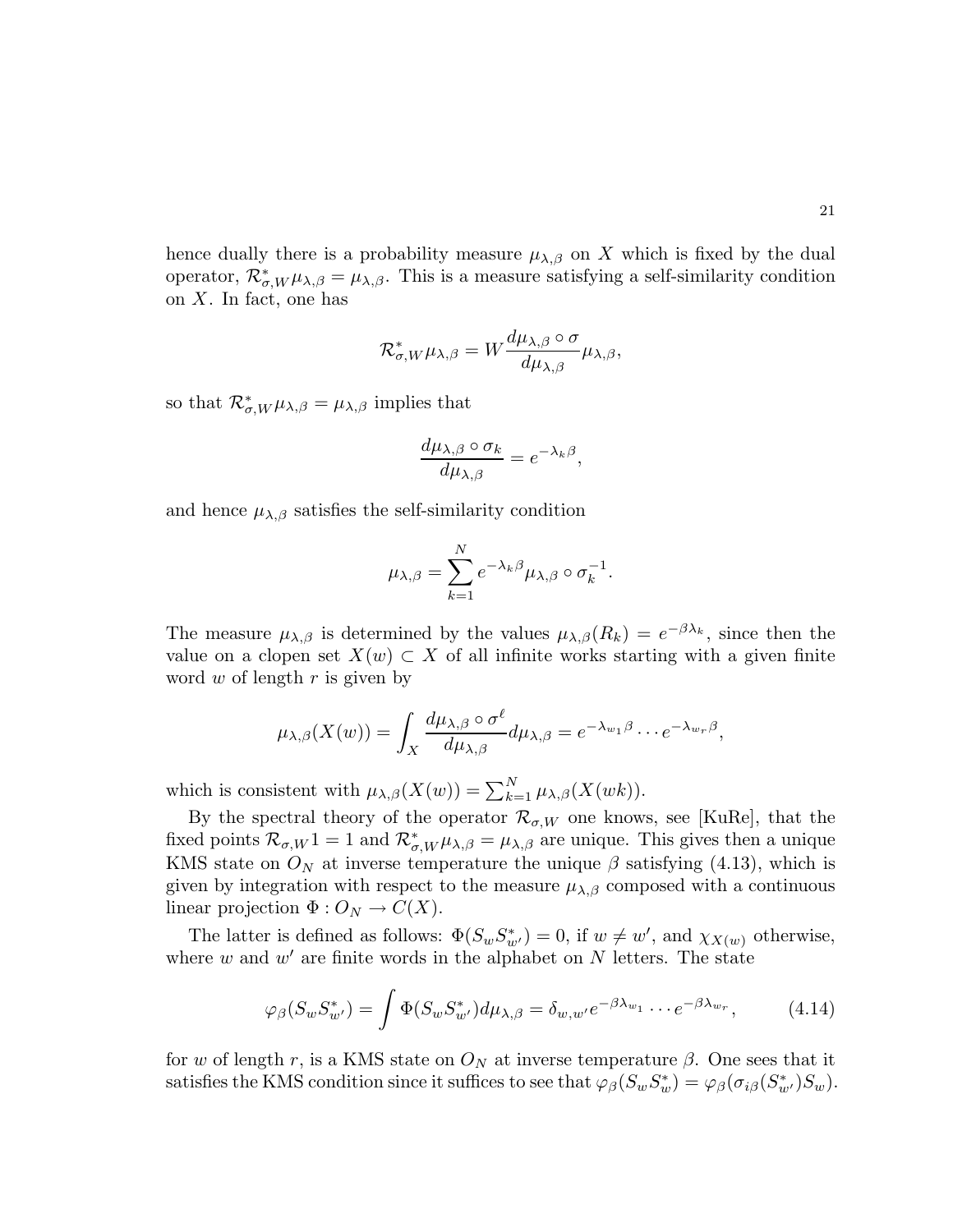hence dually there is a probability measure  $\mu_{\lambda,\beta}$  on X which is fixed by the dual operator,  $\mathcal{R}_{\sigma,W}^* \mu_{\lambda,\beta} = \mu_{\lambda,\beta}$ . This is a measure satisfying a self-similarity condition on X. In fact, one has

$$
\mathcal{R}_{\sigma,W}^* \mu_{\lambda,\beta} = W \frac{d \mu_{\lambda,\beta} \circ \sigma}{d \mu_{\lambda,\beta}} \mu_{\lambda,\beta},
$$

so that  $\mathcal{R}_{\sigma,W}^* \mu_{\lambda,\beta} = \mu_{\lambda,\beta}$  implies that

$$
\frac{d\mu_{\lambda,\beta} \circ \sigma_k}{d\mu_{\lambda,\beta}} = e^{-\lambda_k \beta},
$$

and hence  $\mu_{\lambda,\beta}$  satisfies the self-similarity condition

$$
\mu_{\lambda,\beta} = \sum_{k=1}^N e^{-\lambda_k \beta} \mu_{\lambda,\beta} \circ \sigma_k^{-1}.
$$

The measure  $\mu_{\lambda,\beta}$  is determined by the values  $\mu_{\lambda,\beta}(R_k) = e^{-\beta \lambda_k}$ , since then the value on a clopen set  $X(w) \subset X$  of all infinite works starting with a given finite word  $w$  of length  $r$  is given by

$$
\mu_{\lambda,\beta}(X(w)) = \int_X \frac{d\mu_{\lambda,\beta} \circ \sigma^{\ell}}{d\mu_{\lambda,\beta}} d\mu_{\lambda,\beta} = e^{-\lambda_{w_1}\beta} \cdots e^{-\lambda_{w_r}\beta},
$$

which is consistent with  $\mu_{\lambda,\beta}(X(w)) = \sum_{k=1}^{N} \mu_{\lambda,\beta}(X(wk)).$ 

By the spectral theory of the operator  $\mathcal{R}_{\sigma,W}$  one knows, see [KuRe], that the fixed points  $\mathcal{R}_{\sigma,W}1 = 1$  and  $\mathcal{R}_{\sigma,W}^* \mu_{\lambda,\beta} = \mu_{\lambda,\beta}$  are unique. This gives then a unique KMS state on  $O<sub>N</sub>$  at inverse temperature the unique  $\beta$  satisfying (4.13), which is given by integration with respect to the measure  $\mu_{\lambda,\beta}$  composed with a continuous linear projection  $\Phi: O_N \to C(X)$ .

The latter is defined as follows:  $\Phi(S_w S_{w'}^*) = 0$ , if  $w \neq w'$ , and  $\chi_{X(w)}$  otherwise, where  $w$  and  $w'$  are finite words in the alphabet on  $N$  letters. The state

$$
\varphi_{\beta}(S_w S_{w'}^*) = \int \Phi(S_w S_{w'}^*) d\mu_{\lambda,\beta} = \delta_{w,w'} e^{-\beta \lambda_{w_1}} \cdots e^{-\beta \lambda_{w_r}}, \tag{4.14}
$$

for w of length r, is a KMS state on  $O<sub>N</sub>$  at inverse temperature  $\beta$ . One sees that it satisfies the KMS condition since it suffices to see that  $\varphi_{\beta}(S_wS_w^*) = \varphi_{\beta}(\sigma_{i\beta}(S_{w'}^*)S_w)$ .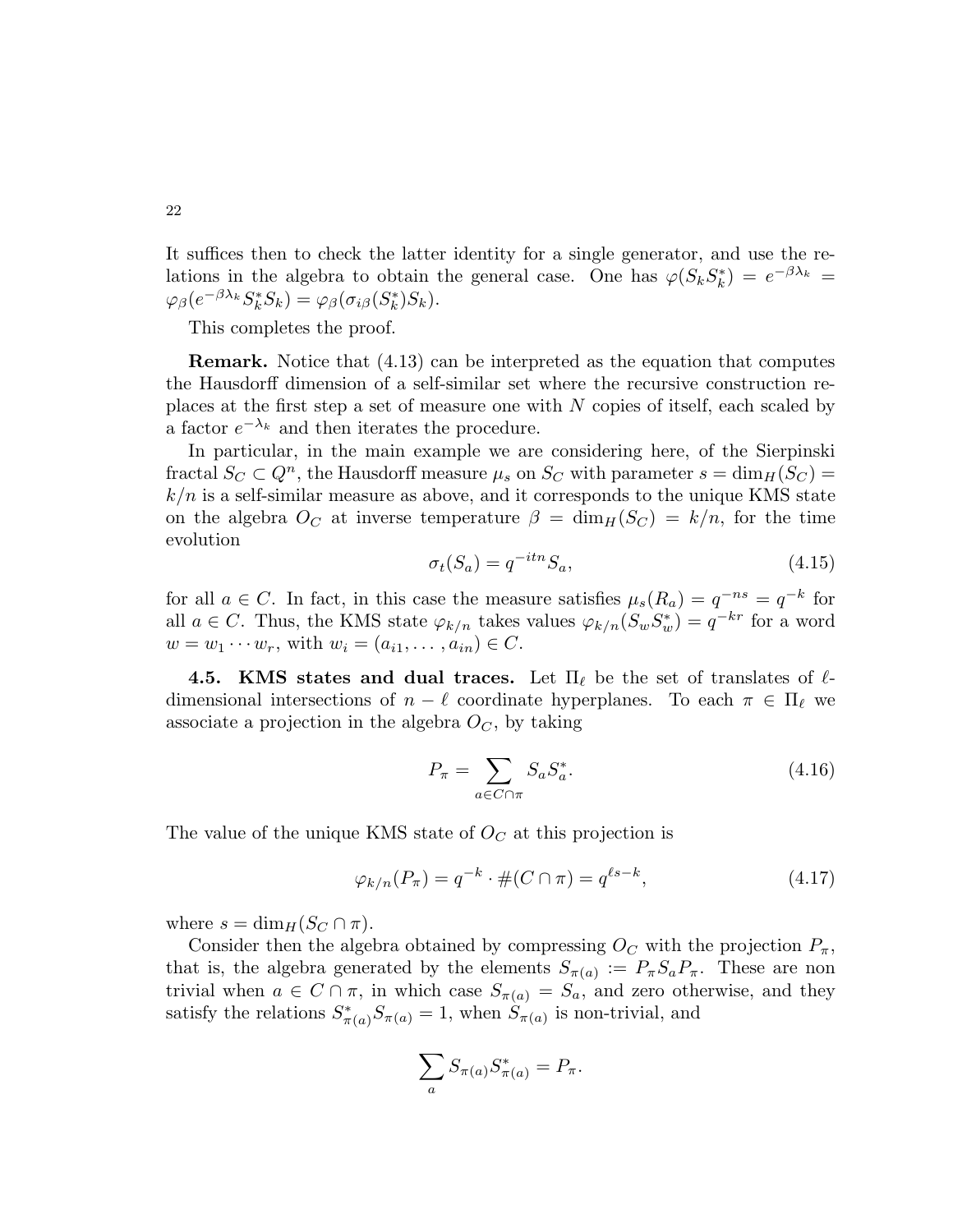It suffices then to check the latter identity for a single generator, and use the relations in the algebra to obtain the general case. One has  $\varphi(S_k S_k^*) = e^{-\beta \lambda_k} =$  $\varphi_{\beta}(e^{-\beta \lambda_k} S_k^* S_k) = \varphi_{\beta}(\sigma_{i\beta}(S_k^*) S_k).$ 

This completes the proof.

Remark. Notice that (4.13) can be interpreted as the equation that computes the Hausdorff dimension of a self-similar set where the recursive construction replaces at the first step a set of measure one with N copies of itself, each scaled by a factor  $e^{-\lambda_k}$  and then iterates the procedure.

In particular, in the main example we are considering here, of the Sierpinski fractal  $S_C \subset Q^n$ , the Hausdorff measure  $\mu_s$  on  $S_C$  with parameter  $s = \dim_H(S_C) =$  $k/n$  is a self-similar measure as above, and it corresponds to the unique KMS state on the algebra  $O_C$  at inverse temperature  $\beta = \dim_H(S_C) = k/n$ , for the time evolution

$$
\sigma_t(S_a) = q^{-itn} S_a,\tag{4.15}
$$

for all  $a \in C$ . In fact, in this case the measure satisfies  $\mu_s(R_a) = q^{-ns} = q^{-k}$  for all  $a \in C$ . Thus, the KMS state  $\varphi_{k/n}$  takes values  $\varphi_{k/n}(S_wS_w^*) = q^{-kr}$  for a word  $w = w_1 \cdots w_r$ , with  $w_i = (a_{i1}, \ldots, a_{in}) \in C$ .

4.5. KMS states and dual traces. Let  $\Pi_{\ell}$  be the set of translates of  $\ell$ dimensional intersections of  $n - \ell$  coordinate hyperplanes. To each  $\pi \in \Pi_{\ell}$  we associate a projection in the algebra  $O<sub>C</sub>$ , by taking

$$
P_{\pi} = \sum_{a \in C \cap \pi} S_a S_a^*.
$$
\n
$$
(4.16)
$$

The value of the unique KMS state of  $O<sub>C</sub>$  at this projection is

$$
\varphi_{k/n}(P_\pi) = q^{-k} \cdot \#(C \cap \pi) = q^{\ell s - k},\tag{4.17}
$$

where  $s = \dim_H(S_C \cap \pi)$ .

Consider then the algebra obtained by compressing  $O<sub>C</sub>$  with the projection  $P<sub>\pi</sub>$ , that is, the algebra generated by the elements  $S_{\pi(a)} := P_{\pi} S_a P_{\pi}$ . These are non trivial when  $a \in C \cap \pi$ , in which case  $S_{\pi(a)} = S_a$ , and zero otherwise, and they satisfy the relations  $S^*$  $\pi^*_{\pi(a)} S_{\pi(a)} = 1$ , when  $S_{\pi(a)}$  is non-trivial, and

$$
\sum_a S_{\pi(a)} S_{\pi(a)}^* = P_{\pi}.
$$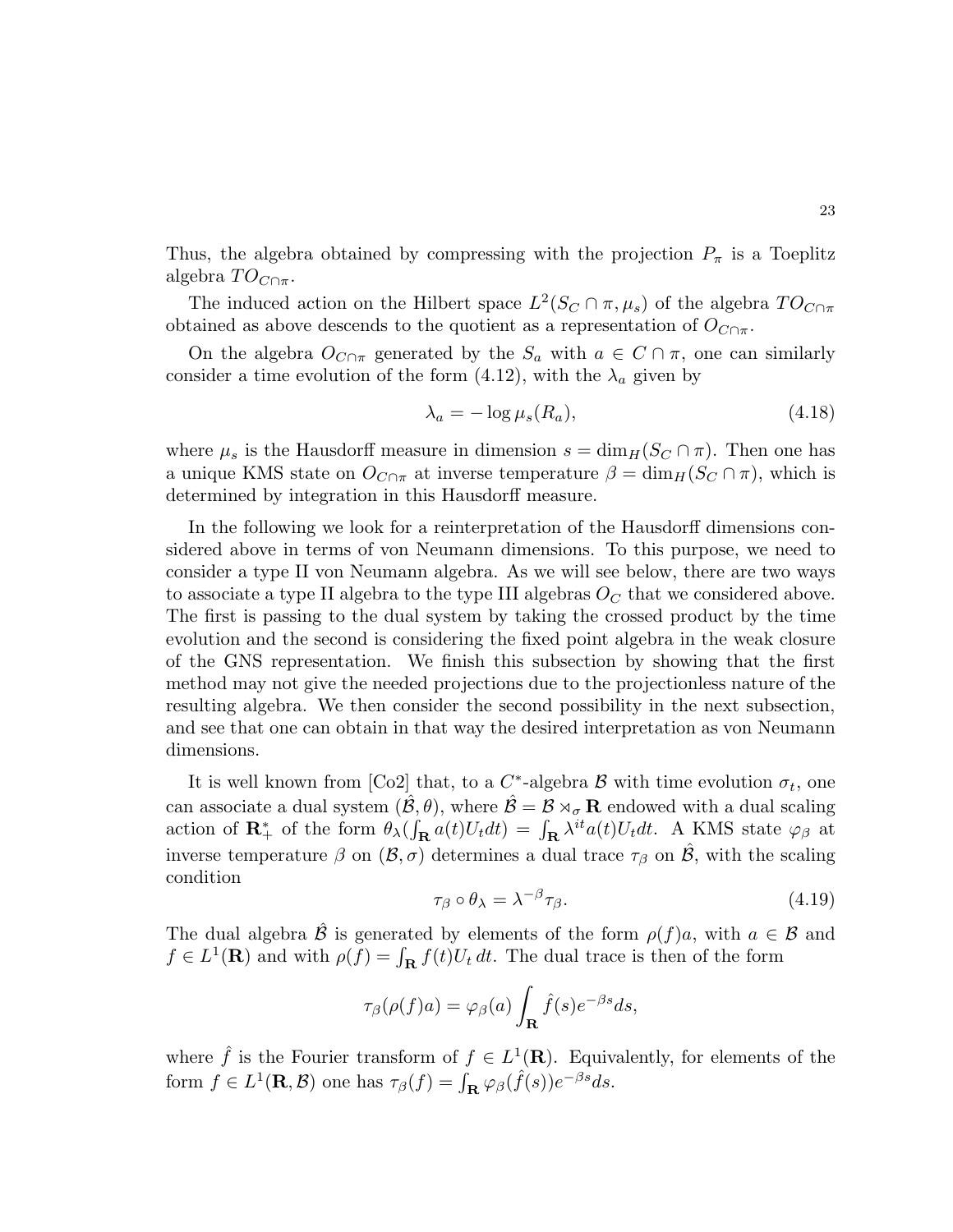Thus, the algebra obtained by compressing with the projection  $P_{\pi}$  is a Toeplitz algebra  $TO_{C \cap \pi}$ .

The induced action on the Hilbert space  $L^2(S_C \cap \pi, \mu_s)$  of the algebra  $TO_{C \cap \pi}$ obtained as above descends to the quotient as a representation of  $O_{C \cap \pi}$ .

On the algebra  $O_{C \cap \pi}$  generated by the  $S_a$  with  $a \in C \cap \pi$ , one can similarly consider a time evolution of the form (4.12), with the  $\lambda_a$  given by

$$
\lambda_a = -\log \mu_s(R_a),\tag{4.18}
$$

where  $\mu_s$  is the Hausdorff measure in dimension  $s = \dim_H(S_C \cap \pi)$ . Then one has a unique KMS state on  $O_{C \cap \pi}$  at inverse temperature  $\beta = \dim_H(S_C \cap \pi)$ , which is determined by integration in this Hausdorff measure.

In the following we look for a reinterpretation of the Hausdorff dimensions considered above in terms of von Neumann dimensions. To this purpose, we need to consider a type II von Neumann algebra. As we will see below, there are two ways to associate a type II algebra to the type III algebras  $O<sub>C</sub>$  that we considered above. The first is passing to the dual system by taking the crossed product by the time evolution and the second is considering the fixed point algebra in the weak closure of the GNS representation. We finish this subsection by showing that the first method may not give the needed projections due to the projectionless nature of the resulting algebra. We then consider the second possibility in the next subsection, and see that one can obtain in that way the desired interpretation as von Neumann dimensions.

It is well known from  $[Co2]$  that, to a  $C^*$ -algebra  $\mathcal B$  with time evolution  $\sigma_t$ , one can associate a dual system  $(\hat{\mathcal{B}}, \theta)$ , where  $\hat{\mathcal{B}} = \mathcal{B} \rtimes_{\sigma} \mathbf{R}$  endowed with a dual scaling action of  $\mathbf{R}^*_+$  of the form  $\theta_\lambda(\int_\mathbf{R} a(t)U_t dt) = \int_\mathbf{R} \lambda^{it} a(t)U_t dt$ . A KMS state  $\varphi_\beta$  at inverse temperature  $\beta$  on  $(\mathcal{B}, \sigma)$  determines a dual trace  $\tau_{\beta}$  on  $\hat{\mathcal{B}}$ , with the scaling condition

$$
\tau_{\beta} \circ \theta_{\lambda} = \lambda^{-\beta} \tau_{\beta}.
$$
\n(4.19)

The dual algebra  $\hat{\mathcal{B}}$  is generated by elements of the form  $\rho(f)a$ , with  $a \in \mathcal{B}$  and  $f \in L^1(\mathbf{R})$  and with  $\rho(f) = \int_{\mathbf{R}} f(t)U_t dt$ . The dual trace is then of the form

$$
\tau_{\beta}(\rho(f)a) = \varphi_{\beta}(a) \int_{\mathbf{R}} \hat{f}(s) e^{-\beta s} ds,
$$

where  $\hat{f}$  is the Fourier transform of  $f \in L^1(\mathbf{R})$ . Equivalently, for elements of the form  $f \in L^1(\mathbf{R}, \mathcal{B})$  one has  $\tau_\beta(f) = \int_{\mathbf{R}} \varphi_\beta(\hat{f}(s)) e^{-\beta s} ds$ .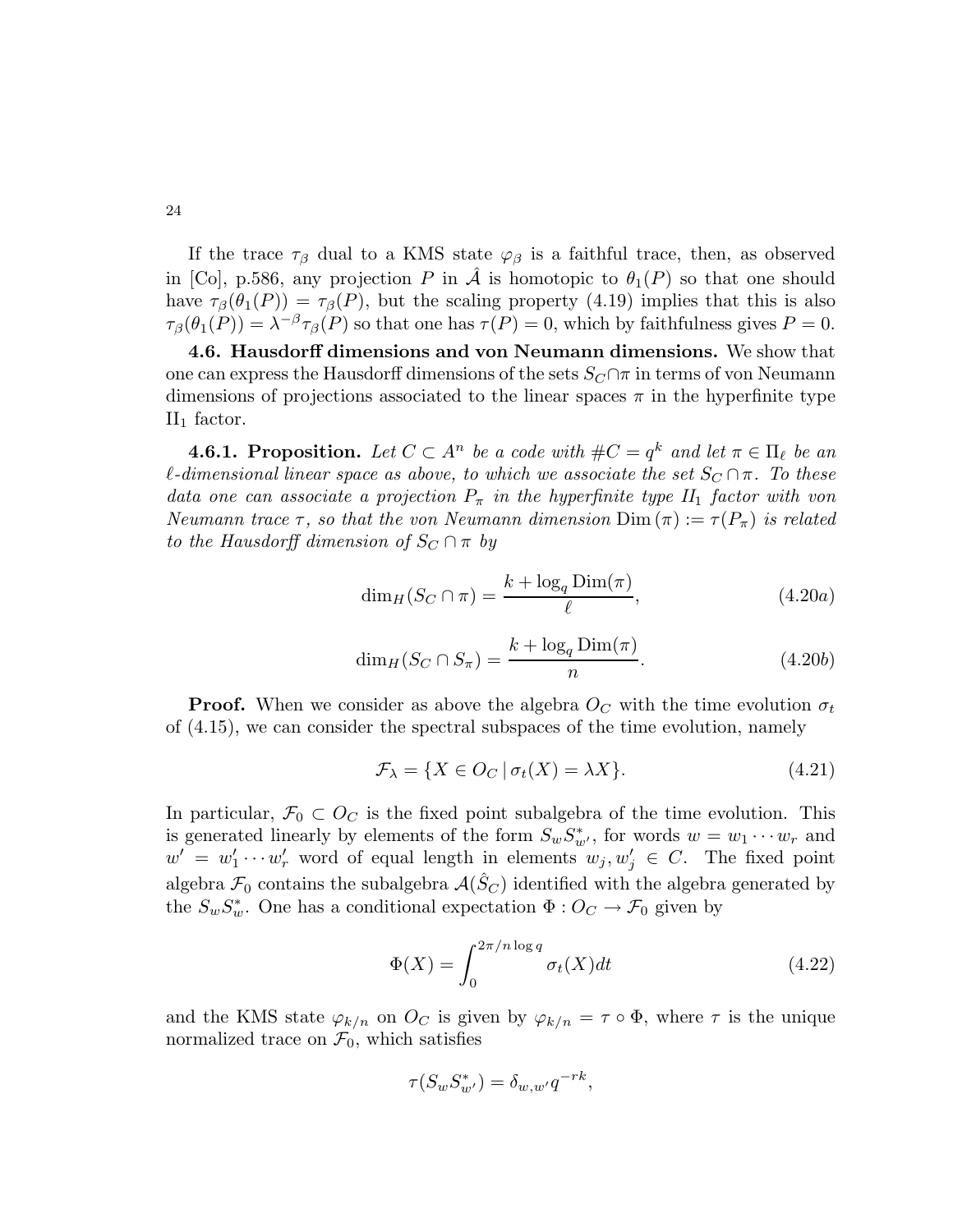24

If the trace  $\tau_\beta$  dual to a KMS state  $\varphi_\beta$  is a faithful trace, then, as observed in [Co], p.586, any projection P in  $\hat{\mathcal{A}}$  is homotopic to  $\theta_1(P)$  so that one should have  $\tau_\beta(\theta_1(P)) = \tau_\beta(P)$ , but the scaling property (4.19) implies that this is also  $\tau_\beta(\theta_1(P)) = \lambda^{-\beta} \tau_\beta(P)$  so that one has  $\tau(P) = 0$ , which by faithfulness gives  $P = 0$ .

4.6. Hausdorff dimensions and von Neumann dimensions. We show that one can express the Hausdorff dimensions of the sets  $S_C \cap \pi$  in terms of von Neumann dimensions of projections associated to the linear spaces  $\pi$  in the hyperfinite type  $II_1$  factor.

**4.6.1. Proposition.** Let  $C \subset A^n$  be a code with  $\#C = q^k$  and let  $\pi \in \Pi_\ell$  be an l-dimensional linear space as above, to which we associate the set  $S_C \cap \pi$ . To these data one can associate a projection  $P_{\pi}$  in the hyperfinite type  $II_1$  factor with von Neumann trace  $\tau$ , so that the von Neumann dimension  $\text{Dim}\,(\pi):=\tau(P_{\pi})$  is related to the Hausdorff dimension of  $S_C \cap \pi$  by

$$
\dim_H(S_C \cap \pi) = \frac{k + \log_q \text{Dim}(\pi)}{\ell},\tag{4.20a}
$$

$$
\dim_H(S_C \cap S_\pi) = \frac{k + \log_q \text{Dim}(\pi)}{n}.\tag{4.20b}
$$

**Proof.** When we consider as above the algebra  $O<sub>C</sub>$  with the time evolution  $\sigma_t$ of (4.15), we can consider the spectral subspaces of the time evolution, namely

$$
\mathcal{F}_{\lambda} = \{ X \in O_C \, | \, \sigma_t(X) = \lambda X \}. \tag{4.21}
$$

In particular,  $\mathcal{F}_0 \subset O_C$  is the fixed point subalgebra of the time evolution. This is generated linearly by elements of the form  $S_w S_{w'}^*$ , for words  $w = w_1 \cdots w_r$  and  $w' = w'_1 \cdots w'_r$  word of equal length in elements  $w_j, w'_j \in C$ . The fixed point algebra  $\mathcal{F}_0$  contains the subalgebra  $\mathcal{A}(\tilde{S}_C)$  identified with the algebra generated by the  $S_w S_w^*$ . One has a conditional expectation  $\Phi: O_C \to \mathcal{F}_0$  given by

$$
\Phi(X) = \int_0^{2\pi/n \log q} \sigma_t(X) dt \tag{4.22}
$$

and the KMS state  $\varphi_{k/n}$  on  $O_C$  is given by  $\varphi_{k/n} = \tau \circ \Phi$ , where  $\tau$  is the unique normalized trace on  $\mathcal{F}_0$ , which satisfies

$$
\tau(S_w S_{w'}^*) = \delta_{w,w'} q^{-rk},
$$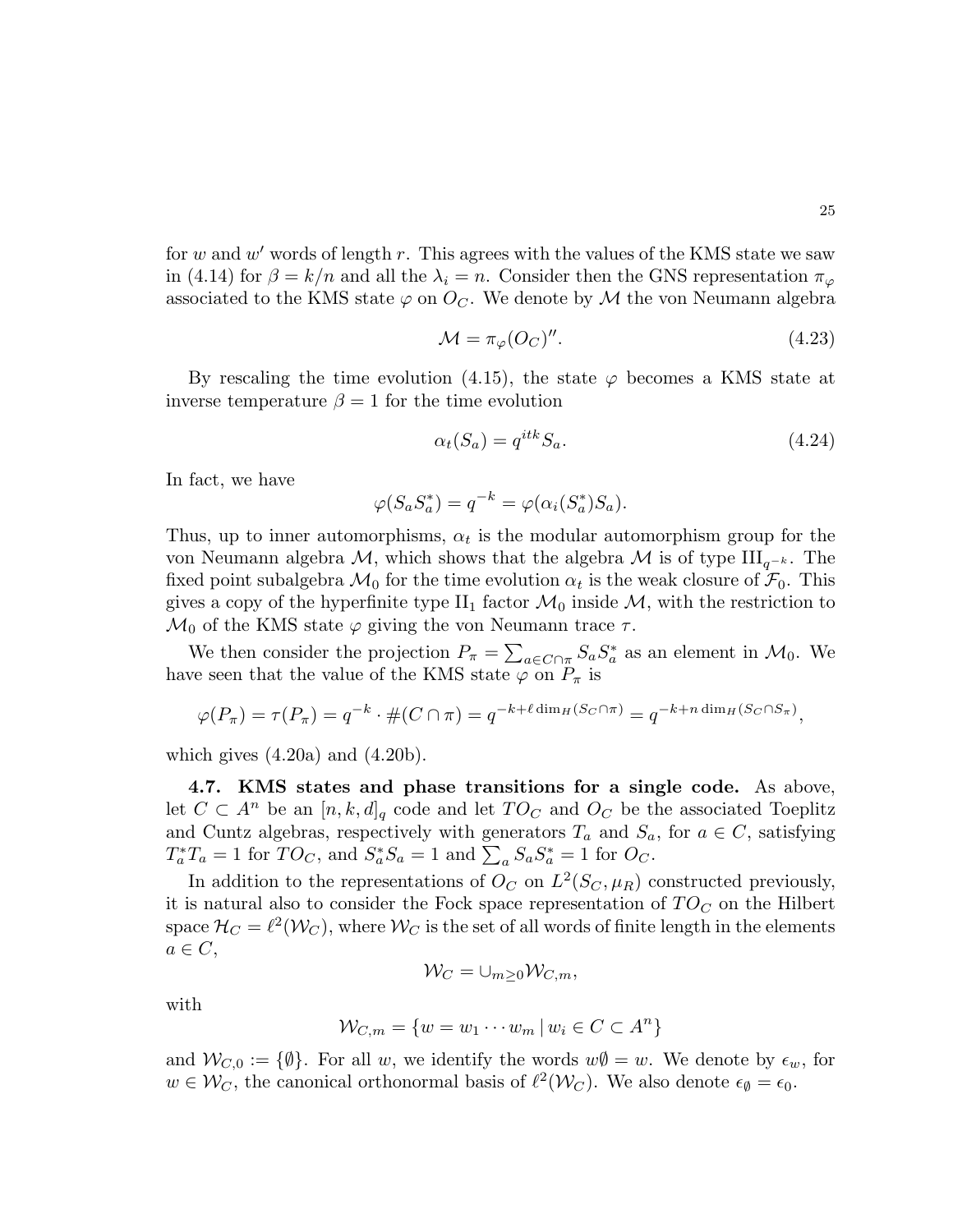for  $w$  and  $w'$  words of length  $r$ . This agrees with the values of the KMS state we saw in (4.14) for  $\beta = k/n$  and all the  $\lambda_i = n$ . Consider then the GNS representation  $\pi_{\varphi}$ associated to the KMS state  $\varphi$  on  $O_C$ . We denote by M the von Neumann algebra

$$
\mathcal{M} = \pi_{\varphi}(O_C)^{\prime\prime}.
$$
\n(4.23)

By rescaling the time evolution (4.15), the state  $\varphi$  becomes a KMS state at inverse temperature  $\beta = 1$  for the time evolution

$$
\alpha_t(S_a) = q^{itk} S_a. \tag{4.24}
$$

In fact, we have

$$
\varphi(S_a S_a^*) = q^{-k} = \varphi(\alpha_i(S_a^*) S_a).
$$

Thus, up to inner automorphisms,  $\alpha_t$  is the modular automorphism group for the von Neumann algebra M, which shows that the algebra M is of type  $\text{III}_{q^{-k}}$ . The fixed point subalgebra  $\mathcal{M}_0$  for the time evolution  $\alpha_t$  is the weak closure of  $\mathcal{F}_0$ . This gives a copy of the hyperfinite type  $II_1$  factor  $\mathcal{M}_0$  inside  $\mathcal{M}$ , with the restriction to  $\mathcal{M}_0$  of the KMS state  $\varphi$  giving the von Neumann trace  $\tau$ .

We then consider the projection  $P_{\pi} = \sum_{a \in C \cap \pi} S_a S_a^*$  as an element in  $\mathcal{M}_0$ . We have seen that the value of the KMS state  $\varphi$  on  $P_{\pi}$  is

$$
\varphi(P_\pi) = \tau(P_\pi) = q^{-k} \cdot \#(C \cap \pi) = q^{-k+\ell \dim_H(S_C \cap \pi)} = q^{-k+n \dim_H(S_C \cap S_\pi)},
$$

which gives  $(4.20a)$  and  $(4.20b)$ .

4.7. KMS states and phase transitions for a single code. As above, let  $C \subset A^n$  be an  $[n, k, d]_q$  code and let  $TO_C$  and  $O_C$  be the associated Toeplitz and Cuntz algebras, respectively with generators  $T_a$  and  $S_a$ , for  $a \in C$ , satisfying  $T_a^*T_a = 1$  for  $TO_C$ , and  $S_a^*S_a = 1$  and  $\sum_a S_a S_a^* = 1$  for  $O_C$ .

In addition to the representations of  $O_C$  on  $L^2(S_C, \mu_R)$  constructed previously, it is natural also to consider the Fock space representation of  $TO<sub>C</sub>$  on the Hilbert space  $\mathcal{H}_C = \ell^2(\mathcal{W}_C)$ , where  $\mathcal{W}_C$  is the set of all words of finite length in the elements  $a \in C$ ,

$$
\mathcal{W}_C = \cup_{m \geq 0} \mathcal{W}_{C,m},
$$

with

$$
\mathcal{W}_{C,m} = \{ w = w_1 \cdots w_m \, | \, w_i \in C \subset A^n \}
$$

and  $W_{C,0} := \{\emptyset\}$ . For all w, we identify the words  $w\emptyset = w$ . We denote by  $\epsilon_w$ , for  $w \in \mathcal{W}_C$ , the canonical orthonormal basis of  $\ell^2(\mathcal{W}_C)$ . We also denote  $\epsilon_{\emptyset} = \epsilon_0$ .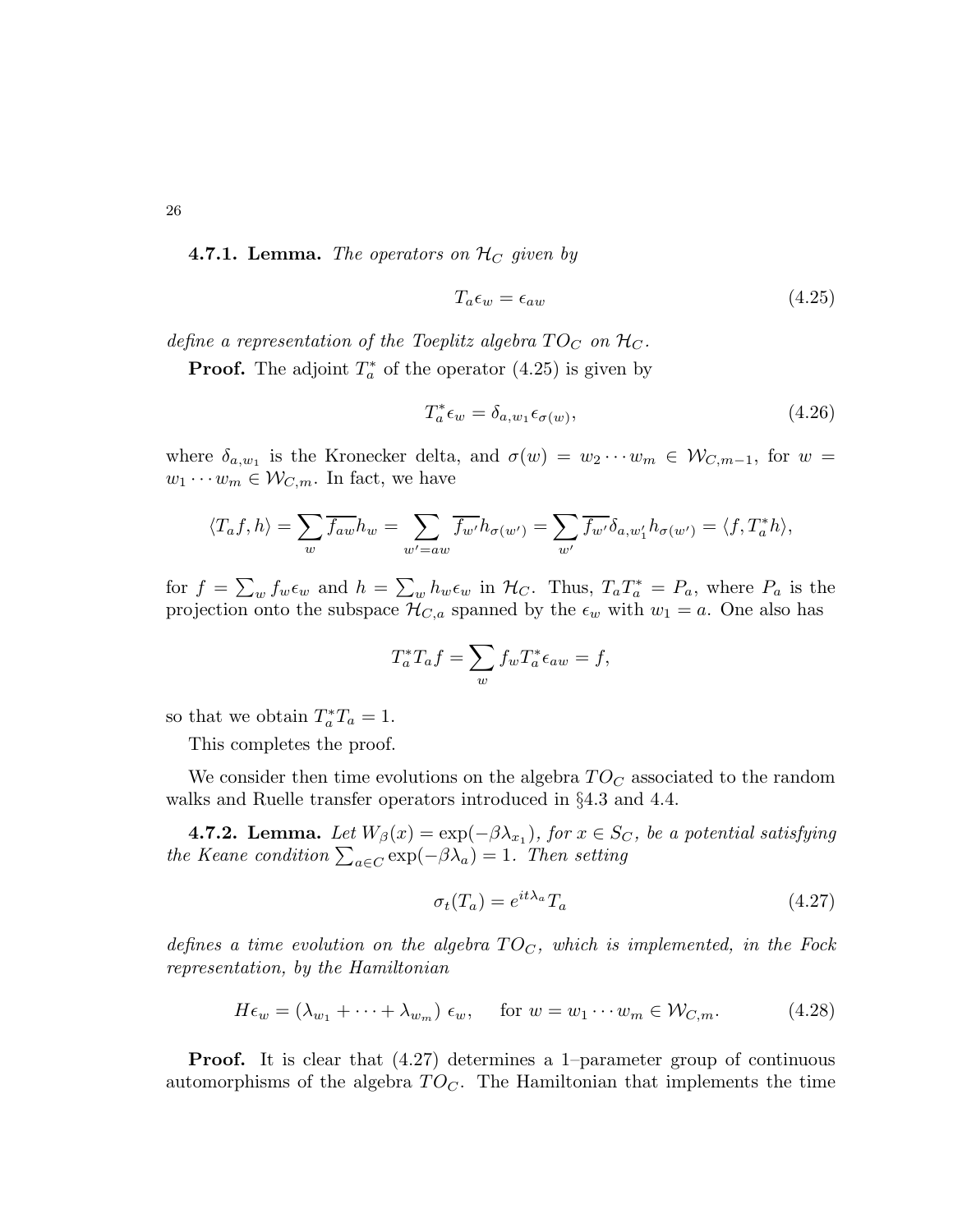26

**4.7.1. Lemma.** The operators on  $\mathcal{H}_C$  given by

$$
T_a \epsilon_w = \epsilon_{aw} \tag{4.25}
$$

define a representation of the Toeplitz algebra  $TO_C$  on  $H_C$ .

**Proof.** The adjoint  $T_a^*$  of the operator (4.25) is given by

$$
T_a^* \epsilon_w = \delta_{a, w_1} \epsilon_{\sigma(w)}, \tag{4.26}
$$

where  $\delta_{a,w_1}$  is the Kronecker delta, and  $\sigma(w) = w_2 \cdots w_m \in \mathcal{W}_{C,m-1}$ , for  $w =$  $w_1 \cdots w_m \in \mathcal{W}_{C,m}$ . In fact, we have

$$
\langle T_a f, h \rangle = \sum_{w} \overline{f_{aw}} h_w = \sum_{w'=aw} \overline{f_{w'}} h_{\sigma(w')} = \sum_{w'} \overline{f_{w'}} \delta_{a,w'_1} h_{\sigma(w')} = \langle f, T_a^* h \rangle,
$$

for  $f = \sum_w f_w \epsilon_w$  and  $h = \sum_w h_w \epsilon_w$  in  $\mathcal{H}_C$ . Thus,  $T_a T_a^* = P_a$ , where  $P_a$  is the projection onto the subspace  $\mathcal{H}_{C,a}$  spanned by the  $\epsilon_w$  with  $w_1 = a$ . One also has

$$
T_a^*T_a f = \sum_w f_w T_a^* \epsilon_{aw} = f,
$$

so that we obtain  $T_a^*T_a = 1$ .

This completes the proof.

We consider then time evolutions on the algebra  $TO_C$  associated to the random walks and Ruelle transfer operators introduced in §4.3 and 4.4.

**4.7.2. Lemma.** Let  $W_{\beta}(x) = \exp(-\beta \lambda_{x_1})$ , for  $x \in S_C$ , be a potential satisfying the Keane condition  $\sum_{a\in C} \exp(-\beta \lambda_a) = 1$ . Then setting

$$
\sigma_t(T_a) = e^{it\lambda_a} T_a \tag{4.27}
$$

defines a time evolution on the algebra  $TO<sub>C</sub>$ , which is implemented, in the Fock representation, by the Hamiltonian

$$
H\epsilon_w = (\lambda_{w_1} + \dots + \lambda_{w_m}) \epsilon_w, \quad \text{for } w = w_1 \cdots w_m \in \mathcal{W}_{C,m}.
$$
 (4.28)

Proof. It is clear that (4.27) determines a 1–parameter group of continuous automorphisms of the algebra  $TO<sub>C</sub>$ . The Hamiltonian that implements the time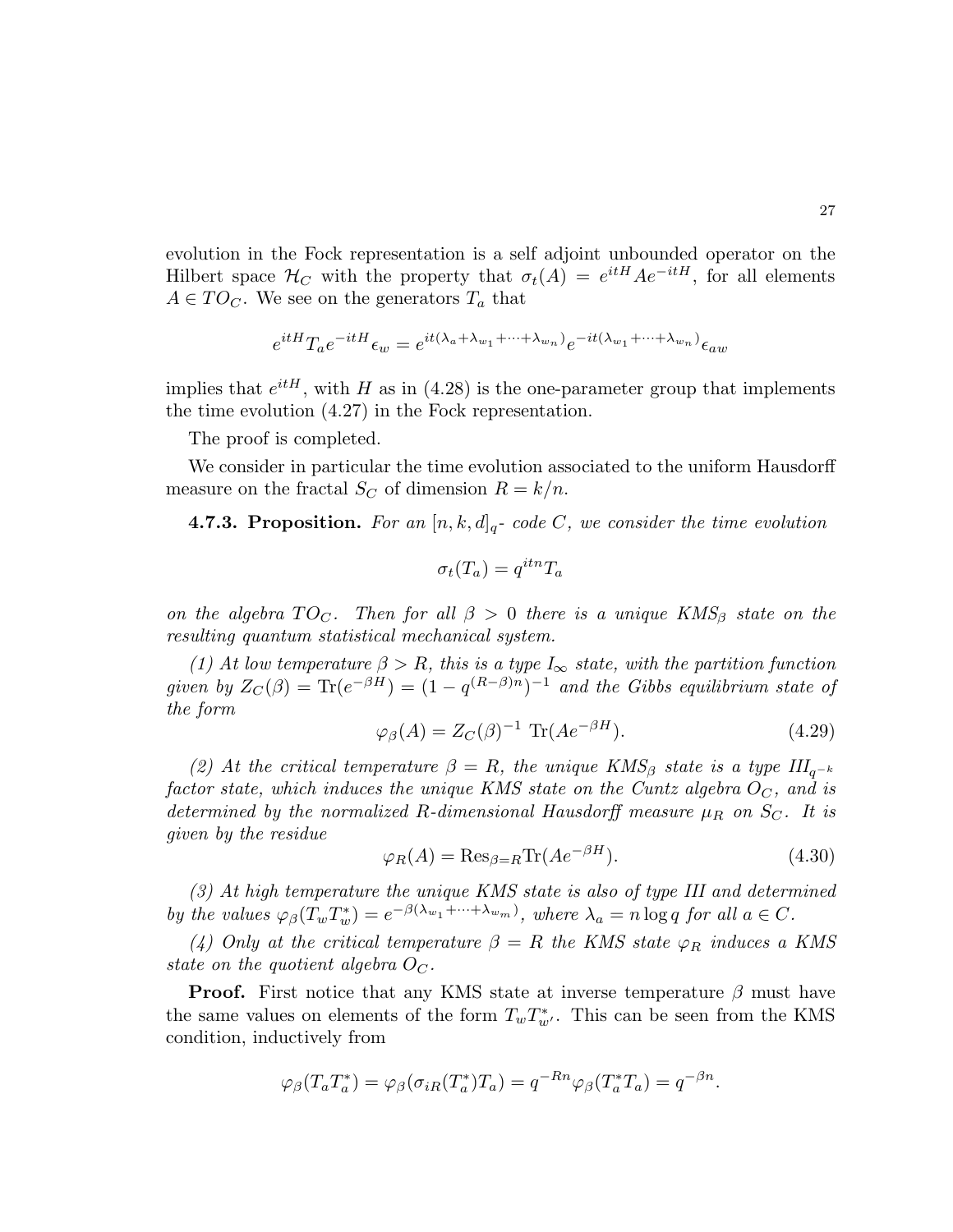evolution in the Fock representation is a self adjoint unbounded operator on the Hilbert space  $\mathcal{H}_C$  with the property that  $\sigma_t(A) = e^{itH} A e^{-itH}$ , for all elements  $A \in TO<sub>C</sub>$ . We see on the generators  $T_a$  that

$$
e^{itH} T_a e^{-itH} \epsilon_w = e^{it(\lambda_a + \lambda_{w_1} + \cdots + \lambda_{w_n})} e^{-it(\lambda_{w_1} + \cdots + \lambda_{w_n})} \epsilon_{aw}
$$

implies that  $e^{itH}$ , with H as in (4.28) is the one-parameter group that implements the time evolution (4.27) in the Fock representation.

The proof is completed.

We consider in particular the time evolution associated to the uniform Hausdorff measure on the fractal  $S_C$  of dimension  $R = k/n$ .

**4.7.3. Proposition.** For an  $[n, k, d]_q$ - code C, we consider the time evolution

$$
\sigma_t(T_a) = q^{itn} T_a
$$

on the algebra  $TO_C$ . Then for all  $\beta > 0$  there is a unique KMS<sub>β</sub> state on the resulting quantum statistical mechanical system.

(1) At low temperature  $\beta > R$ , this is a type  $I_{\infty}$  state, with the partition function given by  $Z_C(\beta) = \text{Tr}(e^{-\beta H}) = (1 - q^{(R-\beta)n})^{-1}$  and the Gibbs equilibrium state of the form

$$
\varphi_{\beta}(A) = Z_C(\beta)^{-1} \operatorname{Tr}(Ae^{-\beta H}). \tag{4.29}
$$

(2) At the critical temperature  $\beta = R$ , the unique KMS<sub>β</sub> state is a type  $III_{q^{-k}}$ factor state, which induces the unique KMS state on the Cuntz algebra  $O<sub>C</sub>$ , and is determined by the normalized R-dimensional Hausdorff measure  $\mu_R$  on  $S_C$ . It is given by the residue

$$
\varphi_R(A) = \text{Res}_{\beta=R} \text{Tr}(Ae^{-\beta H}).\tag{4.30}
$$

(3) At high temperature the unique KMS state is also of type III and determined by the values  $\varphi_{\beta}(T_w T_w^*) = e^{-\beta(\lambda_{w_1} + \cdots + \lambda_{w_m})}$ , where  $\lambda_a = n \log q$  for all  $a \in C$ .

(4) Only at the critical temperature  $\beta = R$  the KMS state  $\varphi_R$  induces a KMS state on the quotient algebra  $O_C$ .

**Proof.** First notice that any KMS state at inverse temperature  $\beta$  must have the same values on elements of the form  $T_w T_{w'}^*$ . This can be seen from the KMS condition, inductively from

$$
\varphi_{\beta}(T_a T_a^*) = \varphi_{\beta}(\sigma_{iR}(T_a^*) T_a) = q^{-Rn} \varphi_{\beta}(T_a^* T_a) = q^{-\beta n}.
$$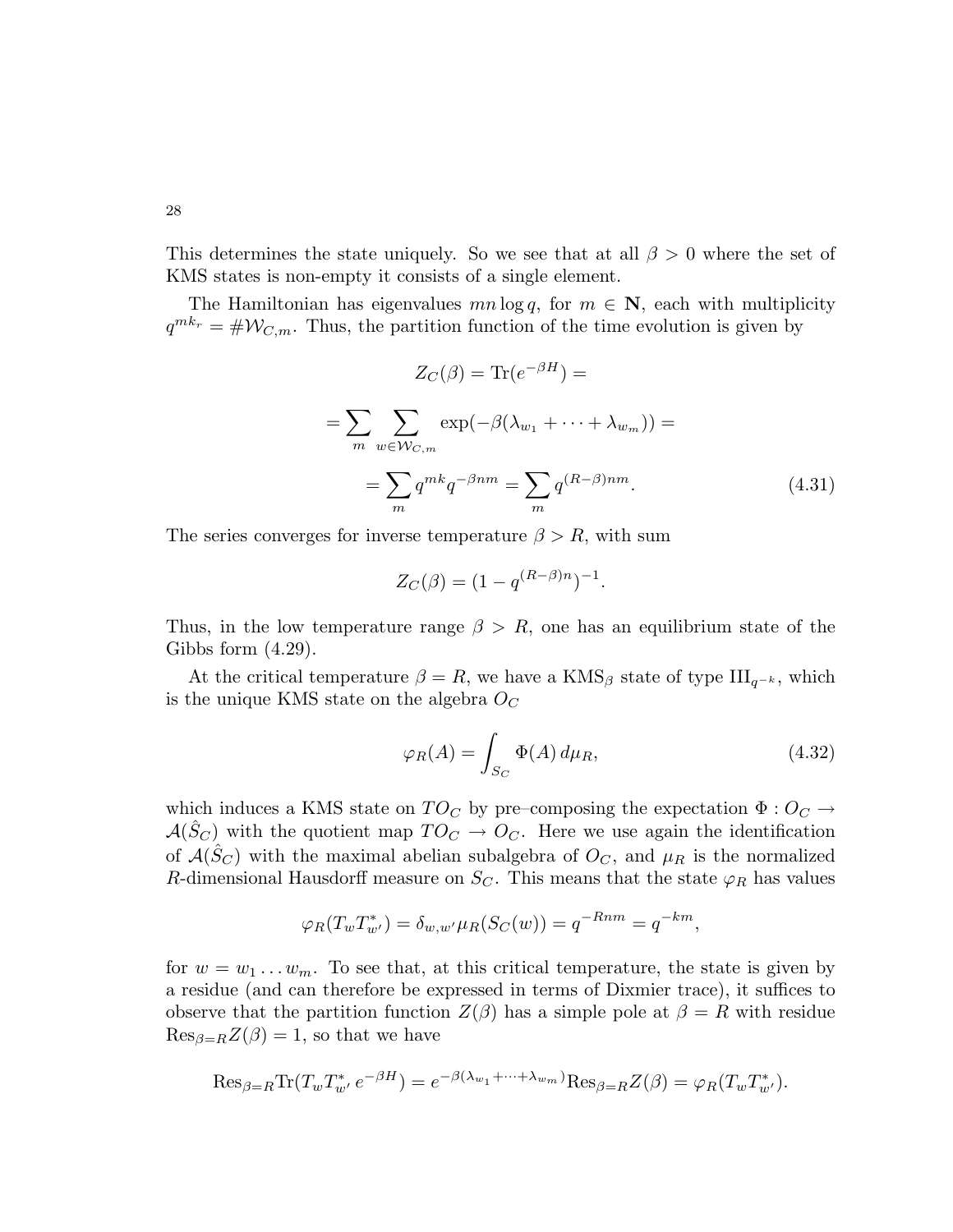This determines the state uniquely. So we see that at all  $\beta > 0$  where the set of KMS states is non-empty it consists of a single element.

The Hamiltonian has eigenvalues  $mn \log q$ , for  $m \in \mathbb{N}$ , each with multiplicity  $q^{mk_r} = #W_{C,m}$ . Thus, the partition function of the time evolution is given by

$$
Z_C(\beta) = \text{Tr}(e^{-\beta H}) =
$$
  
= 
$$
\sum_{m} \sum_{w \in \mathcal{W}_{C,m}} \exp(-\beta(\lambda_{w_1} + \dots + \lambda_{w_m})) =
$$
  
= 
$$
\sum_{m} q^{mk} q^{-\beta nm} = \sum_{m} q^{(R-\beta)nm}.
$$
 (4.31)

The series converges for inverse temperature  $\beta > R$ , with sum

$$
Z_C(\beta) = (1 - q^{(R-\beta)n})^{-1}.
$$

Thus, in the low temperature range  $\beta > R$ , one has an equilibrium state of the Gibbs form (4.29).

At the critical temperature  $\beta = R$ , we have a KMS<sub>β</sub> state of type III<sub>q<sup>-k</sup></sub>, which is the unique KMS state on the algebra  $O<sub>C</sub>$ 

$$
\varphi_R(A) = \int_{S_C} \Phi(A) d\mu_R,
$$
\n(4.32)

which induces a KMS state on  $TO_C$  by pre–composing the expectation  $\Phi: O_C \rightarrow$  $\mathcal{A}(\hat{S}_C)$  with the quotient map  $TO_C \rightarrow O_C$ . Here we use again the identification of  $\mathcal{A}(\hat{S}_C)$  with the maximal abelian subalgebra of  $O_C$ , and  $\mu_R$  is the normalized R-dimensional Hausdorff measure on  $S<sub>C</sub>$ . This means that the state  $\varphi_R$  has values

$$
\varphi_R(T_w T_{w'}^*) = \delta_{w,w'} \mu_R(S_C(w)) = q^{-Rnm} = q^{-km},
$$

for  $w = w_1 \dots w_m$ . To see that, at this critical temperature, the state is given by a residue (and can therefore be expressed in terms of Dixmier trace), it suffices to observe that the partition function  $Z(\beta)$  has a simple pole at  $\beta = R$  with residue  $\text{Res}_{\beta=R}Z(\beta)=1$ , so that we have

$$
\mathrm{Res}_{\beta=R} \mathrm{Tr}(T_w T_{w'}^* e^{-\beta H}) = e^{-\beta(\lambda_{w_1} + \dots + \lambda_{w_m})} \mathrm{Res}_{\beta=R} Z(\beta) = \varphi_R(T_w T_{w'}^*).
$$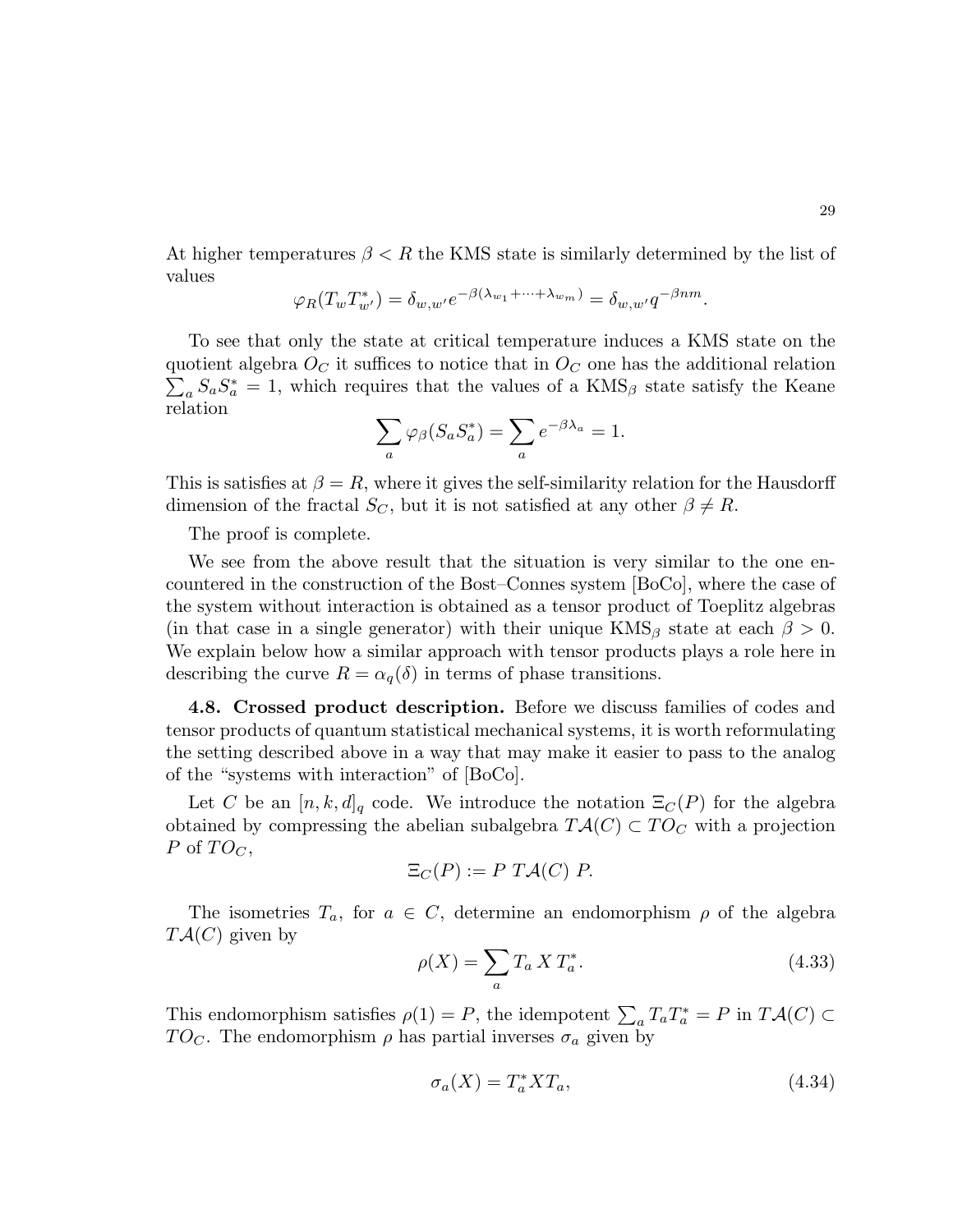At higher temperatures  $\beta \leq R$  the KMS state is similarly determined by the list of values

$$
\varphi_R(T_w T_{w'}^*) = \delta_{w,w'} e^{-\beta(\lambda_{w_1} + \dots + \lambda_{w_m})} = \delta_{w,w'} q^{-\beta nm}.
$$

To see that only the state at critical temperature induces a KMS state on the quotient algebra  $O_C$  it suffices to notice that in  $O_C$  one has the additional relation  $\sum_{a} S_a S_a^* = 1$ , which requires that the values of a KMS<sub>β</sub> state satisfy the Keane relation

$$
\sum_{a} \varphi_{\beta}(S_a S_a^*) = \sum_{a} e^{-\beta \lambda_a} = 1.
$$

This is satisfies at  $\beta = R$ , where it gives the self-similarity relation for the Hausdorff dimension of the fractal  $S_C$ , but it is not satisfied at any other  $\beta \neq R$ .

The proof is complete.

We see from the above result that the situation is very similar to the one encountered in the construction of the Bost–Connes system [BoCo], where the case of the system without interaction is obtained as a tensor product of Toeplitz algebras (in that case in a single generator) with their unique  $KMS_\beta$  state at each  $\beta > 0$ . We explain below how a similar approach with tensor products plays a role here in describing the curve  $R = \alpha_q(\delta)$  in terms of phase transitions.

4.8. Crossed product description. Before we discuss families of codes and tensor products of quantum statistical mechanical systems, it is worth reformulating the setting described above in a way that may make it easier to pass to the analog of the "systems with interaction" of [BoCo].

Let C be an  $[n, k, d]_q$  code. We introduce the notation  $\Xi_C(P)$  for the algebra obtained by compressing the abelian subalgebra  $T\mathcal{A}(C) \subset TO_C$  with a projection P of  $TO_C$ ,

$$
\Xi_C(P) := P \; T\mathcal{A}(C) \; P.
$$

The isometries  $T_a$ , for  $a \in C$ , determine an endomorphism  $\rho$  of the algebra  $T\mathcal{A}(C)$  given by

$$
\rho(X) = \sum_{a} T_a X T_a^*.
$$
\n
$$
(4.33)
$$

This endomorphism satisfies  $\rho(1) = P$ , the idempotent  $\sum_a T_a T_a^* = P$  in  $T\mathcal{A}(C) \subset$  $TO<sub>C</sub>$ . The endomorphism  $\rho$  has partial inverses  $\sigma_a$  given by

$$
\sigma_a(X) = T_a^* X T_a,\tag{4.34}
$$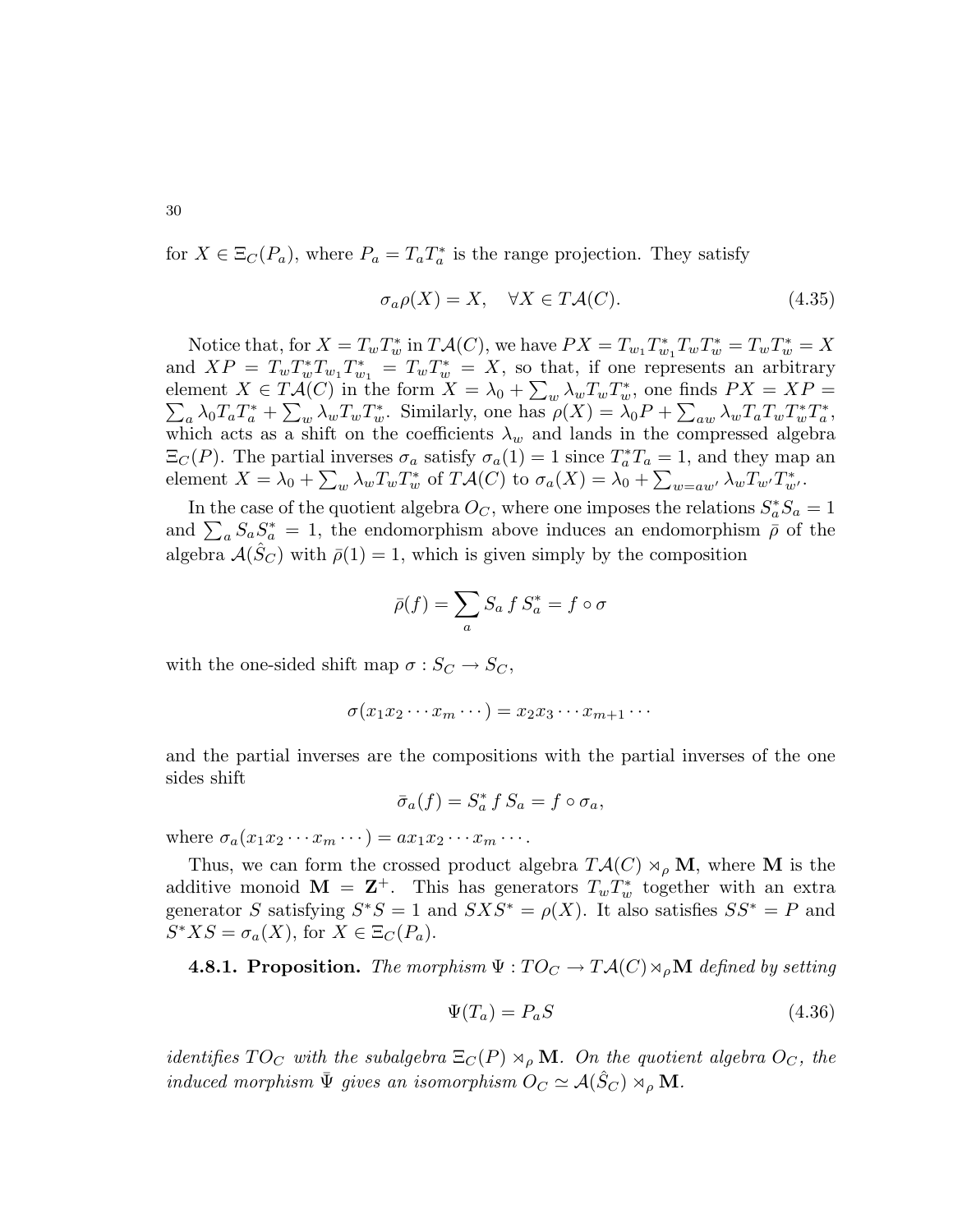for  $X \in \Xi_C(P_a)$ , where  $P_a = T_a T_a^*$  is the range projection. They satisfy

$$
\sigma_a \rho(X) = X, \quad \forall X \in T\mathcal{A}(C). \tag{4.35}
$$

Notice that, for  $X = T_w T_w^*$  in  $T\mathcal{A}(C)$ , we have  $PX = T_{w_1} T_{w_1}^* T_w T_w^* = T_w T_w^* = X$ and  $XP = T_w T_w^* T_{w_1} T_{w_1}^* = T_w T_w^* = X$ , so that, if one represents an arbitrary element  $X \in T\mathcal{A}(C)$  in the form  $X = \lambda_0 + \sum_{w} \lambda_w T_w T_w^*$ element  $X \in T\mathcal{A}(C)$  in the form  $X = \lambda_0 + \sum_w \lambda_w T_w T_w^*$ , one finds  $PX = XP = \sum_a \lambda_0 T_a T_a^* + \sum_w \lambda_w T_w T_w^*$ . Similarly, one has  $\rho(X) = \lambda_0 P + \sum_{aw} \lambda_w T_a T_w T_w^* T_a^*$ , which acts as a shift on the coefficients  $\lambda_w$  and lands in the compressed algebra  $\Xi_C(P)$ . The partial inverses  $\sigma_a$  satisfy  $\sigma_a(1) = 1$  since  $T_a^*T_a = 1$ , and they map an element  $X = \lambda_0 + \sum_w \lambda_w T_w T_w^*$  of  $T\mathcal{A}(C)$  to  $\sigma_a(X) = \lambda_0 + \sum_{w=aw'} \lambda_w T_{w'} T_{w'}^*$ .

In the case of the quotient algebra  $O_C$ , where one imposes the relations  $S_a^* S_a = 1$ and  $\sum_a S_a S_a^* = 1$ , the endomorphism above induces an endomorphism  $\bar{\rho}$  of the algebra  $\mathcal{A}(S_C)$  with  $\bar{\rho}(1) = 1$ , which is given simply by the composition

$$
\bar{\rho}(f) = \sum_{a} S_a f S_a^* = f \circ \sigma
$$

with the one-sided shift map  $\sigma : S_C \to S_C$ ,

$$
\sigma(x_1x_2\cdots x_m\cdots)=x_2x_3\cdots x_{m+1}\cdots
$$

and the partial inverses are the compositions with the partial inverses of the one sides shift

$$
\bar{\sigma}_a(f) = S_a^* \, f \, S_a = f \circ \sigma_a,
$$

where  $\sigma_a(x_1x_2\cdots x_m\cdots)=ax_1x_2\cdots x_m\cdots$ .

Thus, we can form the crossed product algebra  $T\mathcal{A}(C) \rtimes_{\rho} M$ , where M is the additive monoid  $\mathbf{M} = \mathbf{Z}^+$ . This has generators  $T_w T_w^*$  together with an extra generator S satisfying  $S^*S = 1$  and  $SXS^* = \rho(X)$ . It also satisfies  $SS^* = P$  and  $S^*XS = \sigma_a(X)$ , for  $X \in \Xi_C(P_a)$ .

**4.8.1. Proposition.** The morphism  $\Psi : TO_C \to T\mathcal{A}(C) \rtimes_{\rho} \mathbf{M}$  defined by setting

$$
\Psi(T_a) = P_a S \tag{4.36}
$$

identifies  $TO_C$  with the subalgebra  $\Xi_C(P) \rtimes_{\rho} M$ . On the quotient algebra  $O_C$ , the induced morphism  $\bar{\Psi}$  gives an isomorphism  $O_C \simeq \mathcal{A}(\hat{S}_C) \rtimes_{\rho} \mathbf{M}$ .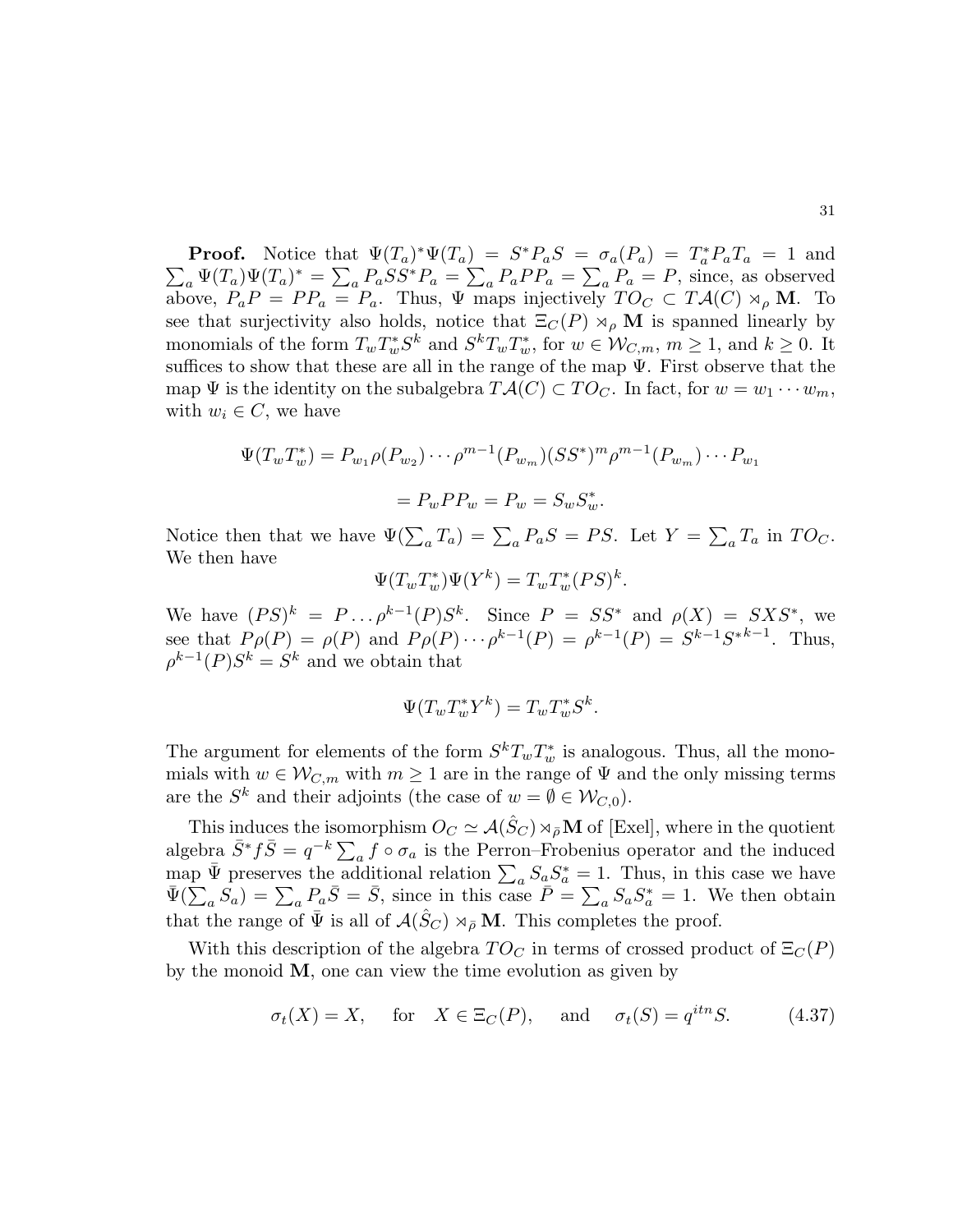**Proof.** Notice that  $\Psi(T_a)^* \Psi(T_a) = S^* P_a S = \sigma_a(P_a) = T_a^*$ **Proof.** Notice that  $\Psi(T_a)^* \Psi(T_a) = S^* P_a S = \sigma_a(P_a) = T_a^* P_a T_a = 1$  and  $\sum_a \Psi(T_a) \Psi(T_a)^* = \sum_a P_a S S^* P_a = \sum_a P_a P P_a = \sum_a P_a = P$ , since, as observed above,  $P_a P = P P_a = P_a$ . Thus,  $\Psi$  maps injectively  $TO_C \subset T\mathcal{A}(C) \rtimes_{\rho} \mathbf{M}$ . To

see that surjectivity also holds, notice that  $\Xi_C(P) \rtimes_{\rho} M$  is spanned linearly by monomials of the form  $T_w T_w^* S^k$  and  $S^k T_w T_w^*$ , for  $w \in \mathcal{W}_{C,m}$ ,  $m \ge 1$ , and  $k \ge 0$ . It suffices to show that these are all in the range of the map  $\Psi$ . First observe that the map  $\Psi$  is the identity on the subalgebra  $T{\cal A}(C)\subset T{\cal O}_C$ . In fact, for  $w=w_1\cdots w_m$ , with  $w_i \in C$ , we have

$$
\Psi(T_w T_w^*) = P_{w_1} \rho(P_{w_2}) \cdots \rho^{m-1} (P_{w_m}) (SS^*)^m \rho^{m-1} (P_{w_m}) \cdots P_{w_1}
$$

$$
= P_w P P_w = P_w = S_w S_w^*.
$$

Notice then that we have  $\Psi(\sum_a T_a) = \sum_a P_a S = PS$ . Let  $Y = \sum_a T_a$  in  $TO_C$ . We then have

$$
\Psi(T_w T_w^*) \Psi(Y^k) = T_w T_w^* (PS)^k.
$$

We have  $(PS)^k = P \dots \rho^{k-1}(P)S^k$ . Since  $P = SS^*$  and  $\rho(X) = SXS^*$ , we see that  $P \rho(P) = \rho(P)$  and  $P \rho(P) \cdots \rho^{k-1}(P) = \rho^{k-1}(P) = S^{k-1}S^{*k-1}$ . Thus,  $\rho^{k-1}(P)S^k = S^k$  and we obtain that

$$
\Psi(T_w T_w^* Y^k) = T_w T_w^* S^k.
$$

The argument for elements of the form  $S^k T_w T_w^*$  is analogous. Thus, all the monomials with  $w \in \mathcal{W}_{C,m}$  with  $m \geq 1$  are in the range of  $\Psi$  and the only missing terms are the  $S^k$  and their adjoints (the case of  $w = \emptyset \in \mathcal{W}_{C,0}$ ).

This induces the isomorphism  $O_C \simeq \mathcal{A}(\hat{S}_C) \rtimes_{\bar{\rho}} \mathbf{M}$  of [Exel], where in the quotient algebra  $\bar{S}^*f\bar{S}=q^{-k}\sum_a f\circ \sigma_a$  is the Perron–Frobenius operator and the induced map  $\bar{\Psi}$  preserves the additional relation  $\sum_a S_a S_a^* = 1$ . Thus, in this case we have  $\bar{\Psi}(\sum_a S_a) = \sum_a P_a \bar{S} = \bar{S}$ , since in this case  $\bar{P} = \sum_a S_a S_a^* = 1$ . We then obtain that the range of  $\bar{\Psi}$  is all of  $\mathcal{A}(\hat{S}_C) \rtimes_{\bar{\rho}} \mathbf{M}$ . This completes the proof.

With this description of the algebra  $TO_C$  in terms of crossed product of  $\Xi_C(P)$ by the monoid  $M$ , one can view the time evolution as given by

$$
\sigma_t(X) = X
$$
, for  $X \in \Xi_C(P)$ , and  $\sigma_t(S) = q^{itn}S$ . (4.37)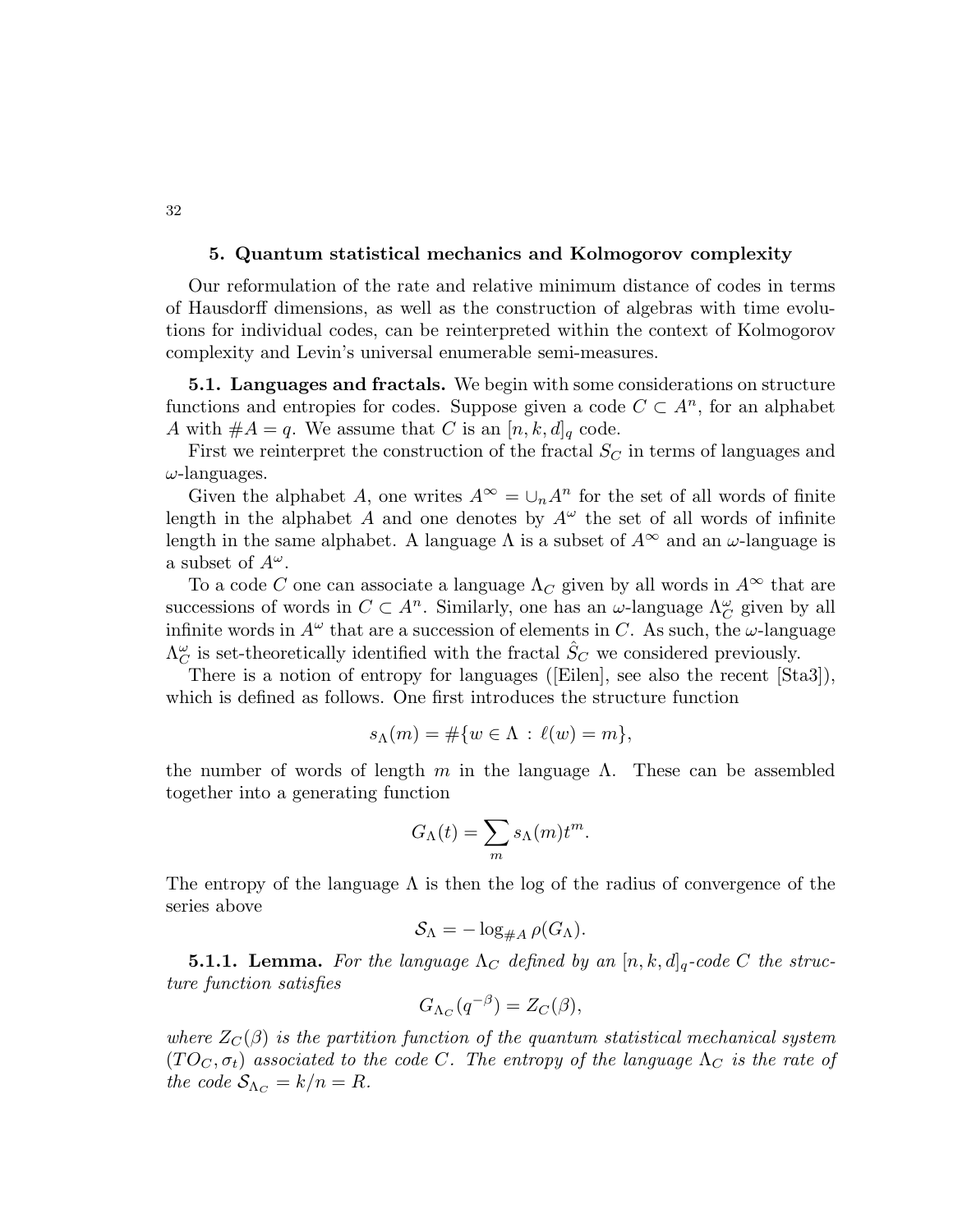### 5. Quantum statistical mechanics and Kolmogorov complexity

Our reformulation of the rate and relative minimum distance of codes in terms of Hausdorff dimensions, as well as the construction of algebras with time evolutions for individual codes, can be reinterpreted within the context of Kolmogorov complexity and Levin's universal enumerable semi-measures.

5.1. Languages and fractals. We begin with some considerations on structure functions and entropies for codes. Suppose given a code  $C \subset A^n$ , for an alphabet A with  $#A = q$ . We assume that C is an  $[n, k, d]_q$  code.

First we reinterpret the construction of the fractal  $S_C$  in terms of languages and  $\omega$ -languages.

Given the alphabet A, one writes  $A^{\infty} = \bigcup_n A^n$  for the set of all words of finite length in the alphabet A and one denotes by  $A^{\omega}$  the set of all words of infinite length in the same alphabet. A language  $\Lambda$  is a subset of  $A^{\infty}$  and an  $\omega$ -language is a subset of  $A^{\omega}$ .

To a code C one can associate a language  $\Lambda_C$  given by all words in  $A^{\infty}$  that are successions of words in  $C \subset A^n$ . Similarly, one has an  $\omega$ -language  $\Lambda_C^{\omega}$  given by all infinite words in  $A^{\omega}$  that are a succession of elements in C. As such, the  $\omega$ -language  $\Lambda_C^{\omega}$  is set-theoretically identified with the fractal  $\hat{S}_C$  we considered previously.

There is a notion of entropy for languages ([Eilen], see also the recent [Sta3]), which is defined as follows. One first introduces the structure function

$$
s_{\Lambda}(m) = \#\{w \in \Lambda : \ell(w) = m\},\
$$

the number of words of length m in the language  $\Lambda$ . These can be assembled together into a generating function

$$
G_{\Lambda}(t) = \sum_{m} s_{\Lambda}(m) t^{m}.
$$

The entropy of the language  $\Lambda$  is then the log of the radius of convergence of the series above

$$
S_{\Lambda} = -\log_{\#A} \rho(G_{\Lambda}).
$$

**5.1.1.** Lemma. For the language  $\Lambda_C$  defined by an  $[n, k, d]_q$ -code C the structure function satisfies

$$
G_{\Lambda_C}(q^{-\beta}) = Z_C(\beta),
$$

where  $Z_{\mathcal{C}}(\beta)$  is the partition function of the quantum statistical mechanical system  $(T O_C, \sigma_t)$  associated to the code C. The entropy of the language  $\Lambda_C$  is the rate of the code  $S_{\Lambda_C} = k/n = R$ .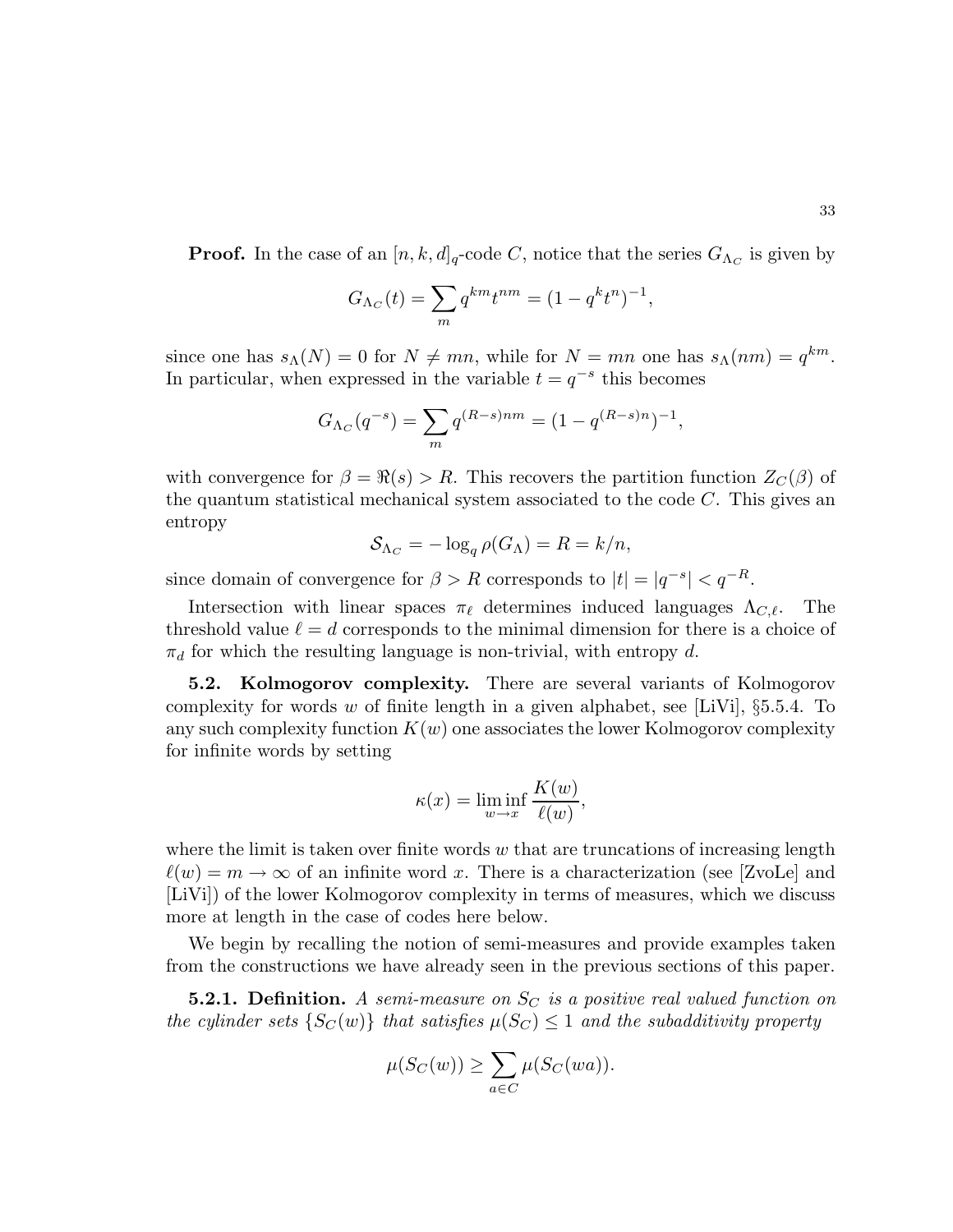**Proof.** In the case of an  $[n, k, d]_q$ -code C, notice that the series  $G_{\Lambda_C}$  is given by

$$
G_{\Lambda_C}(t) = \sum_{m} q^{km} t^{nm} = (1 - q^k t^n)^{-1},
$$

since one has  $s_{\Lambda}(N) = 0$  for  $N \neq mn$ , while for  $N = mn$  one has  $s_{\Lambda}(nm) = q^{km}$ . In particular, when expressed in the variable  $t = q^{-s}$  this becomes

$$
G_{\Lambda_C}(q^{-s}) = \sum_{m} q^{(R-s)nm} = (1 - q^{(R-s)n})^{-1},
$$

with convergence for  $\beta = \Re(s) > R$ . This recovers the partition function  $Z_{\mathcal{C}}(\beta)$  of the quantum statistical mechanical system associated to the code  $C$ . This gives an entropy

$$
S_{\Lambda_C} = -\log_q \rho(G_{\Lambda}) = R = k/n,
$$

since domain of convergence for  $\beta > R$  corresponds to  $|t| = |q^{-s}| < q^{-R}$ .

Intersection with linear spaces  $\pi_{\ell}$  determines induced languages  $\Lambda_{C,\ell}$ . The threshold value  $\ell = d$  corresponds to the minimal dimension for there is a choice of  $\pi_d$  for which the resulting language is non-trivial, with entropy d.

5.2. Kolmogorov complexity. There are several variants of Kolmogorov complexity for words w of finite length in a given alphabet, see [LiVi],  $\S 5.5.4$ . To any such complexity function  $K(w)$  one associates the lower Kolmogorov complexity for infinite words by setting

$$
\kappa(x) = \liminf_{w \to x} \frac{K(w)}{\ell(w)},
$$

where the limit is taken over finite words  $w$  that are truncations of increasing length  $\ell(w) = m \to \infty$  of an infinite word x. There is a characterization (see [ZvoLe] and [LiVi]) of the lower Kolmogorov complexity in terms of measures, which we discuss more at length in the case of codes here below.

We begin by recalling the notion of semi-measures and provide examples taken from the constructions we have already seen in the previous sections of this paper.

**5.2.1. Definition.** A semi-measure on  $S_C$  is a positive real valued function on the cylinder sets  $\{S_C(w)\}\)$  that satisfies  $\mu(S_C) \leq 1$  and the subadditivity property

$$
\mu(S_C(w)) \ge \sum_{a \in C} \mu(S_C(wa)).
$$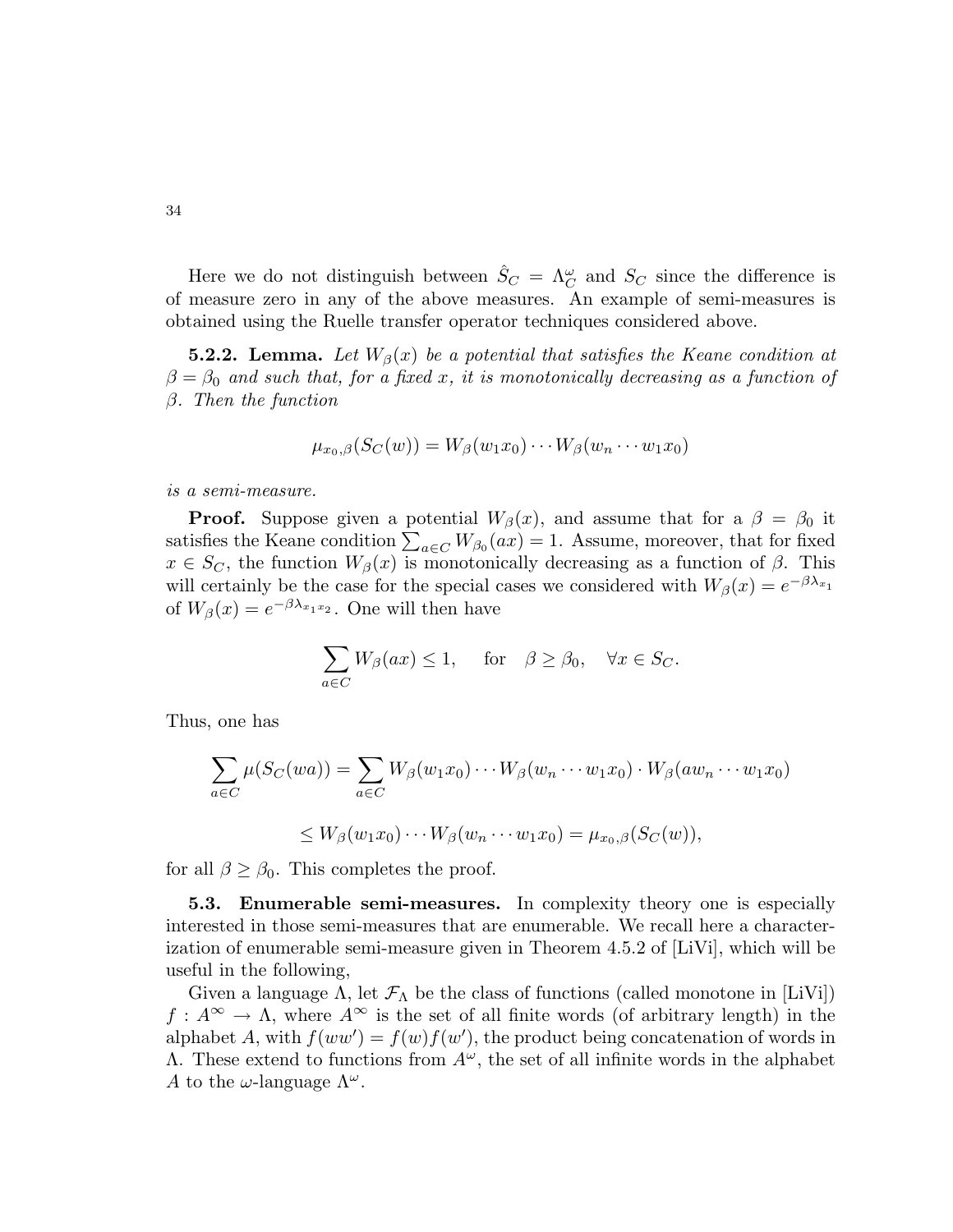Here we do not distinguish between  $\hat{S}_C = \Lambda_C^{\omega}$  and  $S_C$  since the difference is of measure zero in any of the above measures. An example of semi-measures is obtained using the Ruelle transfer operator techniques considered above.

**5.2.2.** Lemma. Let  $W_\beta(x)$  be a potential that satisfies the Keane condition at  $\beta = \beta_0$  and such that, for a fixed x, it is monotonically decreasing as a function of  $\beta$ . Then the function

$$
\mu_{x_0,\beta}(S_C(w))=W_{\beta}(w_1x_0)\cdots W_{\beta}(w_n\cdots w_1x_0)
$$

is a semi-measure.

**Proof.** Suppose given a potential  $W_\beta(x)$ , and assume that for a  $\beta = \beta_0$  it satisfies the Keane condition  $\sum_{a \in C} W_{\beta_0}(ax) = 1$ . Assume, moreover, that for fixed  $x \in S_C$ , the function  $W_\beta(x)$  is monotonically decreasing as a function of  $\beta$ . This will certainly be the case for the special cases we considered with  $W_{\beta}(x) = e^{-\beta \lambda_{x_1}}$ of  $W_{\beta}(x) = e^{-\beta \lambda_{x_1 x_2}}$ . One will then have

$$
\sum_{a \in C} W_{\beta}(ax) \le 1, \quad \text{for} \quad \beta \ge \beta_0, \quad \forall x \in S_C.
$$

Thus, one has

$$
\sum_{a \in C} \mu(S_C(wa)) = \sum_{a \in C} W_{\beta}(w_1x_0) \cdots W_{\beta}(w_n \cdots w_1x_0) \cdot W_{\beta}(aw_n \cdots w_1x_0)
$$
  

$$
\leq W_{\beta}(w_1x_0) \cdots W_{\beta}(w_n \cdots w_1x_0) = \mu_{x_0,\beta}(S_C(w)),
$$

for all  $\beta \geq \beta_0$ . This completes the proof.

5.3. Enumerable semi-measures. In complexity theory one is especially interested in those semi-measures that are enumerable. We recall here a characterization of enumerable semi-measure given in Theorem 4.5.2 of [LiVi], which will be useful in the following,

Given a language  $\Lambda$ , let  $\mathcal{F}_{\Lambda}$  be the class of functions (called monotone in [LiVi])  $f: A^{\infty} \to \Lambda$ , where  $A^{\infty}$  is the set of all finite words (of arbitrary length) in the alphabet A, with  $f(ww') = f(w)f(w')$ , the product being concatenation of words in  $Λ$ . These extend to functions from  $A^ω$ , the set of all infinite words in the alphabet A to the  $\omega$ -language  $\Lambda^{\omega}$ .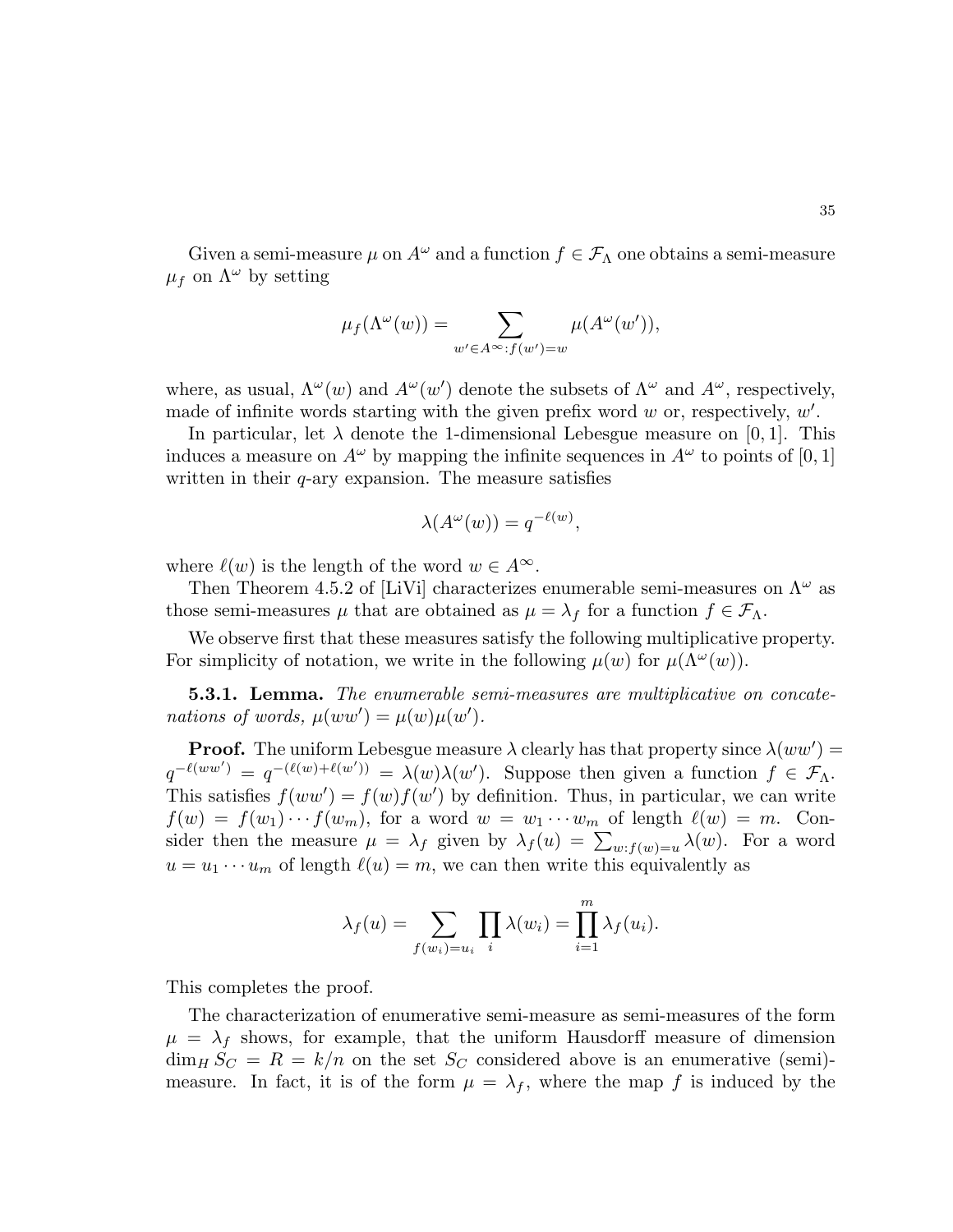Given a semi-measure  $\mu$  on  $A^{\omega}$  and a function  $f \in \mathcal{F}_{\Lambda}$  one obtains a semi-measure  $\mu_f$  on  $\Lambda^\omega$  by setting

$$
\mu_f(\Lambda^\omega(w)) = \sum_{w' \in A^\infty : f(w') = w} \mu(A^\omega(w')),
$$

where, as usual,  $\Lambda^{\omega}(w)$  and  $A^{\omega}(w')$  denote the subsets of  $\Lambda^{\omega}$  and  $A^{\omega}$ , respectively, made of infinite words starting with the given prefix word  $w$  or, respectively,  $w'$ .

In particular, let  $\lambda$  denote the 1-dimensional Lebesgue measure on [0, 1]. This induces a measure on  $A^{\omega}$  by mapping the infinite sequences in  $A^{\omega}$  to points of [0, 1] written in their  $q$ -ary expansion. The measure satisfies

$$
\lambda(A^{\omega}(w)) = q^{-\ell(w)},
$$

where  $\ell(w)$  is the length of the word  $w \in A^{\infty}$ .

Then Theorem 4.5.2 of [LiVi] characterizes enumerable semi-measures on  $\Lambda^{\omega}$  as those semi-measures  $\mu$  that are obtained as  $\mu = \lambda_f$  for a function  $f \in \mathcal{F}_\Lambda$ .

We observe first that these measures satisfy the following multiplicative property. For simplicity of notation, we write in the following  $\mu(w)$  for  $\mu(\Lambda^{\omega}(w))$ .

**5.3.1. Lemma.** The enumerable semi-measures are multiplicative on concatenations of words,  $\mu(ww') = \mu(w)\mu(w')$ .

**Proof.** The uniform Lebesgue measure  $\lambda$  clearly has that property since  $\lambda(ww') =$  $q^{-\ell(ww')} = q^{-(\ell(w)+\ell(w'))} = \lambda(w)\lambda(w')$ . Suppose then given a function  $f \in \mathcal{F}_{\Lambda}$ . This satisfies  $f(ww') = f(w)f(w')$  by definition. Thus, in particular, we can write  $f(w) = f(w_1) \cdots f(w_m)$ , for a word  $w = w_1 \cdots w_m$  of length  $\ell(w) = m$ . Consider then the measure  $\mu = \lambda_f$  given by  $\lambda_f(u) = \sum_{w : f(w) = u} \lambda(w)$ . For a word  $u = u_1 \cdots u_m$  of length  $\ell(u) = m$ , we can then write this equivalently as

$$
\lambda_f(u) = \sum_{f(w_i) = u_i} \prod_i \lambda(w_i) = \prod_{i=1}^m \lambda_f(u_i).
$$

This completes the proof.

The characterization of enumerative semi-measure as semi-measures of the form  $\mu = \lambda_f$  shows, for example, that the uniform Hausdorff measure of dimension  $\dim_H S_C = R = k/n$  on the set  $S_C$  considered above is an enumerative (semi)measure. In fact, it is of the form  $\mu = \lambda_f$ , where the map f is induced by the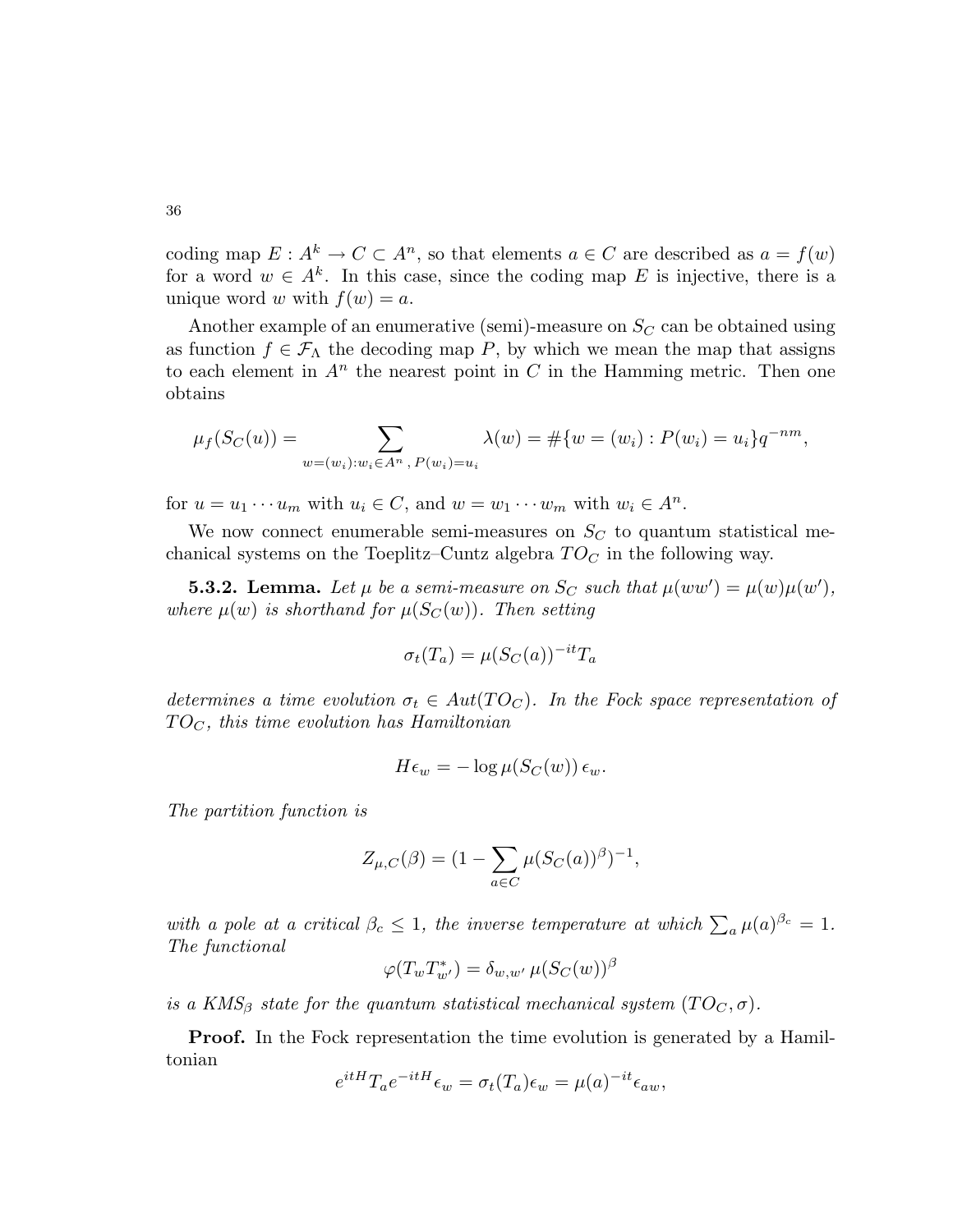coding map  $E: A^k \to C \subset A^n$ , so that elements  $a \in C$  are described as  $a = f(w)$ for a word  $w \in A^k$ . In this case, since the coding map E is injective, there is a unique word w with  $f(w) = a$ .

Another example of an enumerative (semi)-measure on  $S_C$  can be obtained using as function  $f \in \mathcal{F}_{\Lambda}$  the decoding map P, by which we mean the map that assigns to each element in  $A<sup>n</sup>$  the nearest point in C in the Hamming metric. Then one obtains

$$
\mu_f(S_C(u)) = \sum_{w=(w_i):w_i \in A^n, P(w_i)=u_i} \lambda(w) = \#\{w=(w_i): P(w_i)=u_i\}q^{-nm},
$$

for  $u = u_1 \cdots u_m$  with  $u_i \in C$ , and  $w = w_1 \cdots w_m$  with  $w_i \in A^n$ .

We now connect enumerable semi-measures on  $S<sub>C</sub>$  to quantum statistical mechanical systems on the Toeplitz–Cuntz algebra  $TO<sub>C</sub>$  in the following way.

**5.3.2.** Lemma. Let  $\mu$  be a semi-measure on  $S_C$  such that  $\mu(ww') = \mu(w)\mu(w')$ , where  $\mu(w)$  is shorthand for  $\mu(S_C(w))$ . Then setting

$$
\sigma_t(T_a) = \mu(S_C(a))^{-it}T_a
$$

determines a time evolution  $\sigma_t \in Aut(TO_C)$ . In the Fock space representation of  $TO<sub>C</sub>$ , this time evolution has Hamiltonian

$$
H\epsilon_w = -\log \mu(S_C(w)) \epsilon_w.
$$

The partition function is

$$
Z_{\mu,C}(\beta) = (1 - \sum_{a \in C} \mu(S_C(a))^{\beta})^{-1},
$$

with a pole at a critical  $\beta_c \leq 1$ , the inverse temperature at which  $\sum_a \mu(a)^{\beta_c} = 1$ . The functional

$$
\varphi(T_w T_{w'}^*) = \delta_{w,w'} \,\mu(S_C(w))^{\beta}
$$

is a KMS<sub>β</sub> state for the quantum statistical mechanical system (TO<sub>C</sub>,  $\sigma$ ).

**Proof.** In the Fock representation the time evolution is generated by a Hamiltonian

$$
e^{itH}T_a e^{-itH} \epsilon_w = \sigma_t(T_a) \epsilon_w = \mu(a)^{-it} \epsilon_{aw},
$$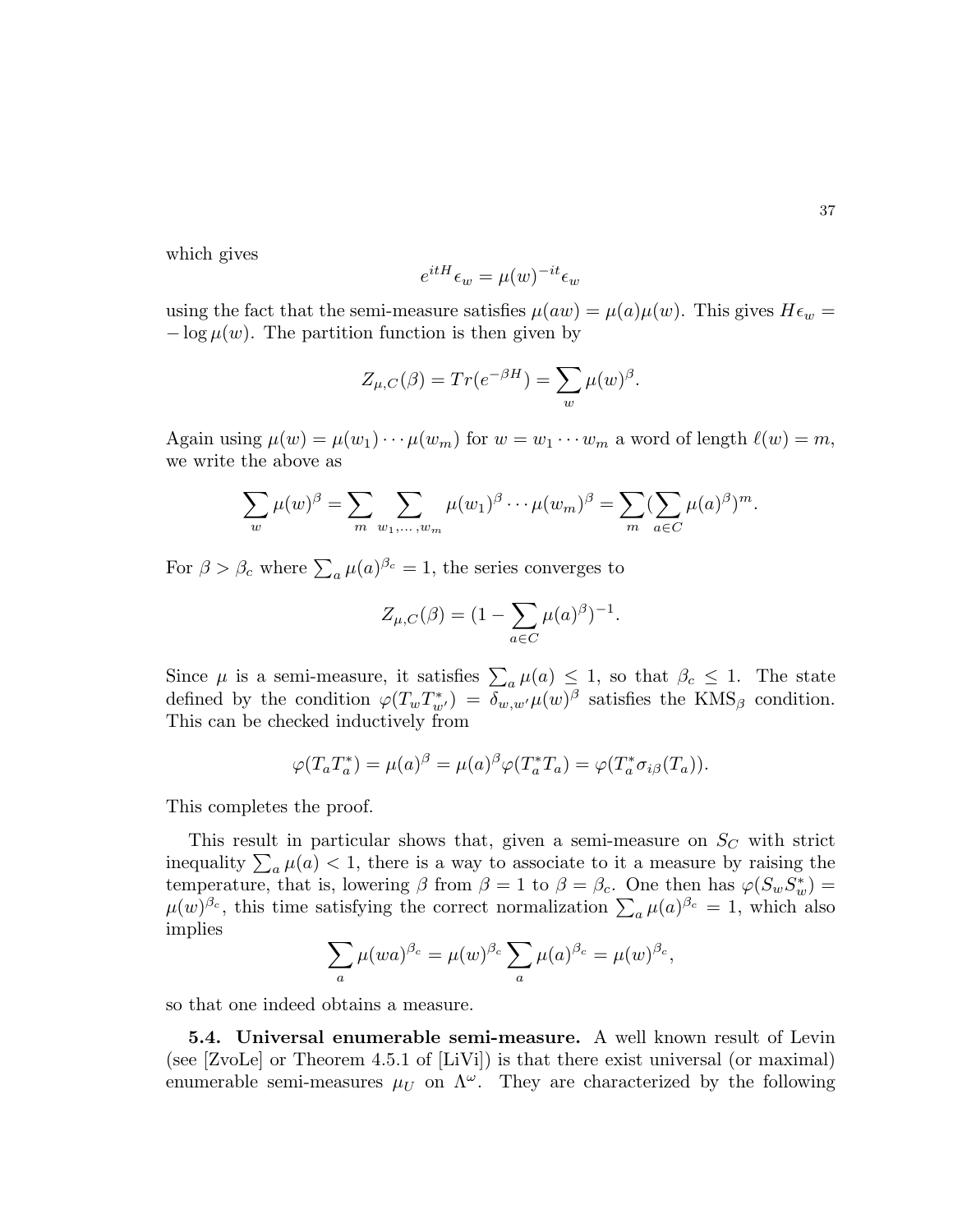which gives

$$
e^{itH} \epsilon_w = \mu(w)^{-it} \epsilon_w
$$

using the fact that the semi-measure satisfies  $\mu(aw) = \mu(a)\mu(w)$ . This gives  $H\epsilon_w =$  $-\log \mu(w)$ . The partition function is then given by

$$
Z_{\mu,C}(\beta) = Tr(e^{-\beta H}) = \sum_{w} \mu(w)^{\beta}.
$$

Again using  $\mu(w) = \mu(w_1) \cdots \mu(w_m)$  for  $w = w_1 \cdots w_m$  a word of length  $\ell(w) = m$ , we write the above as

$$
\sum_{w} \mu(w)^{\beta} = \sum_{m} \sum_{w_1, \dots, w_m} \mu(w_1)^{\beta} \cdots \mu(w_m)^{\beta} = \sum_{m} (\sum_{a \in C} \mu(a)^{\beta})^m.
$$

For  $\beta > \beta_c$  where  $\sum_a \mu(a)^{\beta_c} = 1$ , the series converges to

$$
Z_{\mu,C}(\beta) = (1 - \sum_{a \in C} \mu(a)^{\beta})^{-1}.
$$

Since  $\mu$  is a semi-measure, it satisfies  $\sum_a \mu(a) \leq 1$ , so that  $\beta_c \leq 1$ . The state defined by the condition  $\varphi(T_w T_{w'}^*) = \delta_{w,w'} \mu(w)^\beta$  satisfies the KMS<sub>β</sub> condition. This can be checked inductively from

$$
\varphi(T_a T_a^*) = \mu(a)^\beta = \mu(a)^\beta \varphi(T_a^* T_a) = \varphi(T_a^* \sigma_{i\beta}(T_a)).
$$

This completes the proof.

This result in particular shows that, given a semi-measure on  $S_C$  with strict inequality  $\sum_a \mu(a) < 1$ , there is a way to associate to it a measure by raising the temperature, that is, lowering  $\beta$  from  $\beta = 1$  to  $\beta = \beta_c$ . One then has  $\varphi(S_w S_w^*) =$  $\mu(w)^{\beta_c}$ , this time satisfying the correct normalization  $\sum_a \mu(a)^{\beta_c} = 1$ , which also implies

$$
\sum_{a} \mu(wa)^{\beta_c} = \mu(w)^{\beta_c} \sum_{a} \mu(a)^{\beta_c} = \mu(w)^{\beta_c},
$$

so that one indeed obtains a measure.

5.4. Universal enumerable semi-measure. A well known result of Levin (see [ZvoLe] or Theorem 4.5.1 of [LiVi]) is that there exist universal (or maximal) enumerable semi-measures  $\mu_U$  on  $\Lambda^\omega$ . They are characterized by the following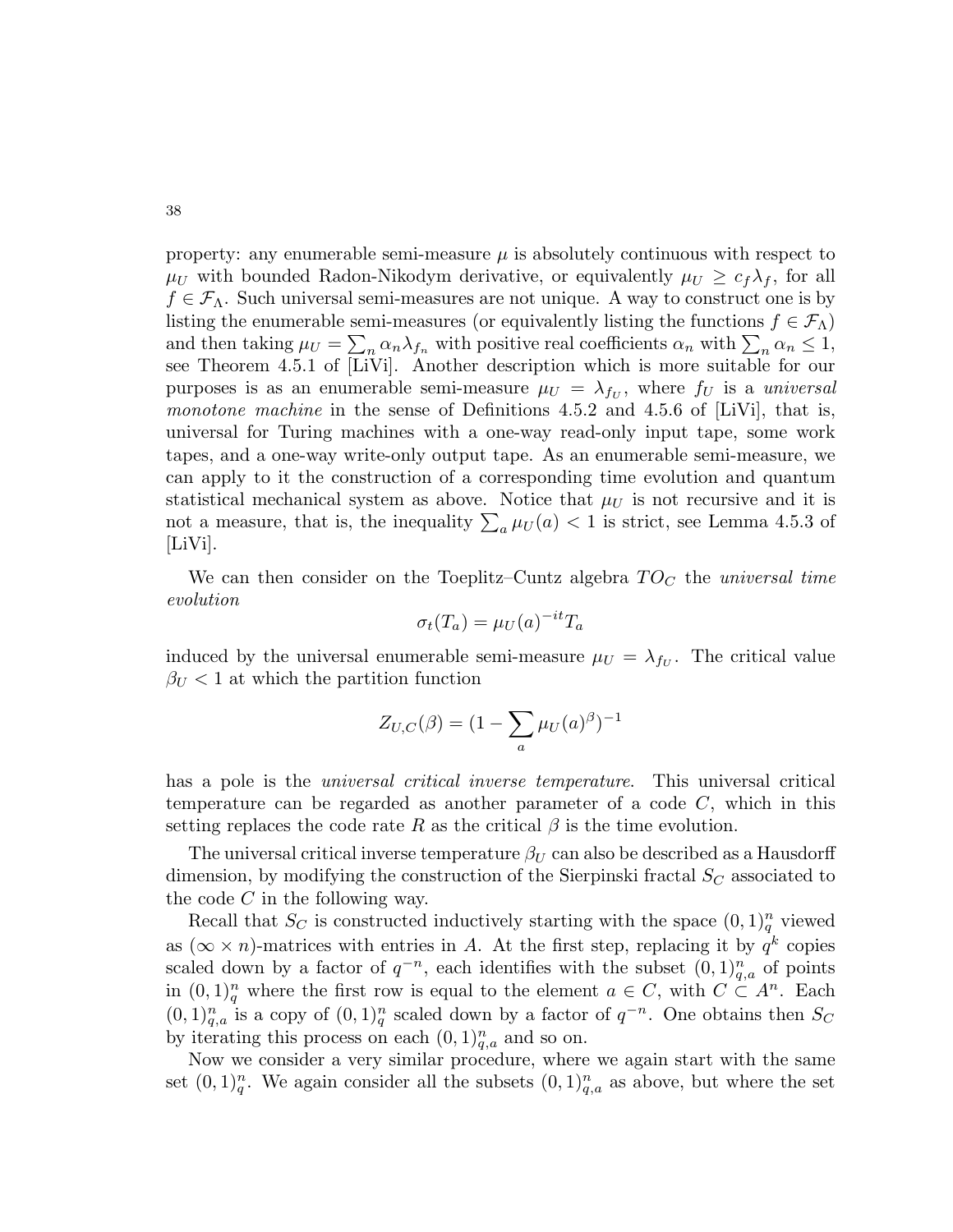property: any enumerable semi-measure  $\mu$  is absolutely continuous with respect to  $\mu_U$  with bounded Radon-Nikodym derivative, or equivalently  $\mu_U \geq c_f \lambda_f$ , for all  $f \in \mathcal{F}_A$ . Such universal semi-measures are not unique. A way to construct one is by listing the enumerable semi-measures (or equivalently listing the functions  $f \in \mathcal{F}_{\Lambda}$ ) and then taking  $\mu_U = \sum_n \alpha_n \lambda_{f_n}$  with positive real coefficients  $\alpha_n$  with  $\sum_n \alpha_n \leq 1$ , see Theorem 4.5.1 of [LiVi]. Another description which is more suitable for our purposes is as an enumerable semi-measure  $\mu_U = \lambda_{f_U}$ , where  $f_U$  is a *universal monotone machine* in the sense of Definitions 4.5.2 and 4.5.6 of [LiVi], that is, universal for Turing machines with a one-way read-only input tape, some work tapes, and a one-way write-only output tape. As an enumerable semi-measure, we can apply to it the construction of a corresponding time evolution and quantum statistical mechanical system as above. Notice that  $\mu_U$  is not recursive and it is not a measure, that is, the inequality  $\sum_a \mu_U(a) < 1$  is strict, see Lemma 4.5.3 of  $|LiVi|.$ 

We can then consider on the Toeplitz–Cuntz algebra  $TO<sub>C</sub>$  the universal time evolution

$$
\sigma_t(T_a) = \mu_U(a)^{-it} T_a
$$

induced by the universal enumerable semi-measure  $\mu_U = \lambda_{f_U}$ . The critical value  $\beta_U$  < 1 at which the partition function

$$
Z_{U,C}(\beta) = (1 - \sum_{a} \mu_U(a)^{\beta})^{-1}
$$

has a pole is the universal critical inverse temperature. This universal critical temperature can be regarded as another parameter of a code  $C$ , which in this setting replaces the code rate R as the critical  $\beta$  is the time evolution.

The universal critical inverse temperature  $\beta_U$  can also be described as a Hausdorff dimension, by modifying the construction of the Sierpinski fractal  $S_C$  associated to the code  $C$  in the following way.

Recall that  $S_C$  is constructed inductively starting with the space  $(0, 1)_q^n$  viewed as  $(\infty \times n)$ -matrices with entries in A. At the first step, replacing it by  $q^k$  copies scaled down by a factor of  $q^{-n}$ , each identifies with the subset  $(0,1)_{q,a}^n$  of points in  $(0,1)_q^n$  where the first row is equal to the element  $a \in C$ , with  $C \subset A^n$ . Each  $(0,1)_{{q},a}^n$  is a copy of  $(0,1)_q^n$  scaled down by a factor of  $q^{-n}$ . One obtains then  $S_C$ by iterating this process on each  $(0,1)<sub>q,a</sub><sup>n</sup>$  and so on.

Now we consider a very similar procedure, where we again start with the same set  $(0,1)_q^n$ . We again consider all the subsets  $(0,1)_q^n$  as above, but where the set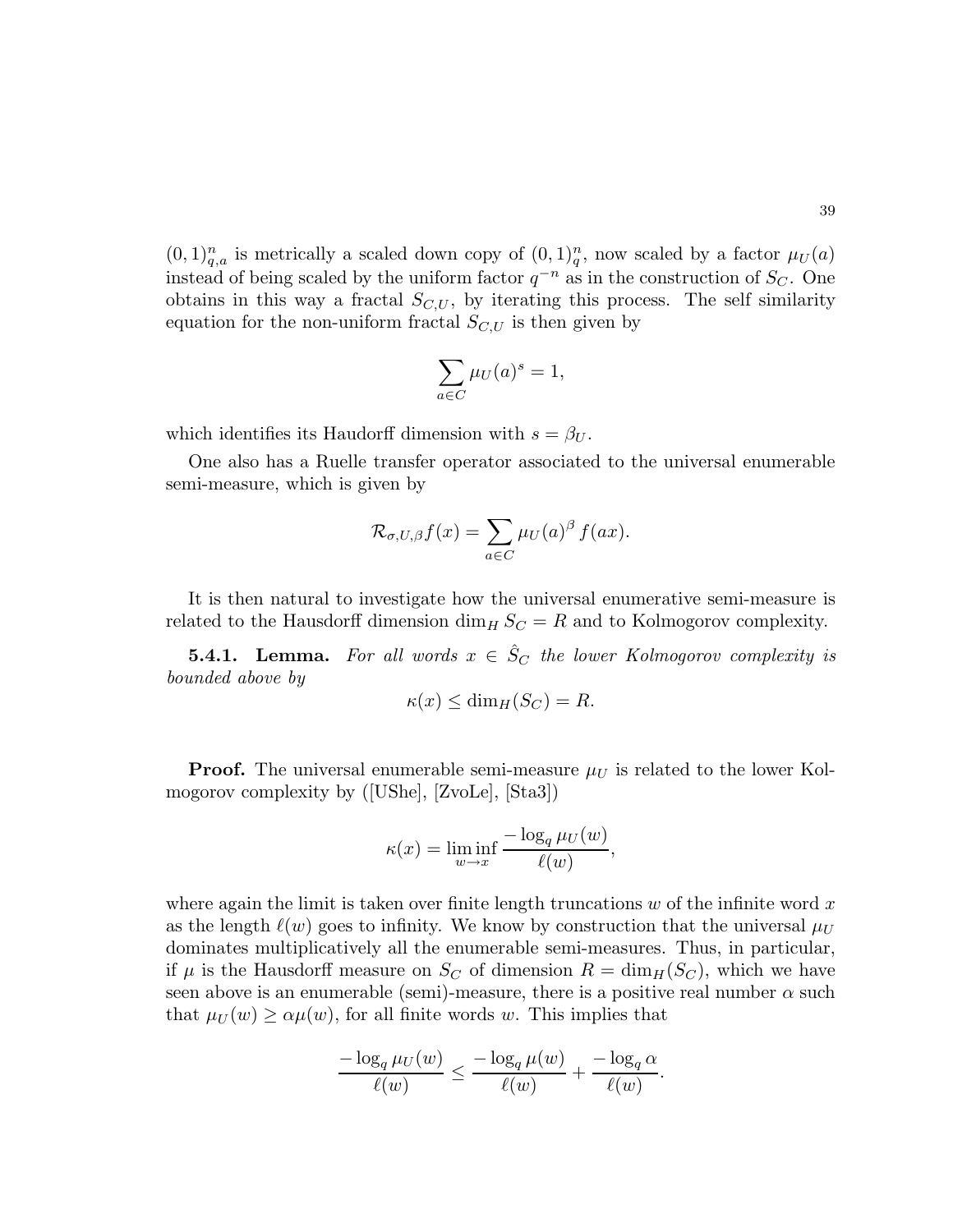$(0,1)_q^n$  is metrically a scaled down copy of  $(0,1)_q^n$ , now scaled by a factor  $\mu_U(a)$ instead of being scaled by the uniform factor  $q^{-n}$  as in the construction of  $S_C$ . One obtains in this way a fractal  $S_{C,U}$ , by iterating this process. The self similarity equation for the non-uniform fractal  $S_{C,U}$  is then given by

$$
\sum_{a \in C} \mu_U(a)^s = 1,
$$

which identifies its Haudorff dimension with  $s = \beta_U$ .

One also has a Ruelle transfer operator associated to the universal enumerable semi-measure, which is given by

$$
\mathcal{R}_{\sigma,U,\beta}f(x) = \sum_{a \in C} \mu_U(a)^\beta f(ax).
$$

It is then natural to investigate how the universal enumerative semi-measure is related to the Hausdorff dimension  $\dim_H S_C = R$  and to Kolmogorov complexity.

**5.4.1.** Lemma. For all words  $x \in \hat{S}_C$  the lower Kolmogorov complexity is bounded above by

$$
\kappa(x) \le \dim_H(S_C) = R.
$$

**Proof.** The universal enumerable semi-measure  $\mu_U$  is related to the lower Kolmogorov complexity by ([UShe], [ZvoLe], [Sta3])

$$
\kappa(x) = \liminf_{w \to x} \frac{-\log_q \mu_U(w)}{\ell(w)},
$$

where again the limit is taken over finite length truncations  $w$  of the infinite word  $x$ as the length  $\ell(w)$  goes to infinity. We know by construction that the universal  $\mu_U$ dominates multiplicatively all the enumerable semi-measures. Thus, in particular, if  $\mu$  is the Hausdorff measure on  $S_C$  of dimension  $R = \dim_H(S_C)$ , which we have seen above is an enumerable (semi)-measure, there is a positive real number  $\alpha$  such that  $\mu_U(w) \ge \alpha \mu(w)$ , for all finite words w. This implies that

$$
\frac{-\log_q\mu_U(w)}{\ell(w)}\leq \frac{-\log_q\mu(w)}{\ell(w)}+\frac{-\log_q\alpha}{\ell(w)}.
$$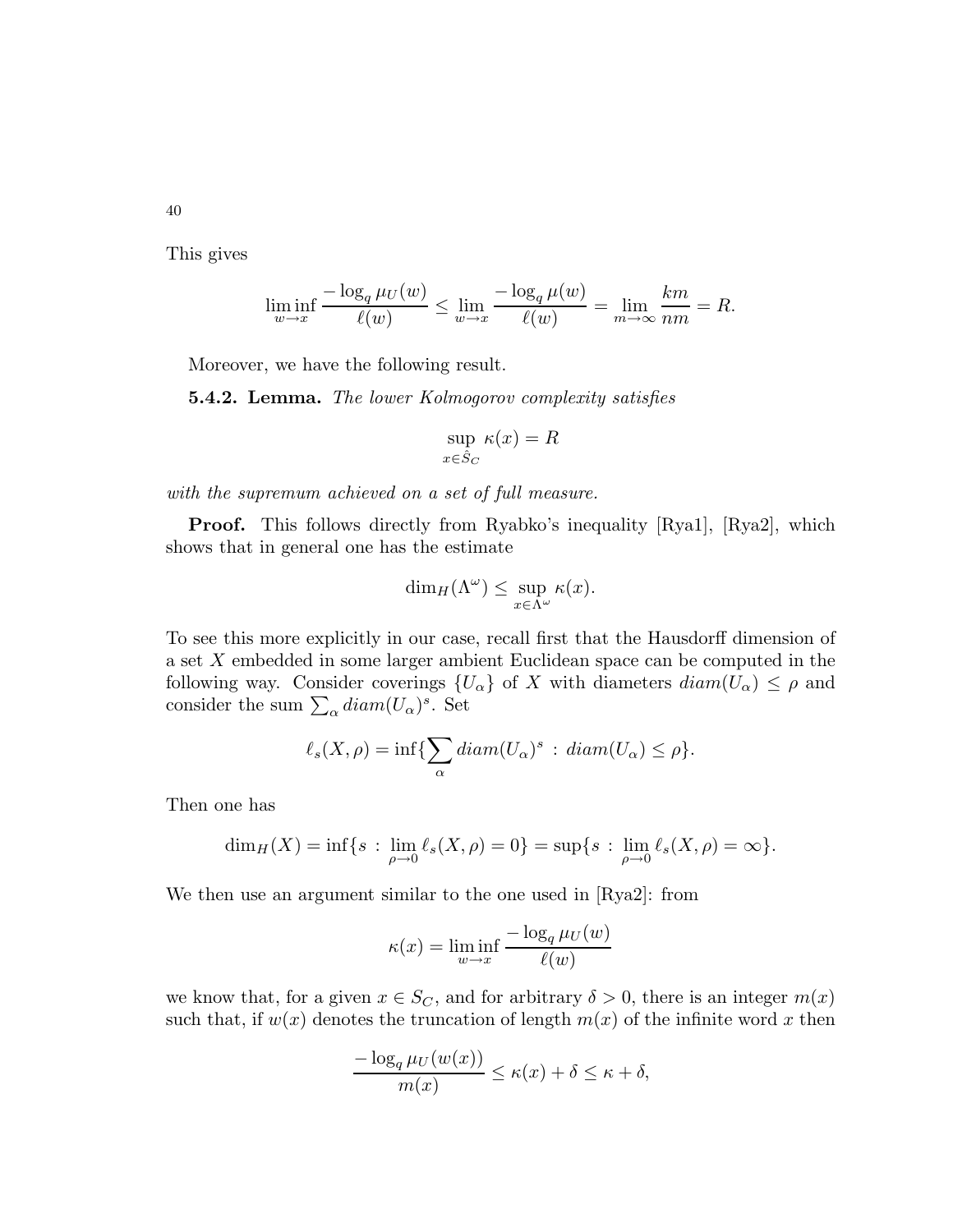This gives

$$
\liminf_{w \to x} \frac{-\log_q \mu_U(w)}{\ell(w)} \le \lim_{w \to x} \frac{-\log_q \mu(w)}{\ell(w)} = \lim_{m \to \infty} \frac{km}{nm} = R.
$$

Moreover, we have the following result.

**5.4.2. Lemma.** The lower Kolmogorov complexity satisfies

$$
\sup_{x \in \hat{S}_C} \kappa(x) = R
$$

with the supremum achieved on a set of full measure.

**Proof.** This follows directly from Ryabko's inequality [Rya1], [Rya2], which shows that in general one has the estimate

$$
\dim_H(\Lambda^\omega) \leq \sup_{x \in \Lambda^\omega} \kappa(x).
$$

To see this more explicitly in our case, recall first that the Hausdorff dimension of a set X embedded in some larger ambient Euclidean space can be computed in the following way. Consider coverings  $\{U_{\alpha}\}\$  of X with diameters  $diam(U_{\alpha}) \leq \rho$  and consider the sum  $\sum_{\alpha} diam(U_{\alpha})^s$ . Set

$$
\ell_s(X,\rho) = \inf \{ \sum_{\alpha} diam(U_{\alpha})^s : diam(U_{\alpha}) \le \rho \}.
$$

Then one has

$$
\dim_H(X) = \inf\{s : \lim_{\rho \to 0} \ell_s(X,\rho) = 0\} = \sup\{s : \lim_{\rho \to 0} \ell_s(X,\rho) = \infty\}.
$$

We then use an argument similar to the one used in [Rya2]: from

$$
\kappa(x) = \liminf_{w \to x} \frac{-\log_q \mu_U(w)}{\ell(w)}
$$

we know that, for a given  $x \in S_C$ , and for arbitrary  $\delta > 0$ , there is an integer  $m(x)$ such that, if  $w(x)$  denotes the truncation of length  $m(x)$  of the infinite word x then

$$
\frac{-\log_q \mu_U(w(x))}{m(x)} \le \kappa(x) + \delta \le \kappa + \delta,
$$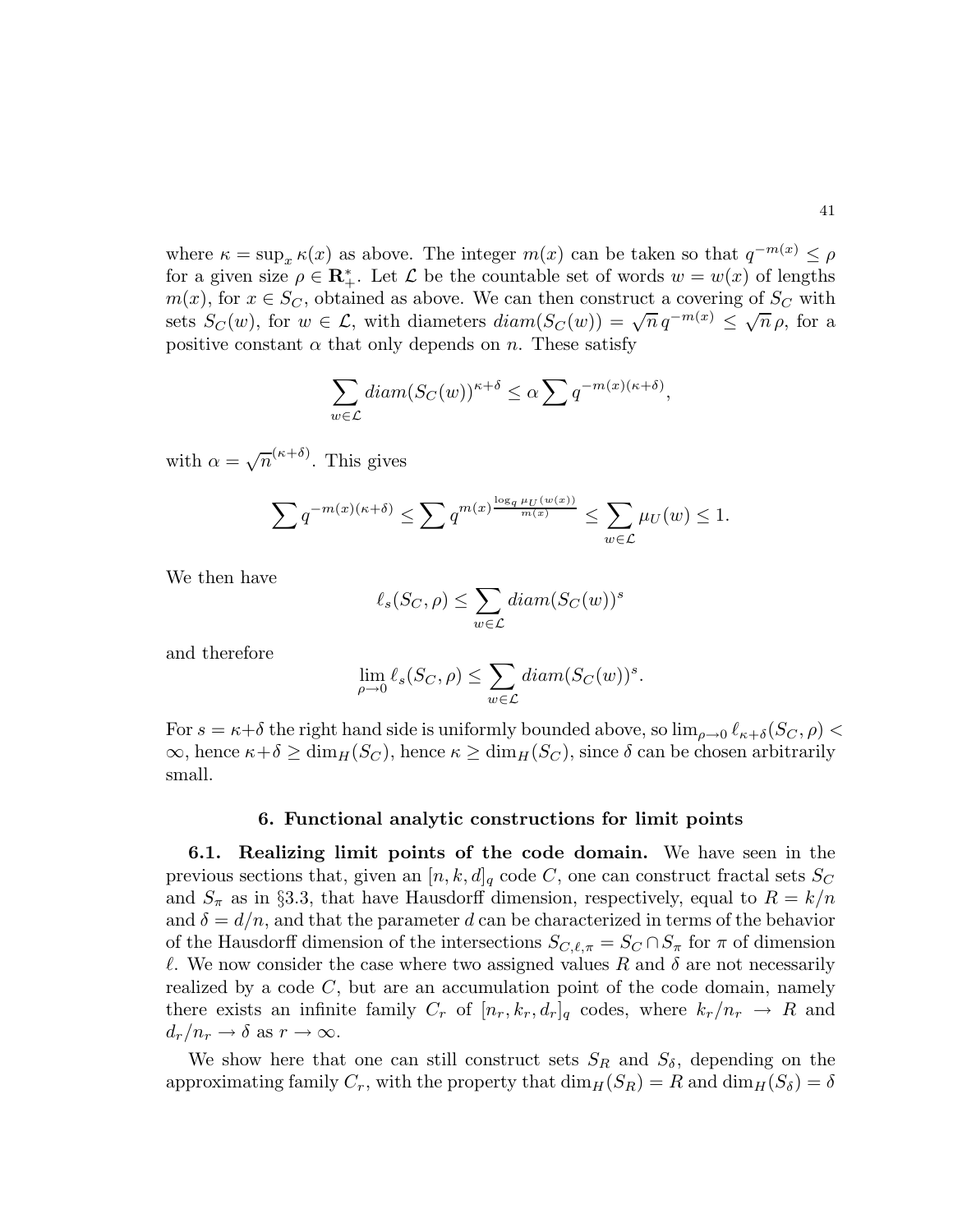where  $\kappa = \sup_x \kappa(x)$  as above. The integer  $m(x)$  can be taken so that  $q^{-m(x)} \le \rho$ for a given size  $\rho \in \mathbb{R}_+^*$ . Let  $\mathcal L$  be the countable set of words  $w = w(x)$  of lengths  $m(x)$ , for  $x \in S_C$ , obtained as above. We can then construct a covering of  $S_C$  with sets  $S_C(w)$ , for  $w \in \mathcal{L}$ , with diameters  $diam(S_C(w)) = \sqrt{n} q^{-m(x)} \leq \sqrt{n} \rho$ , for a positive constant  $\alpha$  that only depends on n. These satisfy

$$
\sum_{w \in \mathcal{L}} \text{diam}(S_C(w))^{\kappa + \delta} \le \alpha \sum q^{-m(x)(\kappa + \delta)},
$$

with  $\alpha = \sqrt{n}^{(\kappa+\delta)}$ . This gives

$$
\sum q^{-m(x)(\kappa+\delta)} \le \sum q^{m(x)\frac{\log_q \mu_U(w(x))}{m(x)}} \le \sum_{w \in \mathcal{L}} \mu_U(w) \le 1.
$$

We then have

$$
\ell_s(S_C, \rho) \le \sum_{w \in \mathcal{L}} diam(S_C(w))^s
$$

and therefore

$$
\lim_{\rho \to 0} \ell_s(S_C, \rho) \le \sum_{w \in \mathcal{L}} diam(S_C(w))^s.
$$

For  $s = \kappa + \delta$  the right hand side is uniformly bounded above, so  $\lim_{\rho \to 0} \ell_{\kappa + \delta}(S_C, \rho)$  $\infty$ , hence  $\kappa + \delta \ge \dim_H(S_C)$ , hence  $\kappa \ge \dim_H(S_C)$ , since  $\delta$  can be chosen arbitrarily small.

### 6. Functional analytic constructions for limit points

6.1. Realizing limit points of the code domain. We have seen in the previous sections that, given an  $[n, k, d]_q$  code C, one can construct fractal sets  $S_C$ and  $S_{\pi}$  as in §3.3, that have Hausdorff dimension, respectively, equal to  $R = k/n$ and  $\delta = d/n$ , and that the parameter d can be characterized in terms of the behavior of the Hausdorff dimension of the intersections  $S_{C,\ell,\pi} = S_C \cap S_{\pi}$  for  $\pi$  of dimension l. We now consider the case where two assigned values R and  $\delta$  are not necessarily realized by a code  $C$ , but are an accumulation point of the code domain, namely there exists an infinite family  $C_r$  of  $[n_r, k_r, d_r]_q$  codes, where  $k_r/n_r \rightarrow R$  and  $d_r/n_r \to \delta \text{ as } r \to \infty.$ 

We show here that one can still construct sets  $S_R$  and  $S_\delta$ , depending on the approximating family  $C_r$ , with the property that  $\dim_H(S_R) = R$  and  $\dim_H(S_\delta) = \delta$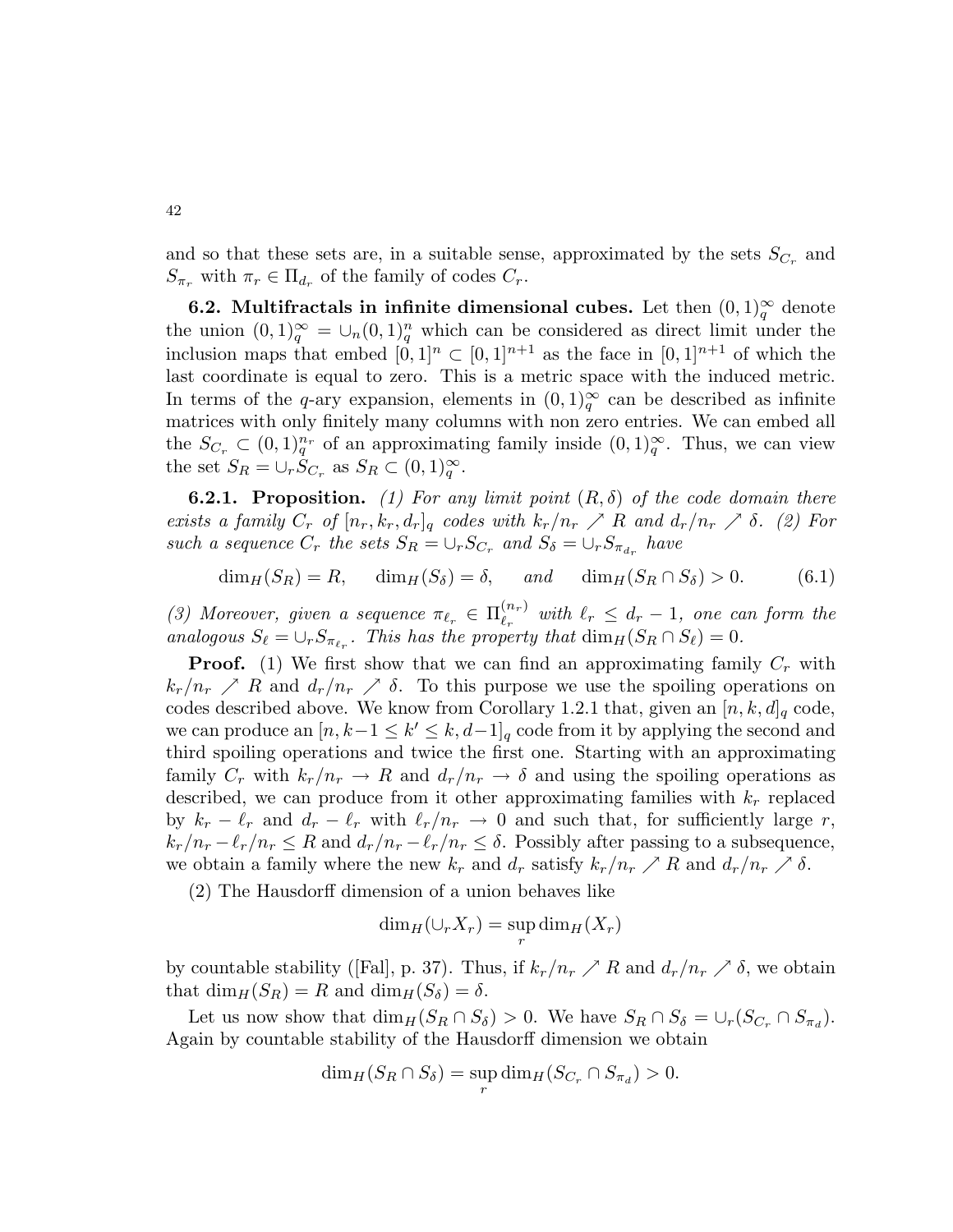and so that these sets are, in a suitable sense, approximated by the sets  $S_{C_r}$  and  $S_{\pi_r}$  with  $\pi_r \in \Pi_{d_r}$  of the family of codes  $C_r$ .

**6.2.** Multifractals in infinite dimensional cubes. Let then  $(0,1)_{q}^{\infty}$  denote the union  $(0,1)_{q}^{\infty} = \cup_{n} (0,1)_{q}^{n}$  which can be considered as direct limit under the inclusion maps that embed  $[0, 1]^n \subset [0, 1]^{n+1}$  as the face in  $[0, 1]^{n+1}$  of which the last coordinate is equal to zero. This is a metric space with the induced metric. In terms of the q-ary expansion, elements in  $(0,1)_{q}^{\infty}$  can be described as infinite matrices with only finitely many columns with non zero entries. We can embed all the  $S_{C_r} \subset (0,1)_q^{n_r}$  of an approximating family inside  $(0,1)_q^{\infty}$ . Thus, we can view the set  $S_R = \cup_r \dot{S}_{C_r}$  as  $S_R \subset (0,1)^\infty_q$ .

**6.2.1. Proposition.** (1) For any limit point  $(R, \delta)$  of the code domain there exists a family  $C_r$  of  $[n_r, k_r, d_r]_q$  codes with  $k_r/n_r \nearrow R$  and  $d_r/n_r \nearrow \delta$ . (2) For such a sequence  $C_r$  the sets  $S_R = \cup_r S_{C_r}$  and  $S_{\delta} = \cup_r S_{\pi_{d_r}}$  have

$$
\dim_H(S_R) = R, \quad \dim_H(S_\delta) = \delta, \quad \text{and} \quad \dim_H(S_R \cap S_\delta) > 0. \tag{6.1}
$$

(3) Moreover, given a sequence  $\pi_{\ell_r} \in \Pi_{\ell_r}^{(n_r)}$  $\ell_r^{(n_r)}$  with  $\ell_r \leq d_r - 1$ , one can form the analogous  $S_{\ell} = \bigcup_r S_{\pi_{\ell_r}}$ . This has the property that  $\dim_H(S_R \cap S_{\ell}) = 0$ .

**Proof.** (1) We first show that we can find an approximating family  $C_r$  with  $k_r/n_r \nearrow R$  and  $d_r/n_r \nearrow \delta$ . To this purpose we use the spoiling operations on codes described above. We know from Corollary 1.2.1 that, given an  $[n, k, d]_q$  code, we can produce an  $[n, k-1 \leq k' \leq k, d-1]_q$  code from it by applying the second and third spoiling operations and twice the first one. Starting with an approximating family  $C_r$  with  $k_r/n_r \to R$  and  $d_r/n_r \to \delta$  and using the spoiling operations as described, we can produce from it other approximating families with  $k_r$  replaced by  $k_r - \ell_r$  and  $d_r - \ell_r$  with  $\ell_r/n_r \to 0$  and such that, for sufficiently large r,  $k_r/n_r - \ell_r/n_r \leq R$  and  $d_r/n_r - \ell_r/n_r \leq \delta$ . Possibly after passing to a subsequence, we obtain a family where the new  $k_r$  and  $d_r$  satisfy  $k_r/n_r \nearrow R$  and  $d_r/n_r \nearrow \delta$ .

(2) The Hausdorff dimension of a union behaves like

$$
\dim_H(\cup_r X_r) = \sup_r \dim_H(X_r)
$$

by countable stability ([Fal], p. 37). Thus, if  $k_r/n_r \nearrow R$  and  $d_r/n_r \nearrow \delta$ , we obtain that  $\dim_H(S_R) = R$  and  $\dim_H(S_\delta) = \delta$ .

Let us now show that  $\dim_H(S_R \cap S_\delta) > 0$ . We have  $S_R \cap S_\delta = \cup_r(S_{C_r} \cap S_{\pi_d})$ . Again by countable stability of the Hausdorff dimension we obtain

$$
\dim_H(S_R \cap S_\delta) = \sup_r \dim_H(S_{C_r} \cap S_{\pi_d}) > 0.
$$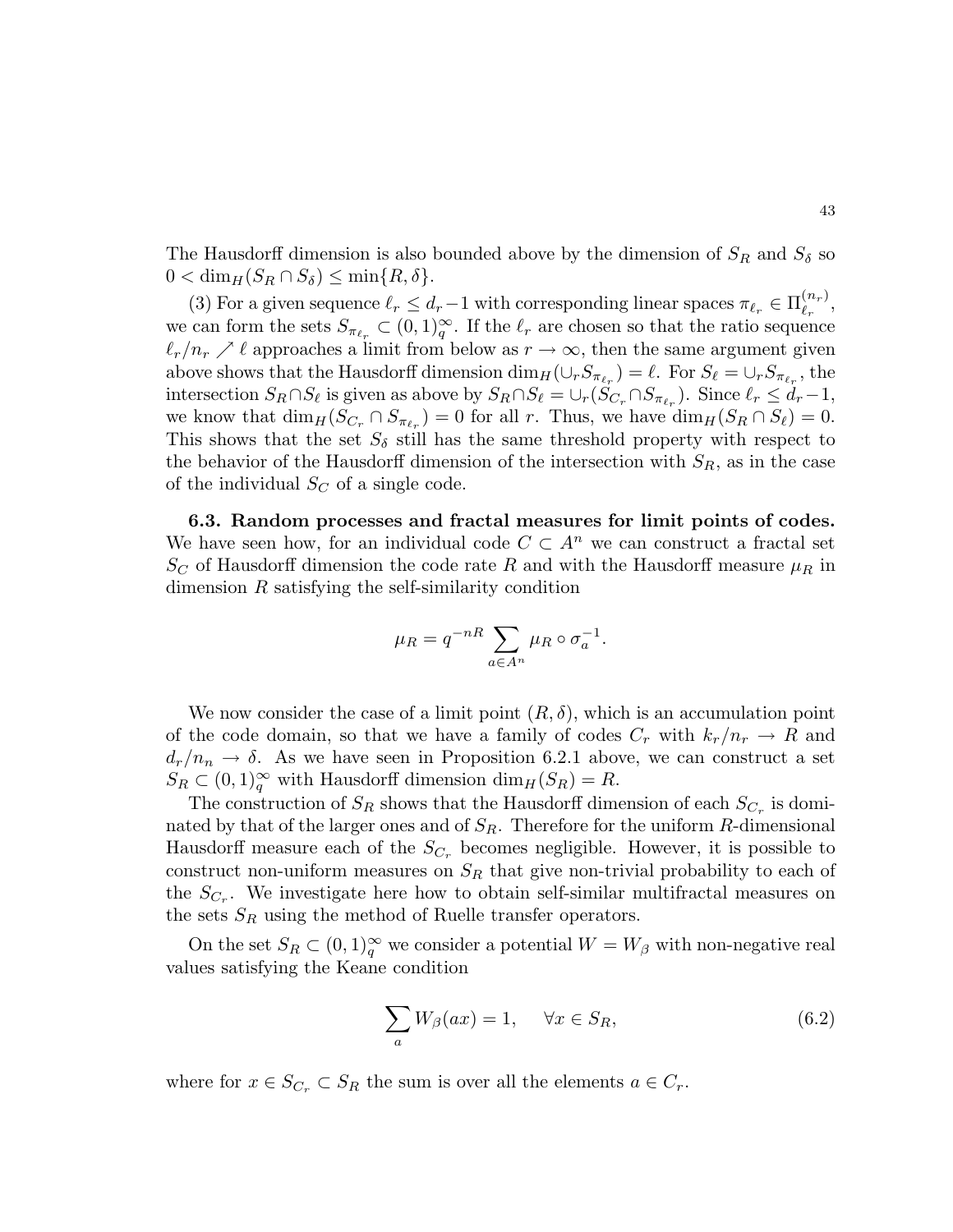The Hausdorff dimension is also bounded above by the dimension of  $S_R$  and  $S_\delta$  so  $0 < \dim_H(S_R \cap S_\delta) \leq \min\{R,\delta\}.$ 

(3) For a given sequence  $\ell_r \leq d_r - 1$  with corresponding linear spaces  $\pi_{\ell_r} \in \Pi_{\ell_r}^{(n_r)}$  $\genfrac{(}{)}{0pt}{}{\left( n_{r}\right) }{ \ell_{r}}$ we can form the sets  $S_{\pi_{\ell_r}} \subset (0,1)^\infty_q$ . If the  $\ell_r$  are chosen so that the ratio sequence  $\ell_r/n_r \nearrow \ell$  approaches a limit from below as  $r \to \infty$ , then the same argument given above shows that the Hausdorff dimension  $\dim_H(\cup_r S_{\pi_{\ell_r}}) = \ell$ . For  $S_{\ell} = \cup_r S_{\pi_{\ell_r}}$ , the intersection  $S_R \cap S_\ell$  is given as above by  $S_R \cap S_\ell = \bigcup_r (S_{C_r} \cap S_{\pi_{\ell_r}})$ . Since  $\ell_r \leq d_r - 1$ , we know that  $\dim_H(S_{C_r} \cap S_{\pi_{\ell_r}}) = 0$  for all r. Thus, we have  $\dim_H(S_R \cap S_{\ell}) = 0$ . This shows that the set  $S_{\delta}$  still has the same threshold property with respect to the behavior of the Hausdorff dimension of the intersection with  $S_R$ , as in the case of the individual  $S_C$  of a single code.

6.3. Random processes and fractal measures for limit points of codes. We have seen how, for an individual code  $C \subset A^n$  we can construct a fractal set  $S_C$  of Hausdorff dimension the code rate R and with the Hausdorff measure  $\mu_R$  in dimension R satisfying the self-similarity condition

$$
\mu_R = q^{-nR} \sum_{a \in A^n} \mu_R \circ \sigma_a^{-1}.
$$

We now consider the case of a limit point  $(R, \delta)$ , which is an accumulation point of the code domain, so that we have a family of codes  $C_r$  with  $k_r/n_r \to R$  and  $d_r/n_n \to \delta$ . As we have seen in Proposition 6.2.1 above, we can construct a set  $S_R \subset (0,1)_q^{\infty}$  with Hausdorff dimension  $\dim_H(S_R) = R$ .

The construction of  $S_R$  shows that the Hausdorff dimension of each  $S_{C_r}$  is dominated by that of the larger ones and of  $S_R$ . Therefore for the uniform R-dimensional Hausdorff measure each of the  $S_{C_r}$  becomes negligible. However, it is possible to construct non-uniform measures on  $S_R$  that give non-trivial probability to each of the  $S_{C_r}$ . We investigate here how to obtain self-similar multifractal measures on the sets  $S_R$  using the method of Ruelle transfer operators.

On the set  $S_R \subset (0,1)^\infty_q$  we consider a potential  $W = W_\beta$  with non-negative real values satisfying the Keane condition

$$
\sum_{a} W_{\beta}(ax) = 1, \quad \forall x \in S_R,
$$
\n(6.2)

where for  $x \in S_{C_r} \subset S_R$  the sum is over all the elements  $a \in C_r$ .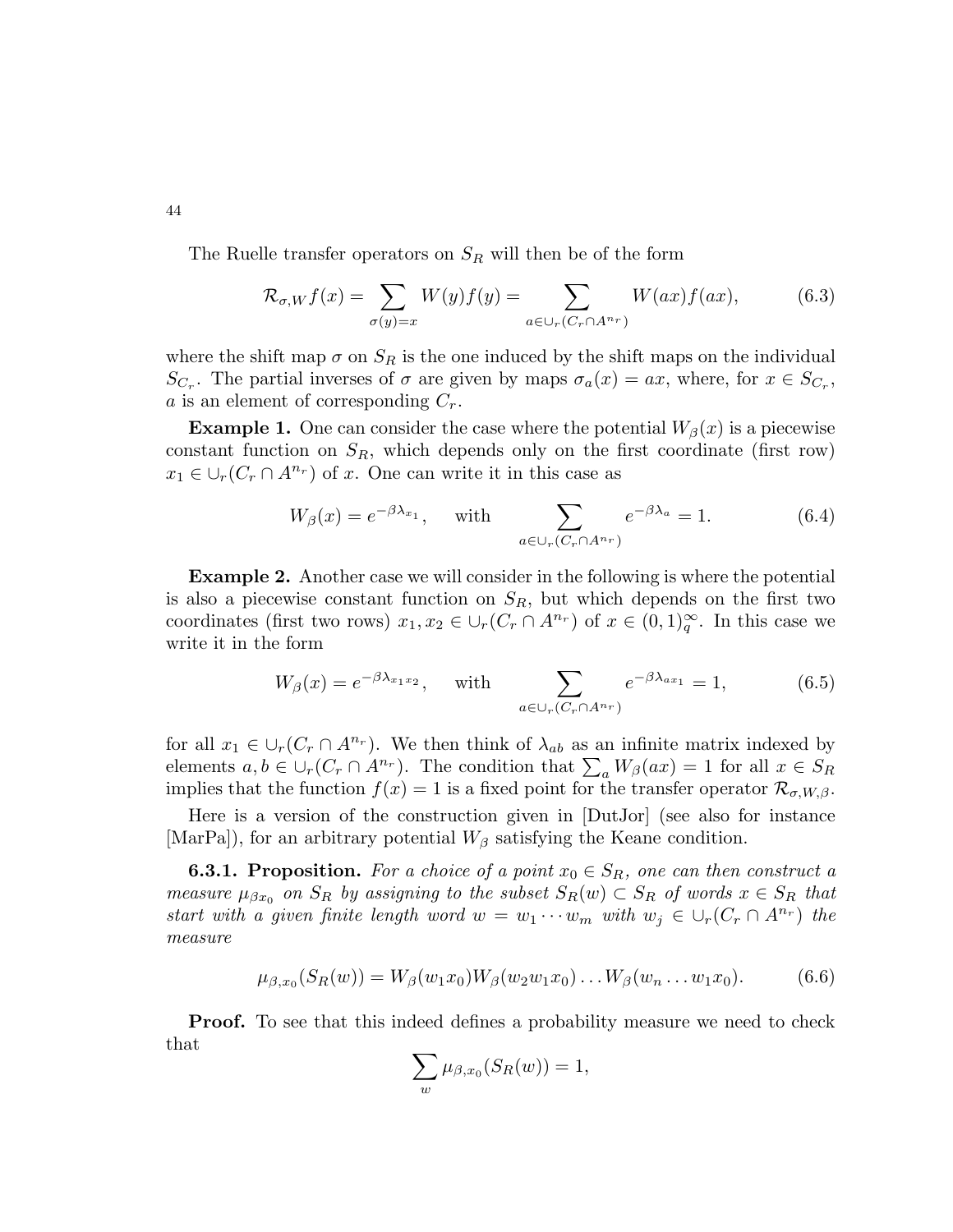The Ruelle transfer operators on  $S_R$  will then be of the form

$$
\mathcal{R}_{\sigma,W}f(x) = \sum_{\sigma(y)=x} W(y)f(y) = \sum_{a \in \cup_r(C_r \cap A^{n_r})} W(ax)f(ax),\tag{6.3}
$$

where the shift map  $\sigma$  on  $S_R$  is the one induced by the shift maps on the individual  $S_{C_r}$ . The partial inverses of  $\sigma$  are given by maps  $\sigma_a(x) = ax$ , where, for  $x \in S_{C_r}$ , a is an element of corresponding  $C_r$ .

**Example 1.** One can consider the case where the potential  $W_\beta(x)$  is a piecewise constant function on  $S_R$ , which depends only on the first coordinate (first row)  $x_1 \in \bigcup_r (C_r \cap A^{n_r})$  of x. One can write it in this case as

$$
W_{\beta}(x) = e^{-\beta \lambda_{x_1}}, \quad \text{with} \quad \sum_{a \in \cup_r(C_r \cap A^{n_r})} e^{-\beta \lambda_a} = 1. \tag{6.4}
$$

Example 2. Another case we will consider in the following is where the potential is also a piecewise constant function on  $S_R$ , but which depends on the first two coordinates (first two rows)  $x_1, x_2 \in \bigcup_r (C_r \cap A^{n_r})$  of  $x \in (0, 1)_q^{\infty}$ . In this case we write it in the form

$$
W_{\beta}(x) = e^{-\beta \lambda_{x_1 x_2}}, \quad \text{with} \quad \sum_{a \in \cup_r(C_r \cap A^{n_r})} e^{-\beta \lambda_{ax_1}} = 1,
$$
 (6.5)

for all  $x_1 \in \bigcup_r (C_r \cap A^{n_r})$ . We then think of  $\lambda_{ab}$  as an infinite matrix indexed by elements  $a, b \in \bigcup_r (C_r \cap A^{n_r})$ . The condition that  $\sum_a W_\beta(ax) = 1$  for all  $x \in S_R$ implies that the function  $f(x) = 1$  is a fixed point for the transfer operator  $\mathcal{R}_{\sigma,W,\beta}$ .

Here is a version of the construction given in [DutJor] (see also for instance [MarPa]), for an arbitrary potential  $W_{\beta}$  satisfying the Keane condition.

**6.3.1. Proposition.** For a choice of a point  $x_0 \in S_R$ , one can then construct a measure  $\mu_{\beta x_0}$  on  $S_R$  by assigning to the subset  $S_R(w) \subset S_R$  of words  $x \in S_R$  that start with a given finite length word  $w = w_1 \cdots w_m$  with  $w_j \in \bigcup_r (C_r \cap A^{n_r})$  the measure

$$
\mu_{\beta,x_0}(S_R(w)) = W_{\beta}(w_1x_0)W_{\beta}(w_2w_1x_0)\dots W_{\beta}(w_n\dots w_1x_0). \tag{6.6}
$$

**Proof.** To see that this indeed defines a probability measure we need to check that

$$
\sum_{w} \mu_{\beta, x_0}(S_R(w)) = 1,
$$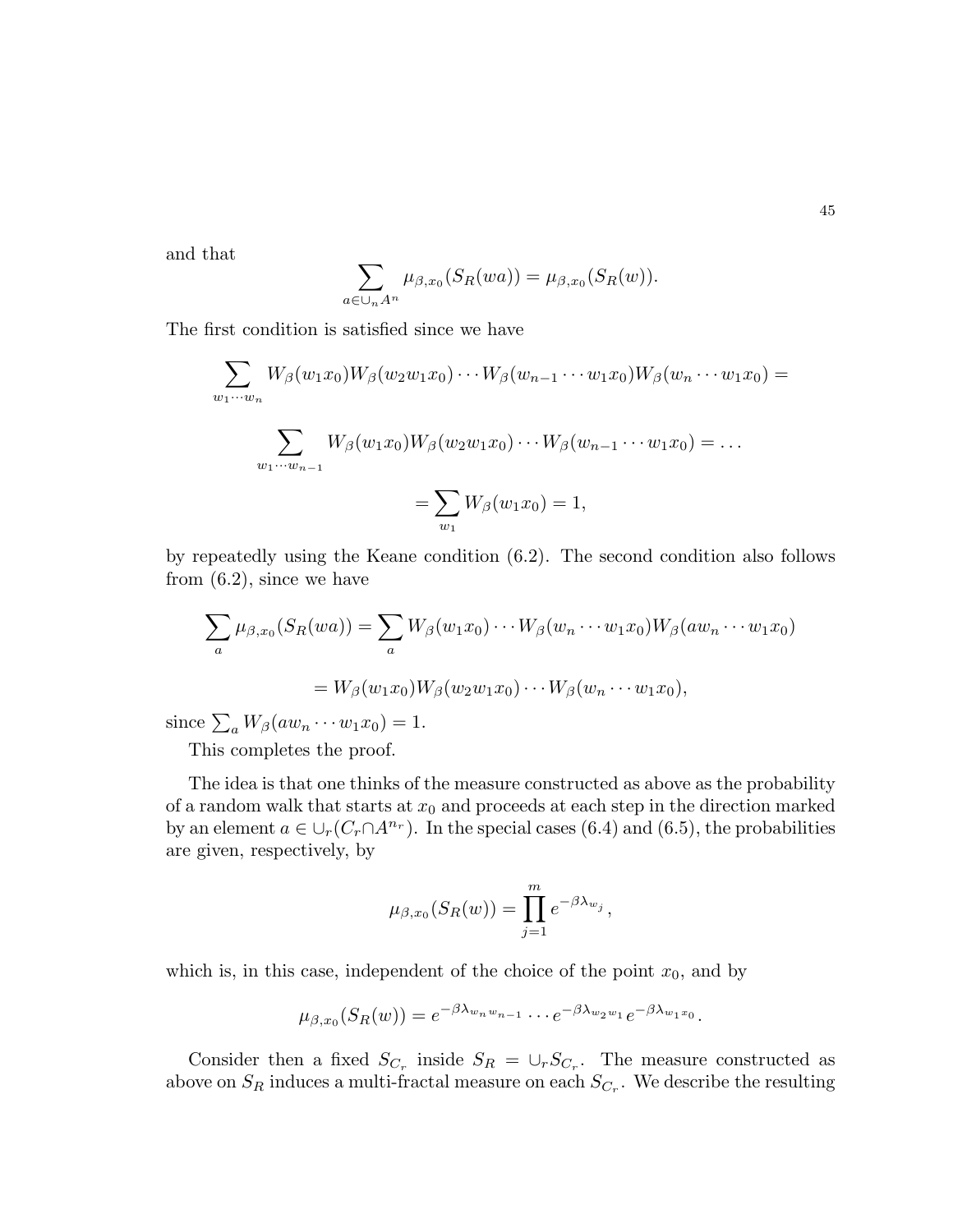and that

$$
\sum_{a\in\cup_n A^n} \mu_{\beta,x_0}(S_R(wa)) = \mu_{\beta,x_0}(S_R(w)).
$$

The first condition is satisfied since we have

$$
\sum_{w_1\cdots w_n} W_{\beta}(w_1x_0)W_{\beta}(w_2w_1x_0)\cdots W_{\beta}(w_{n-1}\cdots w_1x_0)W_{\beta}(w_n\cdots w_1x_0) =
$$
  

$$
\sum_{w_1\cdots w_{n-1}} W_{\beta}(w_1x_0)W_{\beta}(w_2w_1x_0)\cdots W_{\beta}(w_{n-1}\cdots w_1x_0) = \dots
$$
  

$$
= \sum_{w_1} W_{\beta}(w_1x_0) = 1,
$$

by repeatedly using the Keane condition (6.2). The second condition also follows from  $(6.2)$ , since we have

$$
\sum_{a} \mu_{\beta,x_0}(S_R(wa)) = \sum_{a} W_{\beta}(w_1x_0)\cdots W_{\beta}(w_n\cdots w_1x_0)W_{\beta}(aw_n\cdots w_1x_0)
$$

$$
= W_{\beta}(w_1x_0)W_{\beta}(w_2w_1x_0)\cdots W_{\beta}(w_n\cdots w_1x_0),
$$

since  $\sum_a W_\beta(aw_n \cdots w_1 x_0) = 1.$ 

This completes the proof.

The idea is that one thinks of the measure constructed as above as the probability of a random walk that starts at  $x_0$  and proceeds at each step in the direction marked by an element  $a \in \bigcup_r (C_r \cap A^{n_r})$ . In the special cases (6.4) and (6.5), the probabilities are given, respectively, by

$$
\mu_{\beta,x_0}(S_R(w)) = \prod_{j=1}^m e^{-\beta \lambda_{w_j}},
$$

which is, in this case, independent of the choice of the point  $x_0$ , and by

$$
\mu_{\beta,x_0}(S_R(w))=e^{-\beta \lambda_{w_n w_{n-1}}}\cdots e^{-\beta \lambda_{w_2 w_1}}e^{-\beta \lambda_{w_1 x_0}}.
$$

Consider then a fixed  $S_{C_r}$  inside  $S_R = \bigcup_r S_{C_r}$ . The measure constructed as above on  $S_R$  induces a multi-fractal measure on each  $S_{C_r}$ . We describe the resulting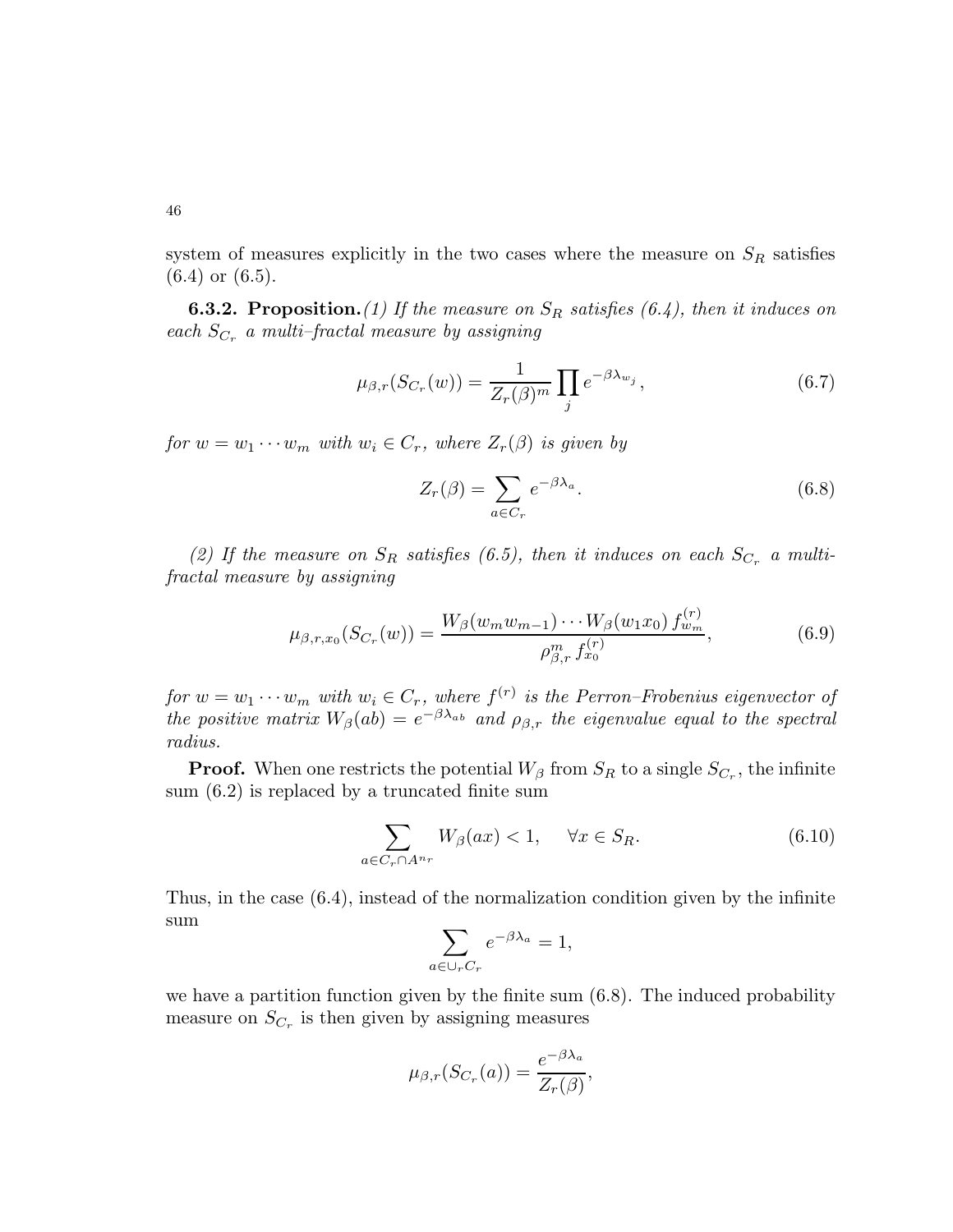system of measures explicitly in the two cases where the measure on  $S_R$  satisfies (6.4) or (6.5).

**6.3.2. Proposition.**(1) If the measure on  $S_R$  satisfies (6.4), then it induces on each  $S_{C_r}$  a multi-fractal measure by assigning

$$
\mu_{\beta,r}(S_{C_r}(w)) = \frac{1}{Z_r(\beta)^m} \prod_j e^{-\beta \lambda_{w_j}},\tag{6.7}
$$

for  $w = w_1 \cdots w_m$  with  $w_i \in C_r$ , where  $Z_r(\beta)$  is given by

$$
Z_r(\beta) = \sum_{a \in C_r} e^{-\beta \lambda_a}.
$$
\n(6.8)

(2) If the measure on  $S_R$  satisfies (6.5), then it induces on each  $S_{C_r}$  a multifractal measure by assigning

$$
\mu_{\beta,r,x_0}(S_{C_r}(w)) = \frac{W_\beta(w_m w_{m-1}) \cdots W_\beta(w_1 x_0) f_{w_m}^{(r)}}{\rho_{\beta,r}^m f_{x_0}^{(r)}},\tag{6.9}
$$

for  $w = w_1 \cdots w_m$  with  $w_i \in C_r$ , where  $f^{(r)}$  is the Perron–Frobenius eigenvector of the positive matrix  $W_{\beta}(ab) = e^{-\beta \lambda_{ab}}$  and  $\rho_{\beta,r}$  the eigenvalue equal to the spectral radius.

**Proof.** When one restricts the potential  $W_{\beta}$  from  $S_R$  to a single  $S_{C_r}$ , the infinite sum (6.2) is replaced by a truncated finite sum

$$
\sum_{a \in C_r \cap A^{n_r}} W_{\beta}(ax) < 1, \quad \forall x \in S_R. \tag{6.10}
$$

Thus, in the case (6.4), instead of the normalization condition given by the infinite sum

$$
\sum_{a \in \cup_r C_r} e^{-\beta \lambda_a} = 1,
$$

we have a partition function given by the finite sum (6.8). The induced probability measure on  $S_{C_r}$  is then given by assigning measures

$$
\mu_{\beta,r}(S_{C_r}(a))=\frac{e^{-\beta\lambda_a}}{Z_r(\beta)},
$$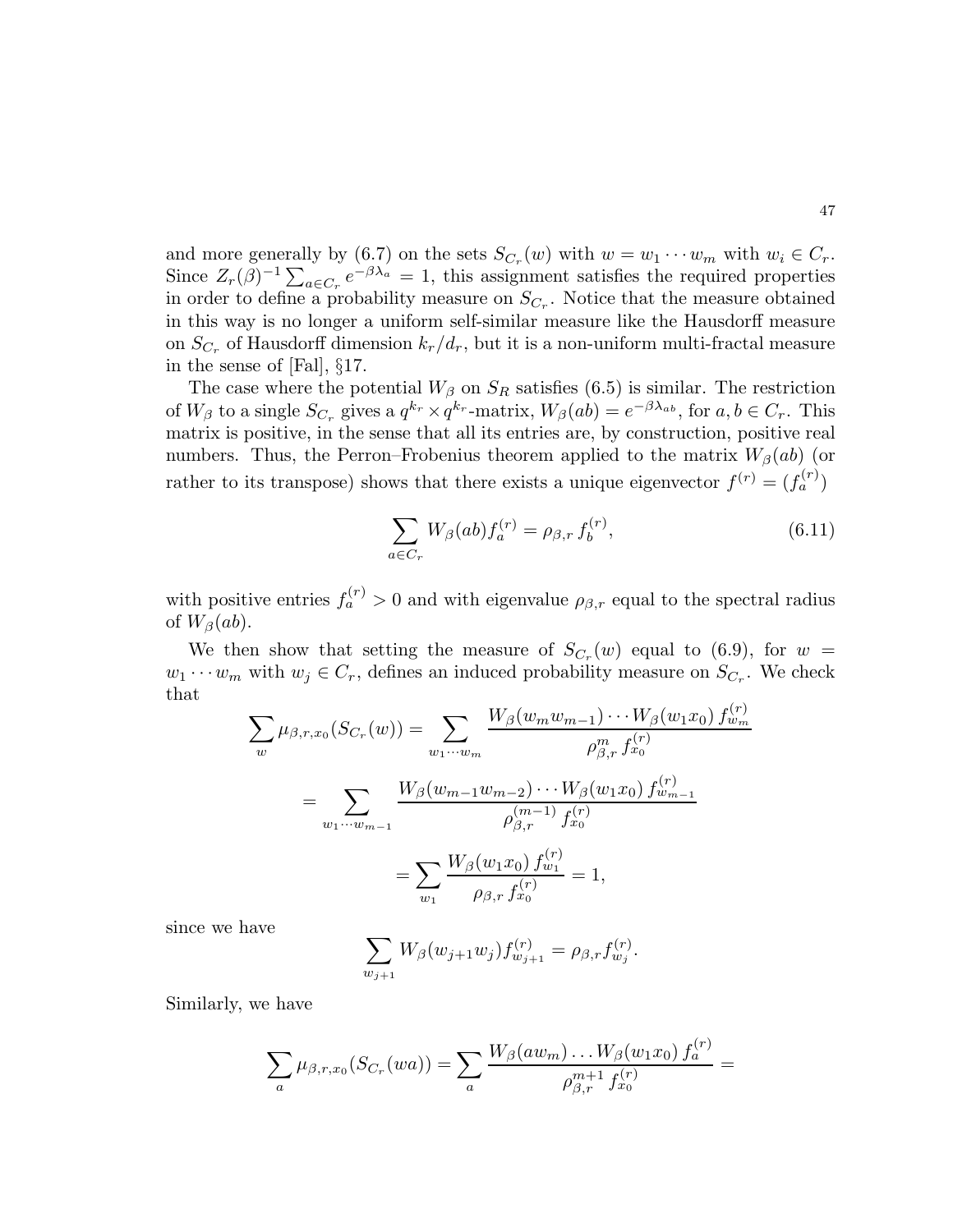and more generally by  $(6.7)$  on the sets  $S_{C_r}(w)$  with  $w = w_1 \cdots w_m$  with  $w_i \in C_r$ . Since  $Z_r(\beta)^{-1} \sum_{a \in C_r} e^{-\beta \lambda_a} = 1$ , this assignment satisfies the required properties in order to define a probability measure on  $S_{C_r}$ . Notice that the measure obtained in this way is no longer a uniform self-similar measure like the Hausdorff measure on  $S_{C_r}$  of Hausdorff dimension  $k_r/d_r$ , but it is a non-uniform multi-fractal measure in the sense of [Fal], §17.

The case where the potential  $W_{\beta}$  on  $S_R$  satisfies (6.5) is similar. The restriction of  $W_{\beta}$  to a single  $S_{C_r}$  gives a  $q^{k_r} \times q^{k_r}$ -matrix,  $W_{\beta}(ab) = e^{-\beta \lambda_{ab}}$ , for  $a, b \in C_r$ . This matrix is positive, in the sense that all its entries are, by construction, positive real numbers. Thus, the Perron–Frobenius theorem applied to the matrix  $W_\beta(ab)$  (or rather to its transpose) shows that there exists a unique eigenvector  $f^{(r)} = (f_a^{(r)})$ 

$$
\sum_{a \in C_r} W_{\beta}(ab) f_a^{(r)} = \rho_{\beta,r} f_b^{(r)},\tag{6.11}
$$

with positive entries  $f_a^{(r)} > 0$  and with eigenvalue  $\rho_{\beta,r}$  equal to the spectral radius of  $W_\beta(ab)$ .

We then show that setting the measure of  $S_{C_r}(w)$  equal to (6.9), for  $w =$  $w_1 \cdots w_m$  with  $w_j \in C_r$ , defines an induced probability measure on  $S_{C_r}$ . We check that

$$
\sum_{w} \mu_{\beta,r,x_0}(S_{C_r}(w)) = \sum_{w_1\cdots w_m} \frac{W_{\beta}(w_m w_{m-1})\cdots W_{\beta}(w_1 x_0) f_{w_m}^{(r)}}{\rho_{\beta,r}^m f_{x_0}^{(r)}}
$$
  
= 
$$
\sum_{w_1\cdots w_{m-1}} \frac{W_{\beta}(w_{m-1} w_{m-2})\cdots W_{\beta}(w_1 x_0) f_{w_{m-1}}^{(r)}}{\rho_{\beta,r}^{(m-1)} f_{x_0}^{(r)}}
$$
  
= 
$$
\sum_{w_1} \frac{W_{\beta}(w_1 x_0) f_{w_1}^{(r)}}{\rho_{\beta,r} f_{x_0}^{(r)}} = 1,
$$

since we have

$$
\sum_{w_{j+1}} W_{\beta}(w_{j+1}w_j) f_{w_{j+1}}^{(r)} = \rho_{\beta,r} f_{w_j}^{(r)}.
$$

Similarly, we have

$$
\sum_{a} \mu_{\beta,r,x_0}(S_{C_r}(wa)) = \sum_{a} \frac{W_{\beta}(aw_m) \dots W_{\beta}(w_1x_0) f_a^{(r)}}{\rho_{\beta,r}^{m+1} f_{x_0}^{(r)}} =
$$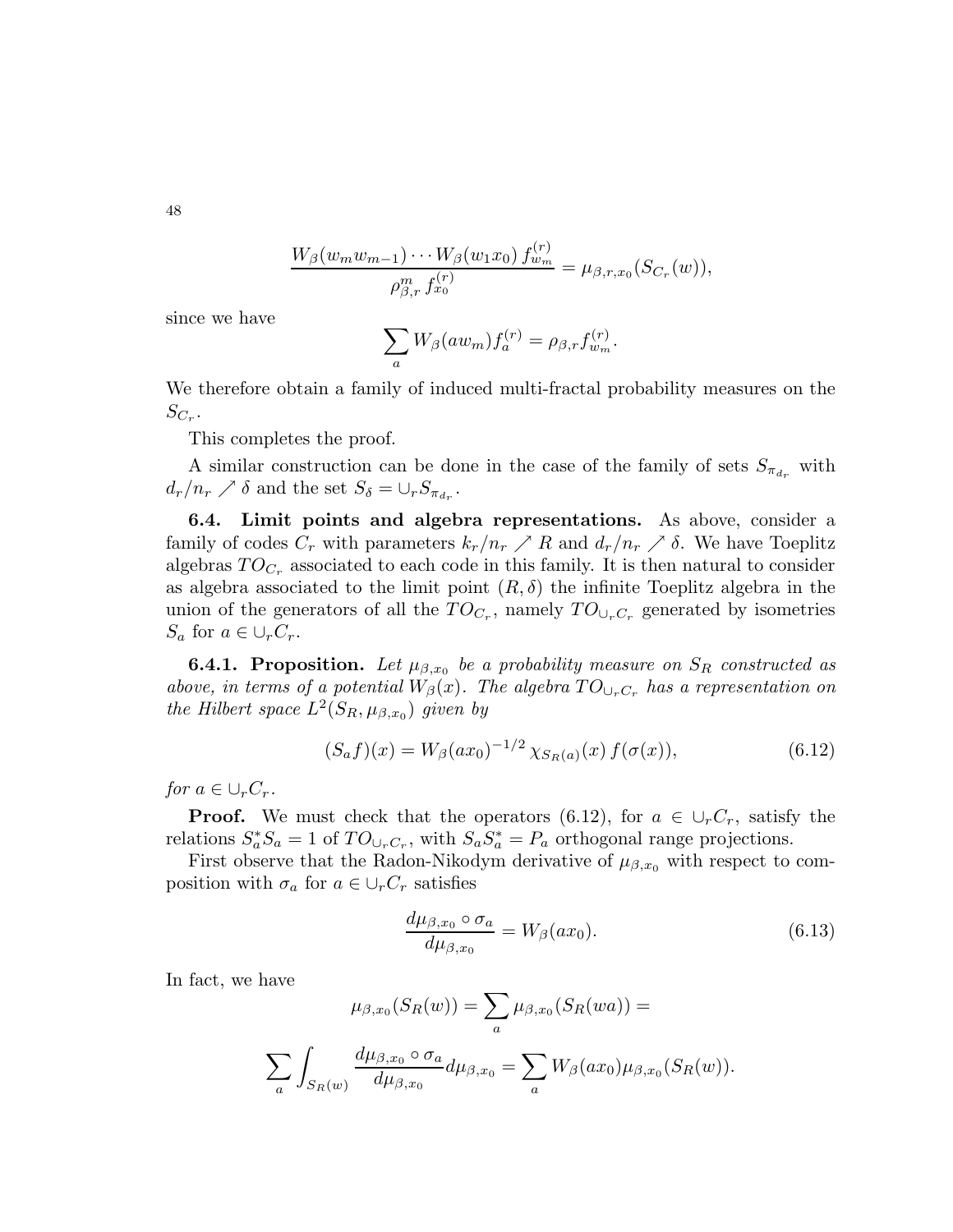48

$$
\frac{W_{\beta}(w_m w_{m-1})\cdots W_{\beta}(w_1 x_0) f^{(r)}_{w_m}}{\rho_{\beta,r}^m f^{(r)}_{x_0}} = \mu_{\beta,r,x_0}(S_{C_r}(w)),
$$

since we have

$$
\sum_a W_\beta(aw_m) f_a^{(r)} = \rho_{\beta,r} f_{w_m}^{(r)}.
$$

We therefore obtain a family of induced multi-fractal probability measures on the  $S_{C_r}.$ 

This completes the proof.

A similar construction can be done in the case of the family of sets  $S_{\pi_{d_r}}$  with  $d_r/n_r \nearrow \delta$  and the set  $S_{\delta} = \bigcup_r S_{\pi_{d_r}}$ .

6.4. Limit points and algebra representations. As above, consider a family of codes  $C_r$  with parameters  $k_r/n_r \nearrow R$  and  $d_r/n_r \nearrow \delta$ . We have Toeplitz algebras  $TO_{C_r}$  associated to each code in this family. It is then natural to consider as algebra associated to the limit point  $(R, \delta)$  the infinite Toeplitz algebra in the union of the generators of all the  $TO_{C_r}$ , namely  $TO_{\bigcup_r C_r}$  generated by isometries  $S_a$  for  $a \in \bigcup_r C_r$ .

**6.4.1. Proposition.** Let  $\mu_{\beta,x_0}$  be a probability measure on  $S_R$  constructed as above, in terms of a potential  $W_{\beta}(x)$ . The algebra  $TO_{\cup_{r}C_{r}}$  has a representation on the Hilbert space  $L^2(S_R, \mu_{\beta,x_0})$  given by

$$
(S_a f)(x) = W_{\beta}(ax_0)^{-1/2} \chi_{S_R(a)}(x) f(\sigma(x)), \qquad (6.12)
$$

for  $a \in \bigcup_r C_r$ .

**Proof.** We must check that the operators (6.12), for  $a \in \bigcup_{r} C_r$ , satisfy the relations  $S_a^* S_a = 1$  of  $TO_{\cup_r C_r}$ , with  $S_a S_a^* = P_a$  orthogonal range projections.

First observe that the Radon-Nikodym derivative of  $\mu_{\beta,x_0}$  with respect to composition with  $\sigma_a$  for  $a \in \bigcup_r C_r$  satisfies

$$
\frac{d\mu_{\beta,x_0} \circ \sigma_a}{d\mu_{\beta,x_0}} = W_{\beta}(ax_0). \tag{6.13}
$$

In fact, we have

$$
\mu_{\beta,x_0}(S_R(w)) = \sum_a \mu_{\beta,x_0}(S_R(wa)) =
$$
  

$$
\sum_a \int_{S_R(w)} \frac{d\mu_{\beta,x_0} \circ \sigma_a}{d\mu_{\beta,x_0}} d\mu_{\beta,x_0} = \sum_a W_{\beta}(ax_0) \mu_{\beta,x_0}(S_R(w)).
$$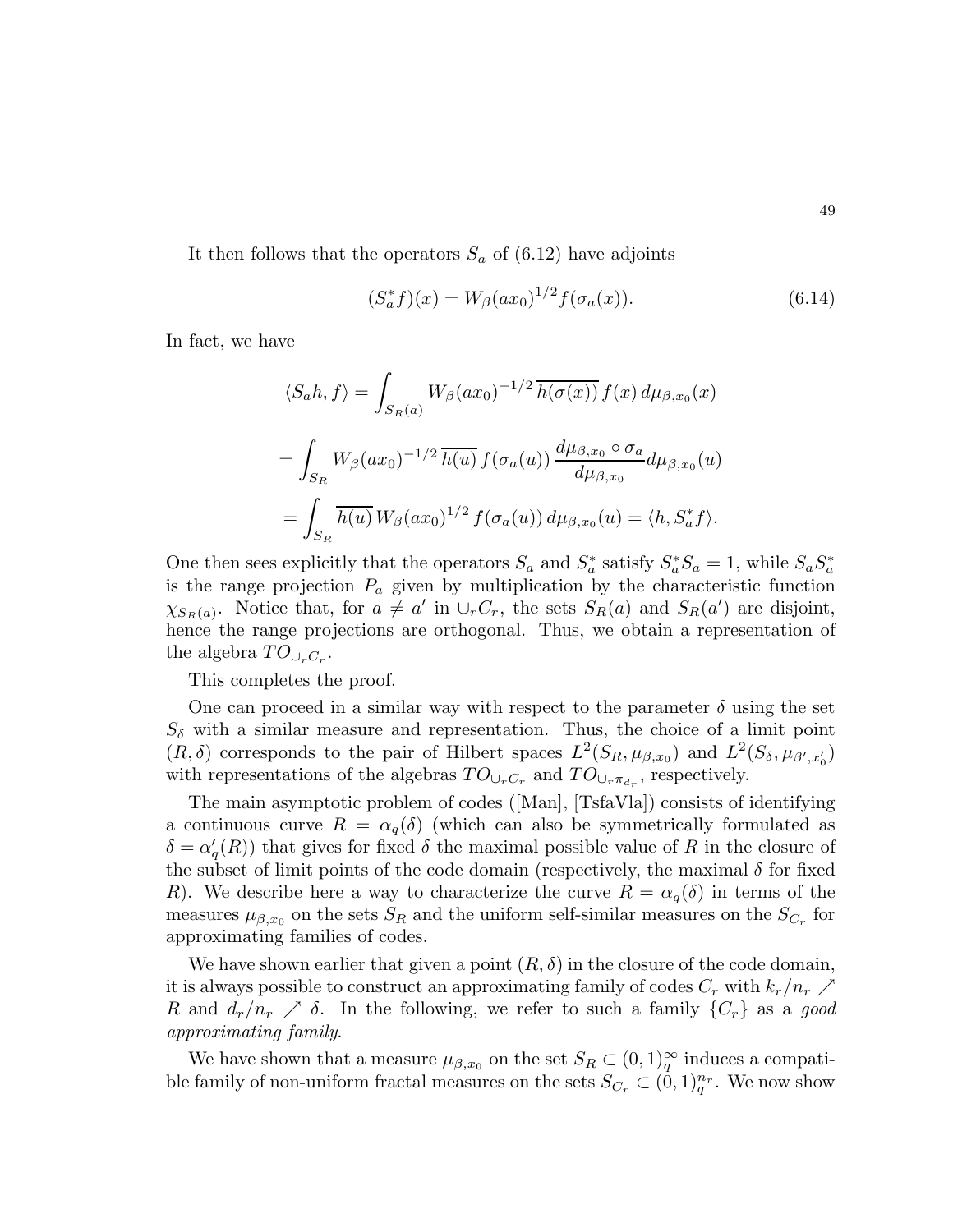It then follows that the operators  $S_a$  of (6.12) have adjoints

$$
(S_a^* f)(x) = W_\beta(ax_0)^{1/2} f(\sigma_a(x)).
$$
\n(6.14)

In fact, we have

$$
\langle S_a h, f \rangle = \int_{S_R(a)} W_\beta(ax_0)^{-1/2} \overline{h(\sigma(x))} f(x) d\mu_{\beta, x_0}(x)
$$
  
= 
$$
\int_{S_R} W_\beta(ax_0)^{-1/2} \overline{h(u)} f(\sigma_a(u)) \frac{d\mu_{\beta, x_0} \circ \sigma_a}{d\mu_{\beta, x_0}} d\mu_{\beta, x_0}(u)
$$
  
= 
$$
\int_{S_R} \overline{h(u)} W_\beta(ax_0)^{1/2} f(\sigma_a(u)) d\mu_{\beta, x_0}(u) = \langle h, S_a^* f \rangle.
$$

One then sees explicitly that the operators  $S_a$  and  $S_a^*$  satisfy  $S_a^* S_a = 1$ , while  $S_a S_a^*$ is the range projection  $P_a$  given by multiplication by the characteristic function  $\chi_{S_R(a)}$ . Notice that, for  $a \neq a'$  in  $\cup_r C_r$ , the sets  $S_R(a)$  and  $S_R(a')$  are disjoint, hence the range projections are orthogonal. Thus, we obtain a representation of the algebra  $TO_{\cup_rC_r}$ .

This completes the proof.

One can proceed in a similar way with respect to the parameter  $\delta$  using the set  $S_{\delta}$  with a similar measure and representation. Thus, the choice of a limit point  $(R, \delta)$  corresponds to the pair of Hilbert spaces  $L^2(S_R, \mu_{\beta,x_0})$  and  $L^2(S_\delta, \mu_{\beta',x'_0})$ with representations of the algebras  $TO_{\cup_r C_r}$  and  $TO_{\cup_r \pi_{d_r}}$ , respectively.

The main asymptotic problem of codes ([Man], [TsfaVla]) consists of identifying a continuous curve  $R = \alpha_q(\delta)$  (which can also be symmetrically formulated as  $\delta = \alpha'_{q}(R)$ ) that gives for fixed  $\delta$  the maximal possible value of R in the closure of the subset of limit points of the code domain (respectively, the maximal  $\delta$  for fixed R). We describe here a way to characterize the curve  $R = \alpha_q(\delta)$  in terms of the measures  $\mu_{\beta,x_0}$  on the sets  $S_R$  and the uniform self-similar measures on the  $S_{C_r}$  for approximating families of codes.

We have shown earlier that given a point  $(R, \delta)$  in the closure of the code domain, it is always possible to construct an approximating family of codes  $C_r$  with  $k_r/n_r \nearrow$ R and  $d_r/n_r \nearrow \delta$ . In the following, we refer to such a family  $\{C_r\}$  as a good approximating family.

We have shown that a measure  $\mu_{\beta,x_0}$  on the set  $S_R \subset (0,1)^\infty_q$  induces a compatible family of non-uniform fractal measures on the sets  $S_{C_r} \subset (0,1)_q^{n_r}$ . We now show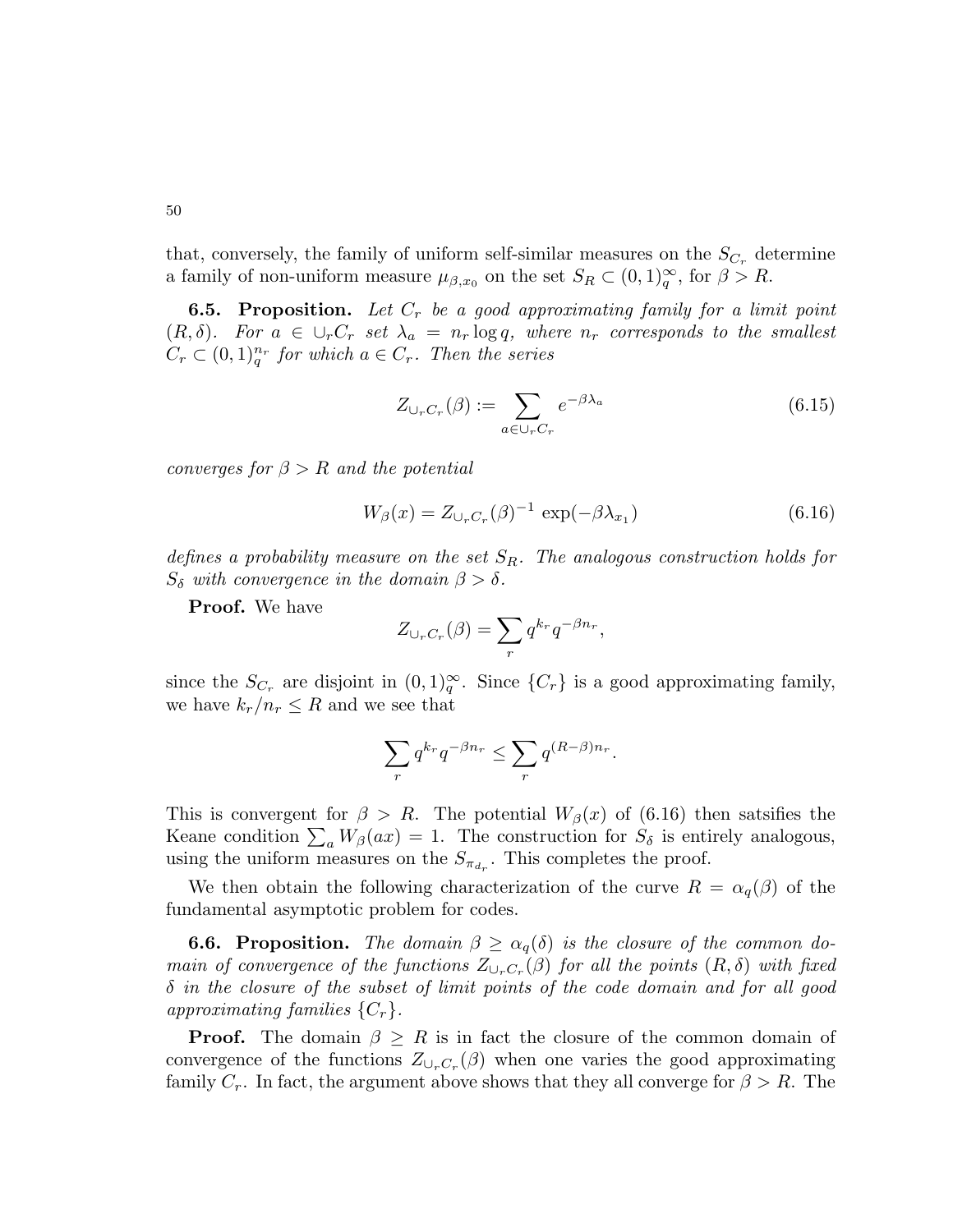that, conversely, the family of uniform self-similar measures on the  $S_{C_r}$  determine a family of non-uniform measure  $\mu_{\beta,x_0}$  on the set  $S_R \subset (0,1)_{q}^{\infty}$ , for  $\beta > R$ .

**6.5. Proposition.** Let  $C_r$  be a good approximating family for a limit point  $(R, \delta)$ . For  $a \in \bigcup_r C_r$  set  $\lambda_a = n_r \log q$ , where  $n_r$  corresponds to the smallest  $C_r \subset (0,1)_q^{n_r}$  for which  $a \in C_r$ . Then the series

$$
Z_{\cup_r C_r}(\beta) := \sum_{a \in \cup_r C_r} e^{-\beta \lambda_a} \tag{6.15}
$$

converges for  $\beta > R$  and the potential

$$
W_{\beta}(x) = Z_{\cup_r C_r}(\beta)^{-1} \exp(-\beta \lambda_{x_1}) \tag{6.16}
$$

defines a probability measure on the set  $S_R$ . The analogous construction holds for  $S_{\delta}$  with convergence in the domain  $\beta > \delta$ .

Proof. We have

$$
Z_{\cup_r C_r}(\beta) = \sum_r q^{k_r} q^{-\beta n_r},
$$

since the  $S_{C_r}$  are disjoint in  $(0,1)_{q}^{\infty}$ . Since  $\{C_r\}$  is a good approximating family, we have  $k_r/n_r \leq R$  and we see that

$$
\sum_r q^{k_r} q^{-\beta n_r} \leq \sum_r q^{(R-\beta)n_r}.
$$

This is convergent for  $\beta > R$ . The potential  $W_{\beta}(x)$  of (6.16) then satsifies the Keane condition  $\sum_a W_\beta(ax) = 1$ . The construction for  $S_\delta$  is entirely analogous, using the uniform measures on the  $S_{\pi_{d_r}}$ . This completes the proof.

We then obtain the following characterization of the curve  $R = \alpha_q(\beta)$  of the fundamental asymptotic problem for codes.

**6.6. Proposition.** The domain  $\beta \geq \alpha_q(\delta)$  is the closure of the common domain of convergence of the functions  $Z_{\cup_r C_r}(\beta)$  for all the points  $(R, \delta)$  with fixed  $\delta$  in the closure of the subset of limit points of the code domain and for all good approximating families  $\{C_r\}$ .

**Proof.** The domain  $\beta > R$  is in fact the closure of the common domain of convergence of the functions  $Z_{\cup_r C_r}(\beta)$  when one varies the good approximating family  $C_r$ . In fact, the argument above shows that they all converge for  $\beta > R$ . The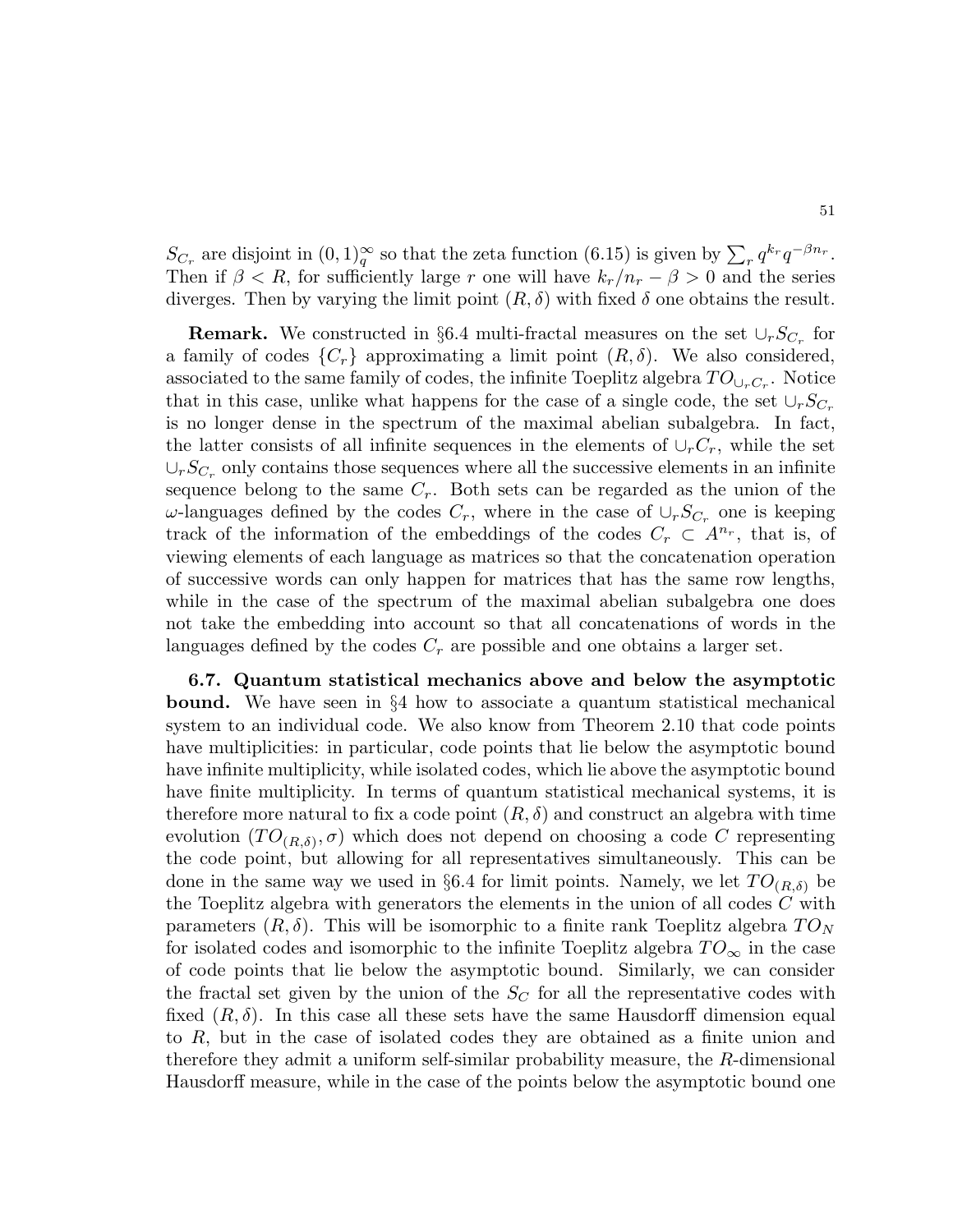$S_{C_r}$  are disjoint in  $(0,1)_{q}^{\infty}$  so that the zeta function  $(6.15)$  is given by  $\sum_{r} q^{k_r} q^{-\beta n_r}$ . Then if  $\beta < R$ , for sufficiently large r one will have  $k_r/n_r - \beta > 0$  and the series diverges. Then by varying the limit point  $(R, \delta)$  with fixed  $\delta$  one obtains the result.

**Remark.** We constructed in §6.4 multi-fractal measures on the set  $\cup_r S_{C_r}$  for a family of codes  $\{C_r\}$  approximating a limit point  $(R, \delta)$ . We also considered, associated to the same family of codes, the infinite Toeplitz algebra  $TO_{\cup_rC_r}$ . Notice that in this case, unlike what happens for the case of a single code, the set  $\cup_r S_{C_r}$ is no longer dense in the spectrum of the maximal abelian subalgebra. In fact, the latter consists of all infinite sequences in the elements of  $\cup_r C_r$ , while the set  $\cup_r S_{C_r}$  only contains those sequences where all the successive elements in an infinite sequence belong to the same  $C_r$ . Both sets can be regarded as the union of the  $\omega$ -languages defined by the codes  $C_r$ , where in the case of  $\cup_r S_{C_r}$  one is keeping track of the information of the embeddings of the codes  $C_r \subset A^{n_r}$ , that is, of viewing elements of each language as matrices so that the concatenation operation of successive words can only happen for matrices that has the same row lengths, while in the case of the spectrum of the maximal abelian subalgebra one does not take the embedding into account so that all concatenations of words in the languages defined by the codes  $C_r$  are possible and one obtains a larger set.

6.7. Quantum statistical mechanics above and below the asymptotic bound. We have seen in §4 how to associate a quantum statistical mechanical system to an individual code. We also know from Theorem 2.10 that code points have multiplicities: in particular, code points that lie below the asymptotic bound have infinite multiplicity, while isolated codes, which lie above the asymptotic bound have finite multiplicity. In terms of quantum statistical mechanical systems, it is therefore more natural to fix a code point  $(R, \delta)$  and construct an algebra with time evolution  $(TO_{(R,\delta)}, \sigma)$  which does not depend on choosing a code C representing the code point, but allowing for all representatives simultaneously. This can be done in the same way we used in §6.4 for limit points. Namely, we let  $TO_{(R,\delta)}$  be the Toeplitz algebra with generators the elements in the union of all codes C with parameters  $(R, \delta)$ . This will be isomorphic to a finite rank Toeplitz algebra  $T O_N$ for isolated codes and isomorphic to the infinite Toeplitz algebra  $TO_{\infty}$  in the case of code points that lie below the asymptotic bound. Similarly, we can consider the fractal set given by the union of the  $S_C$  for all the representative codes with fixed  $(R, \delta)$ . In this case all these sets have the same Hausdorff dimension equal to R, but in the case of isolated codes they are obtained as a finite union and therefore they admit a uniform self-similar probability measure, the R-dimensional Hausdorff measure, while in the case of the points below the asymptotic bound one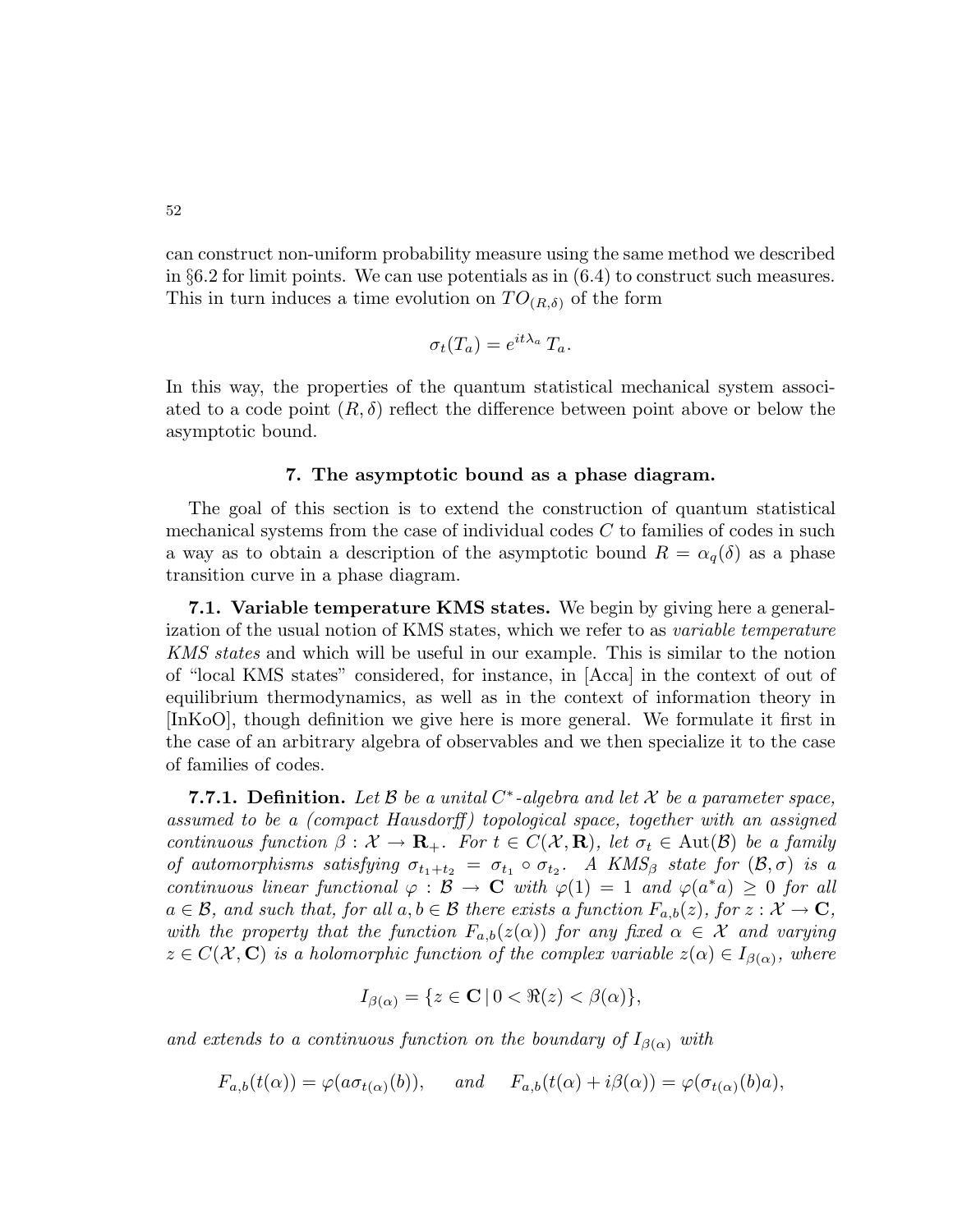can construct non-uniform probability measure using the same method we described in §6.2 for limit points. We can use potentials as in  $(6.4)$  to construct such measures. This in turn induces a time evolution on  $TO_{(R,\delta)}$  of the form

$$
\sigma_t(T_a) = e^{it\lambda_a} T_a.
$$

In this way, the properties of the quantum statistical mechanical system associated to a code point  $(R, \delta)$  reflect the difference between point above or below the asymptotic bound.

### 7. The asymptotic bound as a phase diagram.

The goal of this section is to extend the construction of quantum statistical mechanical systems from the case of individual codes  $C$  to families of codes in such a way as to obtain a description of the asymptotic bound  $R = \alpha_q(\delta)$  as a phase transition curve in a phase diagram.

7.1. Variable temperature KMS states. We begin by giving here a generalization of the usual notion of KMS states, which we refer to as variable temperature KMS states and which will be useful in our example. This is similar to the notion of "local KMS states" considered, for instance, in [Acca] in the context of out of equilibrium thermodynamics, as well as in the context of information theory in [InKoO], though definition we give here is more general. We formulate it first in the case of an arbitrary algebra of observables and we then specialize it to the case of families of codes.

**7.7.1. Definition.** Let  $\beta$  be a unital  $C^*$ -algebra and let  $\mathcal X$  be a parameter space, assumed to be a (compact Hausdorff) topological space, together with an assigned continuous function  $\beta: \mathcal{X} \to \mathbf{R}_+$ . For  $t \in C(\mathcal{X}, \mathbf{R})$ , let  $\sigma_t \in \text{Aut}(\mathcal{B})$  be a family of automorphisms satisfying  $\sigma_{t_1+t_2} = \sigma_{t_1} \circ \sigma_{t_2}$ . A KMS<sub>β</sub> state for  $(\mathcal{B}, \sigma)$  is a continuous linear functional  $\varphi : \mathcal{B} \to \mathbf{C}$  with  $\varphi(1) = 1$  and  $\varphi(a^*a) \geq 0$  for all  $a \in \mathcal{B}$ , and such that, for all  $a, b \in \mathcal{B}$  there exists a function  $F_{a,b}(z)$ , for  $z : \mathcal{X} \to \mathbf{C}$ , with the property that the function  $F_{a,b}(z(\alpha))$  for any fixed  $\alpha \in \mathcal{X}$  and varying  $z \in C(\mathcal{X}, \mathbf{C})$  is a holomorphic function of the complex variable  $z(\alpha) \in I_{\beta(\alpha)}$ , where

$$
I_{\beta(\alpha)} = \{ z \in \mathbf{C} \, | \, 0 < \Re(z) < \beta(\alpha) \},
$$

and extends to a continuous function on the boundary of  $I_{\beta(\alpha)}$  with

$$
F_{a,b}(t(\alpha)) = \varphi(a\sigma_{t(\alpha)}(b)), \quad \text{and} \quad F_{a,b}(t(\alpha) + i\beta(\alpha)) = \varphi(\sigma_{t(\alpha)}(b)a),
$$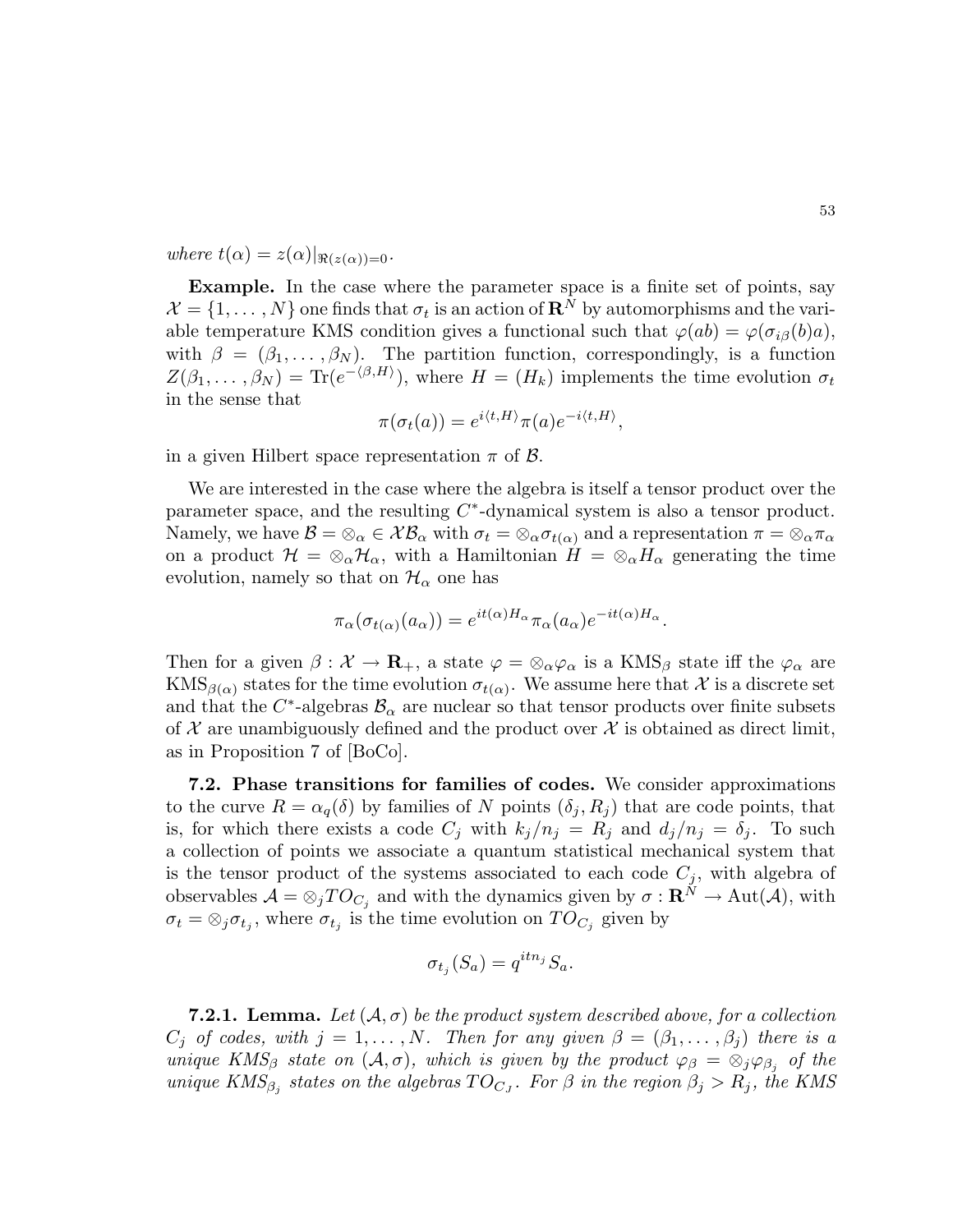where  $t(\alpha) = z(\alpha)|_{\Re(z(\alpha))=0}$ .

Example. In the case where the parameter space is a finite set of points, say  $\mathcal{X} = \{1, \ldots, N\}$  one finds that  $\sigma_t$  is an action of  $\mathbb{R}^N$  by automorphisms and the variable temperature KMS condition gives a functional such that  $\varphi(ab) = \varphi(\sigma_{i\beta}(b)a)$ , with  $\beta = (\beta_1, \ldots, \beta_N)$ . The partition function, correspondingly, is a function  $Z(\beta_1,\ldots,\beta_N) = \text{Tr}(e^{-\langle \beta,H \rangle}),$  where  $H = (H_k)$  implements the time evolution  $\sigma_t$ in the sense that

$$
\pi(\sigma_t(a)) = e^{i \langle t, H \rangle} \pi(a) e^{-i \langle t, H \rangle},
$$

in a given Hilbert space representation  $\pi$  of  $\beta$ .

We are interested in the case where the algebra is itself a tensor product over the parameter space, and the resulting  $C^*$ -dynamical system is also a tensor product. Namely, we have  $\mathcal{B} = \otimes_{\alpha} \in \mathcal{X}\mathcal{B}_{\alpha}$  with  $\sigma_t = \otimes_{\alpha} \sigma_{t(\alpha)}$  and a representation  $\pi = \otimes_{\alpha} \pi_{\alpha}$ on a product  $\mathcal{H} = \otimes_{\alpha} \mathcal{H}_{\alpha}$ , with a Hamiltonian  $H = \otimes_{\alpha} H_{\alpha}$  generating the time evolution, namely so that on  $\mathcal{H}_{\alpha}$  one has

$$
\pi_{\alpha}(\sigma_{t(\alpha)}(a_{\alpha})) = e^{it(\alpha)H_{\alpha}} \pi_{\alpha}(a_{\alpha}) e^{-it(\alpha)H_{\alpha}}.
$$

Then for a given  $\beta: \mathcal{X} \to \mathbf{R}_+$ , a state  $\varphi = \otimes_\alpha \varphi_\alpha$  is a KMS<sub>β</sub> state iff the  $\varphi_\alpha$  are  $\text{KMS}_{\beta(\alpha)}$  states for the time evolution  $\sigma_{t(\alpha)}$ . We assume here that X is a discrete set and that the  $C^*$ -algebras  $\mathcal{B}_{\alpha}$  are nuclear so that tensor products over finite subsets of  $\mathcal X$  are unambiguously defined and the product over  $\mathcal X$  is obtained as direct limit, as in Proposition 7 of [BoCo].

7.2. Phase transitions for families of codes. We consider approximations to the curve  $R = \alpha_q(\delta)$  by families of N points  $(\delta_i, R_i)$  that are code points, that is, for which there exists a code  $C_i$  with  $k_j/n_j = R_j$  and  $d_j/n_j = \delta_j$ . To such a collection of points we associate a quantum statistical mechanical system that is the tensor product of the systems associated to each code  $C_j$ , with algebra of observables  $\mathcal{A} = \otimes_j TO_{C_j}$  and with the dynamics given by  $\sigma : \mathbf{R}^N \to \text{Aut}(\mathcal{A})$ , with  $\sigma_t = \otimes_j \sigma_{t_j}$ , where  $\sigma_{t_j}$  is the time evolution on  $TO_{C_j}$  given by

$$
\sigma_{t_j}(S_a) = q^{itn_j} S_a.
$$

**7.2.1. Lemma.** Let  $(A, \sigma)$  be the product system described above, for a collection  $C_i$  of codes, with  $j = 1, ..., N$ . Then for any given  $\beta = (\beta_1, ..., \beta_i)$  there is a unique KMS<sub>β</sub> state on  $(A, \sigma)$ , which is given by the product  $\varphi_{\beta} = \otimes_i \varphi_{\beta_i}$  of the unique  $KMS_{\beta_j}$  states on the algebras  $TO_{C_J}$ . For  $\beta$  in the region  $\beta_j > R_j$ , the KMS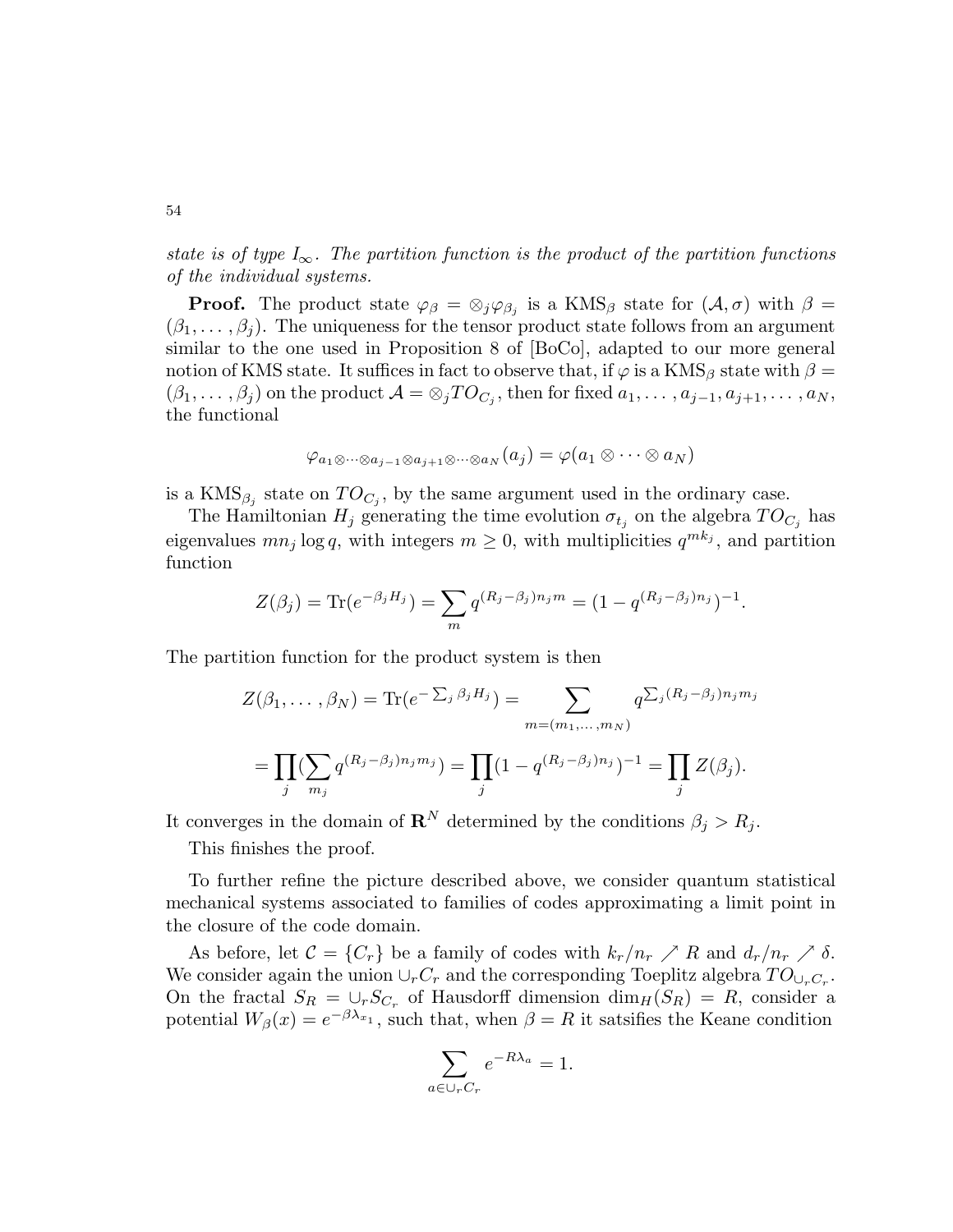state is of type  $I_{\infty}$ . The partition function is the product of the partition functions of the individual systems.

**Proof.** The product state  $\varphi_{\beta} = \otimes_j \varphi_{\beta_j}$  is a KMS<sub>β</sub> state for  $(\mathcal{A}, \sigma)$  with  $\beta =$  $(\beta_1, \ldots, \beta_i)$ . The uniqueness for the tensor product state follows from an argument similar to the one used in Proposition 8 of [BoCo], adapted to our more general notion of KMS state. It suffices in fact to observe that, if  $\varphi$  is a KMS<sub>β</sub> state with  $\beta =$  $(\beta_1,\ldots,\beta_j)$  on the product  $\mathcal{A}=\otimes_j TO_{C_j},$  then for fixed  $a_1,\ldots,a_{j-1},a_{j+1},\ldots,a_N,$ the functional

$$
\varphi_{a_1 \otimes \cdots \otimes a_{j-1} \otimes a_{j+1} \otimes \cdots \otimes a_N}(a_j) = \varphi(a_1 \otimes \cdots \otimes a_N)
$$

is a  $\text{KMS}_{\beta_j}$  state on  $TO_{C_j}$ , by the same argument used in the ordinary case.

The Hamiltonian  $H_j$  generating the time evolution  $\sigma_{t_j}$  on the algebra  $TO_{C_j}$  has eigenvalues  $mn_j \log q$ , with integers  $m \geq 0$ , with multiplicities  $q^{mk_j}$ , and partition function

$$
Z(\beta_j) = \text{Tr}(e^{-\beta_j H_j}) = \sum_m q^{(R_j - \beta_j) n_j m} = (1 - q^{(R_j - \beta_j) n_j})^{-1}.
$$

The partition function for the product system is then

$$
Z(\beta_1, ..., \beta_N) = \text{Tr}(e^{-\sum_j \beta_j H_j}) = \sum_{m = (m_1, ..., m_N)} q^{\sum_j (R_j - \beta_j) n_j m_j}
$$
  
= 
$$
\prod_j (\sum_{m_j} q^{(R_j - \beta_j) n_j m_j}) = \prod_j (1 - q^{(R_j - \beta_j) n_j})^{-1} = \prod_j Z(\beta_j).
$$

It converges in the domain of  $\mathbf{R}^N$  determined by the conditions  $\beta_i > R_i$ .

This finishes the proof.

To further refine the picture described above, we consider quantum statistical mechanical systems associated to families of codes approximating a limit point in the closure of the code domain.

As before, let  $\mathcal{C} = \{C_r\}$  be a family of codes with  $k_r/n_r \nearrow R$  and  $d_r/n_r \nearrow \delta$ . We consider again the union  $\cup_r C_r$  and the corresponding Toeplitz algebra  $TO_{\cup_r C_r}$ . On the fractal  $S_R = \bigcup_r S_{C_r}$  of Hausdorff dimension  $\dim_H(S_R) = R$ , consider a potential  $W_{\beta}(x) = e^{-\beta \lambda_{x_1}}$ , such that, when  $\beta = R$  it satsifies the Keane condition

$$
\sum_{a \in \cup_r C_r} e^{-R\lambda_a} = 1.
$$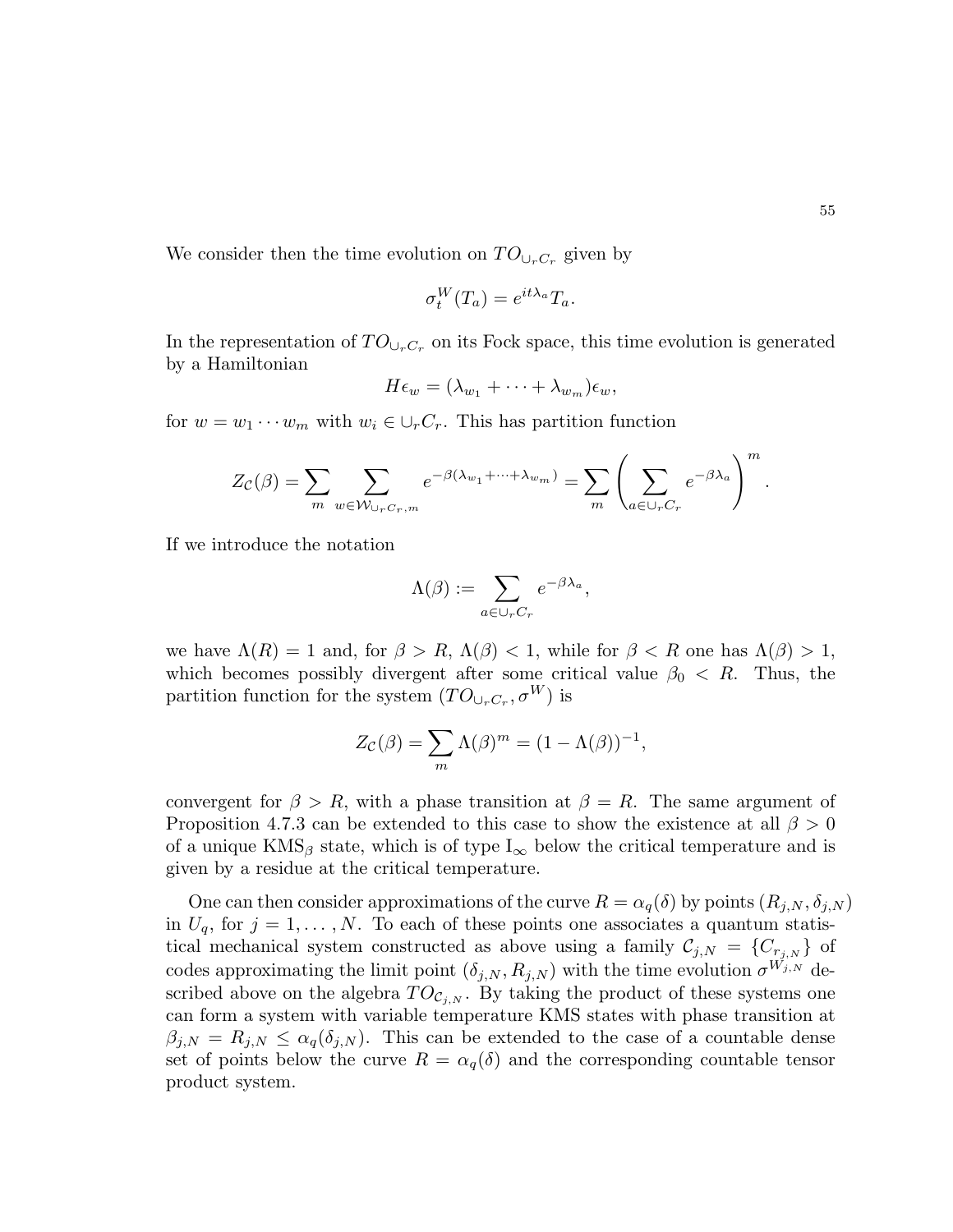.

We consider then the time evolution on  $TO_{\cup_r C_r}$  given by

$$
\sigma_t^W(T_a) = e^{it\lambda_a} T_a.
$$

In the representation of  $TO_{\cup_r C_r}$  on its Fock space, this time evolution is generated by a Hamiltonian

$$
H\epsilon_w=(\lambda_{w_1}+\cdots+\lambda_{w_m})\epsilon_w,
$$

for  $w = w_1 \cdots w_m$  with  $w_i \in \bigcup_r C_r$ . This has partition function

$$
Z_{\mathcal{C}}(\beta) = \sum_{m} \sum_{w \in \mathcal{W}_{\cup_{r}C_r,m}} e^{-\beta(\lambda_{w_1} + \dots + \lambda_{w_m})} = \sum_{m} \left( \sum_{a \in \cup_{r}C_r} e^{-\beta \lambda_a} \right)^m
$$

If we introduce the notation

$$
\Lambda(\beta) := \sum_{a \in \cup_r C_r} e^{-\beta \lambda_a},
$$

we have  $\Lambda(R) = 1$  and, for  $\beta > R$ ,  $\Lambda(\beta) < 1$ , while for  $\beta < R$  one has  $\Lambda(\beta) > 1$ , which becomes possibly divergent after some critical value  $\beta_0 < R$ . Thus, the partition function for the system  $(TO_{\cup_r C_r}, \sigma^W)$  is

$$
Z_{\mathcal{C}}(\beta) = \sum_{m} \Lambda(\beta)^{m} = (1 - \Lambda(\beta))^{-1},
$$

convergent for  $\beta > R$ , with a phase transition at  $\beta = R$ . The same argument of Proposition 4.7.3 can be extended to this case to show the existence at all  $\beta > 0$ of a unique  $KMS_\beta$  state, which is of type  $I_\infty$  below the critical temperature and is given by a residue at the critical temperature.

One can then consider approximations of the curve  $R = \alpha_q(\delta)$  by points  $(R_{j,N}, \delta_{j,N})$ in  $U_q$ , for  $j = 1, ..., N$ . To each of these points one associates a quantum statistical mechanical system constructed as above using a family  $\mathcal{C}_{j,N} = \{C_{r_{j,N}}\}$  of codes approximating the limit point  $(\delta_{j,N}, R_{j,N})$  with the time evolution  $\sigma^{W_{j,N}}$  described above on the algebra  $TO_{\mathcal{C}_{i,N}}$ . By taking the product of these systems one can form a system with variable temperature KMS states with phase transition at  $\beta_{j,N} = R_{j,N} \leq \alpha_q(\delta_{j,N}).$  This can be extended to the case of a countable dense set of points below the curve  $R = \alpha_q(\delta)$  and the corresponding countable tensor product system.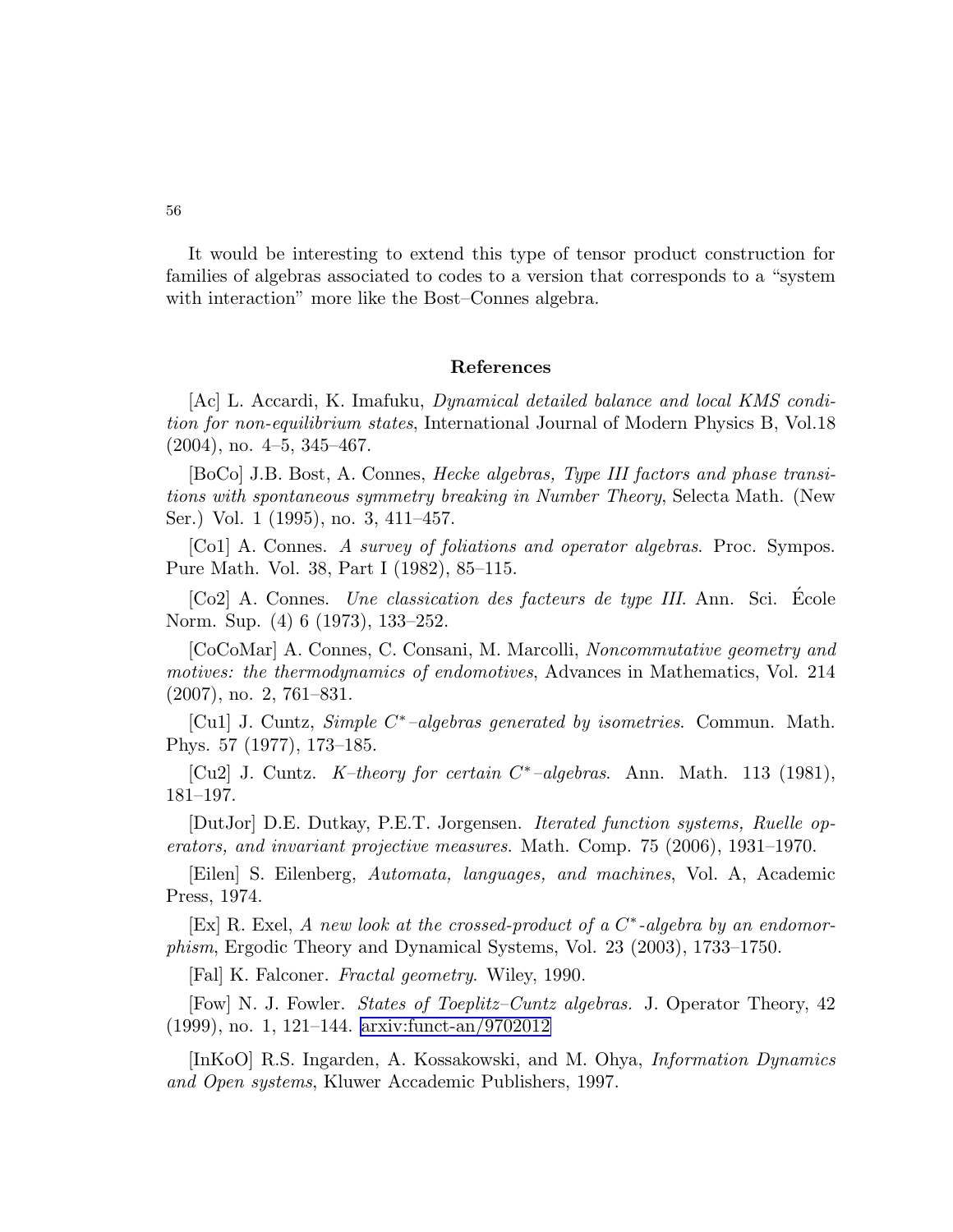56

It would be interesting to extend this type of tensor product construction for families of algebras associated to codes to a version that corresponds to a "system with interaction" more like the Bost–Connes algebra.

## References

[Ac] L. Accardi, K. Imafuku, Dynamical detailed balance and local KMS condition for non-equilibrium states, International Journal of Modern Physics B, Vol.18  $(2004)$ , no.  $4-5$ ,  $345-467$ .

[BoCo] J.B. Bost, A. Connes, Hecke algebras, Type III factors and phase transitions with spontaneous symmetry breaking in Number Theory, Selecta Math. (New Ser.) Vol. 1 (1995), no. 3, 411–457.

[Co1] A. Connes. A survey of foliations and operator algebras. Proc. Sympos. Pure Math. Vol. 38, Part I (1982), 85–115.

[Co2] A. Connes. Une classication des facteurs de type III. Ann. Sci. Ecole ´ Norm. Sup. (4) 6 (1973), 133–252.

[CoCoMar] A. Connes, C. Consani, M. Marcolli, Noncommutative geometry and motives: the thermodynamics of endomotives, Advances in Mathematics, Vol. 214 (2007), no. 2, 761–831.

[Cu1] J. Cuntz, Simple C<sup>\*</sup>-algebras generated by isometries. Commun. Math. Phys. 57 (1977), 173–185.

[Cu2] J. Cuntz. K-theory for certain  $C^*$ -algebras. Ann. Math. 113 (1981), 181–197.

[DutJor] D.E. Dutkay, P.E.T. Jorgensen. Iterated function systems, Ruelle operators, and invariant projective measures. Math. Comp. 75 (2006), 1931–1970.

[Eilen] S. Eilenberg, Automata, languages, and machines, Vol. A, Academic Press, 1974.

[Ex] R. Exel, A new look at the crossed-product of a  $C^*$ -algebra by an endomorphism, Ergodic Theory and Dynamical Systems, Vol. 23 (2003), 1733–1750.

[Fal] K. Falconer. Fractal geometry. Wiley, 1990.

[Fow] N. J. Fowler. States of Toeplitz–Cuntz algebras. J. Operator Theory, 42 (1999), no. 1, 121–144. [arxiv:funct-an/9702012](http://arxiv.org/abs/funct-an/9702012)

[InKoO] R.S. Ingarden, A. Kossakowski, and M. Ohya, Information Dynamics and Open systems, Kluwer Accademic Publishers, 1997.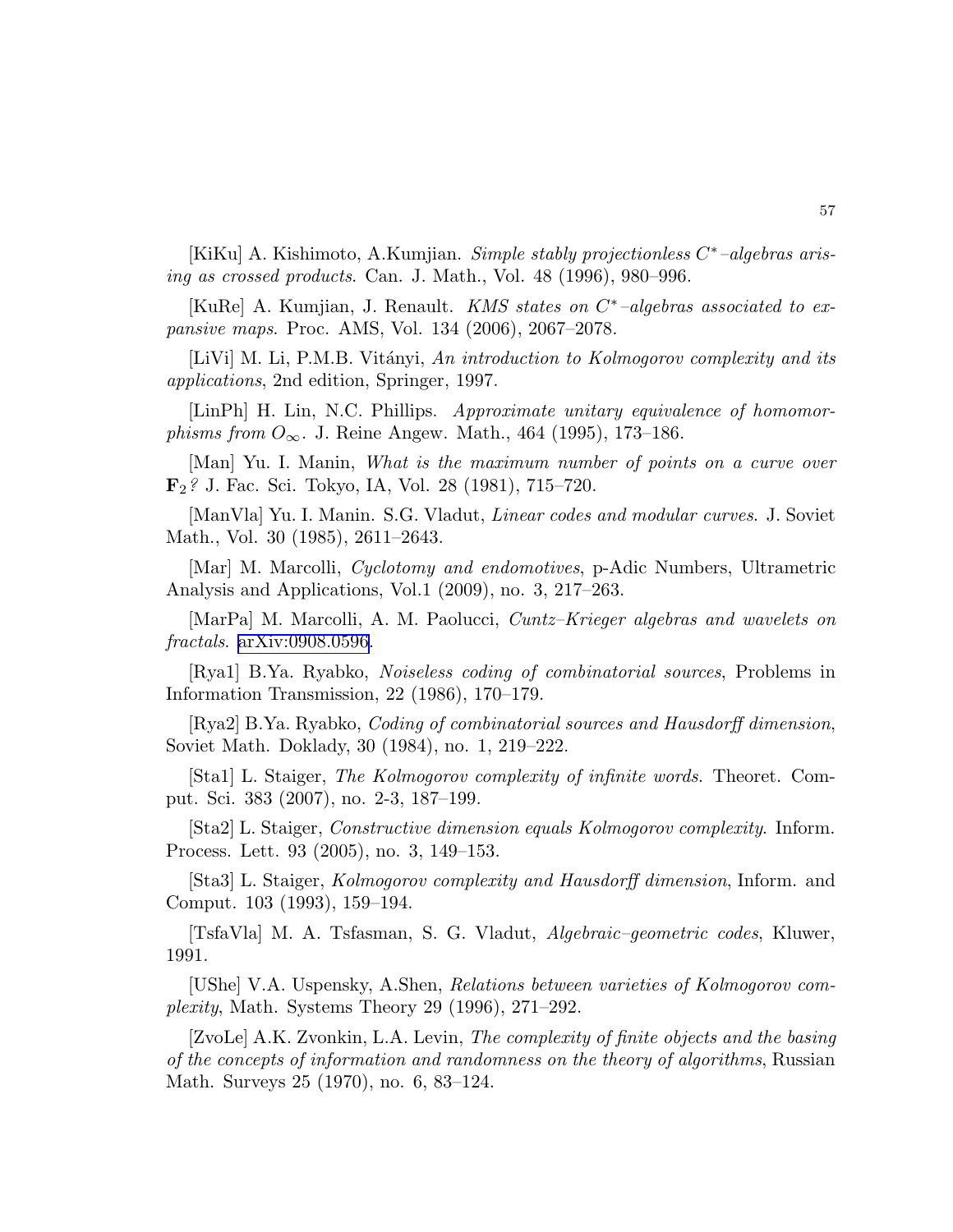[KiKu] A. Kishimoto, A.Kumjian. Simple stably projectionless C<sup>\*</sup>-algebras arising as crossed products. Can. J. Math., Vol. 48 (1996), 980–996.

[KuRe] A. Kumjian, J. Renault. KMS states on  $C^*$ -algebras associated to expansive maps. Proc. AMS, Vol. 134 (2006), 2067–2078.

[LiVi] M. Li, P.M.B. Vitányi, An introduction to Kolmogorov complexity and its applications, 2nd edition, Springer, 1997.

[LinPh] H. Lin, N.C. Phillips. Approximate unitary equivalence of homomor*phisms from*  $O_{\infty}$ . J. Reine Angew. Math., 464 (1995), 173–186.

[Man] Yu. I. Manin, What is the maximum number of points on a curve over F2? J. Fac. Sci. Tokyo, IA, Vol. 28 (1981), 715–720.

[ManVla] Yu. I. Manin. S.G. Vladut, Linear codes and modular curves. J. Soviet Math., Vol. 30 (1985), 2611–2643.

[Mar] M. Marcolli, Cyclotomy and endomotives, p-Adic Numbers, Ultrametric Analysis and Applications, Vol.1 (2009), no. 3, 217–263.

[MarPa] M. Marcolli, A. M. Paolucci, Cuntz–Krieger algebras and wavelets on fractals. [arXiv:0908.0596](http://arxiv.org/abs/0908.0596).

[Rya1] B.Ya. Ryabko, Noiseless coding of combinatorial sources, Problems in Information Transmission, 22 (1986), 170–179.

[Rya2] B.Ya. Ryabko, Coding of combinatorial sources and Hausdorff dimension, Soviet Math. Doklady, 30 (1984), no. 1, 219–222.

[Sta1] L. Staiger, The Kolmogorov complexity of infinite words. Theoret. Comput. Sci. 383 (2007), no. 2-3, 187–199.

[Sta2] L. Staiger, Constructive dimension equals Kolmogorov complexity. Inform. Process. Lett. 93 (2005), no. 3, 149–153.

[Sta3] L. Staiger, Kolmogorov complexity and Hausdorff dimension, Inform. and Comput. 103 (1993), 159–194.

[TsfaVla] M. A. Tsfasman, S. G. Vladut, Algebraic–geometric codes, Kluwer, 1991.

[UShe] V.A. Uspensky, A.Shen, Relations between varieties of Kolmogorov complexity, Math. Systems Theory 29 (1996), 271–292.

[ZvoLe] A.K. Zvonkin, L.A. Levin, The complexity of finite objects and the basing of the concepts of information and randomness on the theory of algorithms, Russian Math. Surveys 25 (1970), no. 6, 83–124.